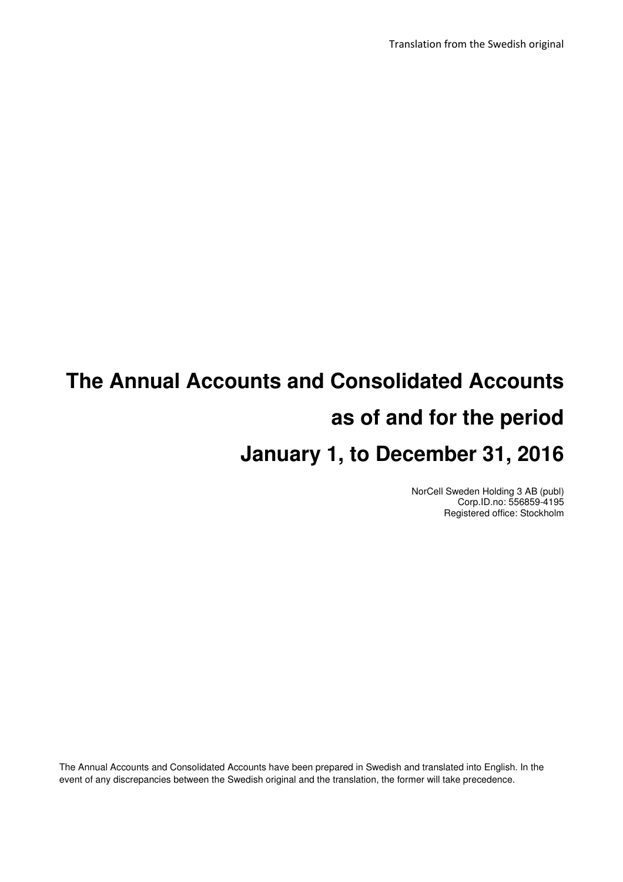Translation from the Swedish original

# **The Annual Accounts and Consolidated Accounts as of and for the period January 1, to December 31, 2016**

NorCell Sweden Holding 3 AB (publ) Corp.ID.no: 556859-4195 Registered office: Stockholm

The Annual Accounts and Consolidated Accounts have been prepared in Swedish and translated into English. In the event of any discrepancies between the Swedish original and the translation, the former will take precedence.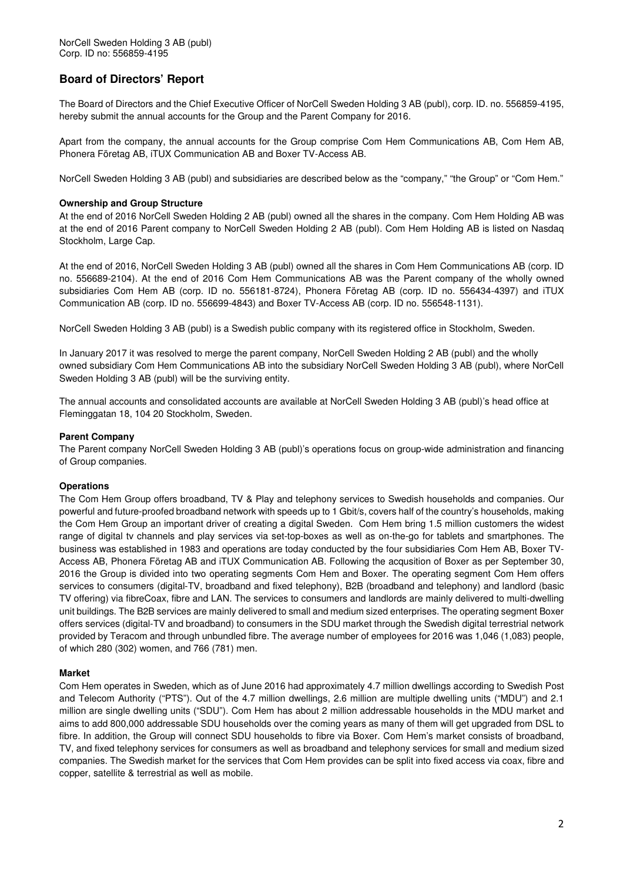# **Board of Directors' Report**

The Board of Directors and the Chief Executive Officer of NorCell Sweden Holding 3 AB (publ), corp. ID. no. 556859-4195, hereby submit the annual accounts for the Group and the Parent Company for 2016.

Apart from the company, the annual accounts for the Group comprise Com Hem Communications AB, Com Hem AB, Phonera Företag AB, iTUX Communication AB and Boxer TV-Access AB.

NorCell Sweden Holding 3 AB (publ) and subsidiaries are described below as the "company," "the Group" or "Com Hem."

#### **Ownership and Group Structure**

At the end of 2016 NorCell Sweden Holding 2 AB (publ) owned all the shares in the company. Com Hem Holding AB was at the end of 2016 Parent company to NorCell Sweden Holding 2 AB (publ). Com Hem Holding AB is listed on Nasdaq Stockholm, Large Cap.

At the end of 2016, NorCell Sweden Holding 3 AB (publ) owned all the shares in Com Hem Communications AB (corp. ID no. 556689-2104). At the end of 2016 Com Hem Communications AB was the Parent company of the wholly owned subsidiaries Com Hem AB (corp. ID no. 556181-8724), Phonera Företag AB (corp. ID no. 556434-4397) and iTUX Communication AB (corp. ID no. 556699-4843) and Boxer TV-Access AB (corp. ID no. 556548-1131).

NorCell Sweden Holding 3 AB (publ) is a Swedish public company with its registered office in Stockholm, Sweden.

In January 2017 it was resolved to merge the parent company, NorCell Sweden Holding 2 AB (publ) and the wholly owned subsidiary Com Hem Communications AB into the subsidiary NorCell Sweden Holding 3 AB (publ), where NorCell Sweden Holding 3 AB (publ) will be the surviving entity.

The annual accounts and consolidated accounts are available at NorCell Sweden Holding 3 AB (publ)'s head office at Fleminggatan 18, 104 20 Stockholm, Sweden.

#### **Parent Company**

The Parent company NorCell Sweden Holding 3 AB (publ)'s operations focus on group-wide administration and financing of Group companies.

#### **Operations**

The Com Hem Group offers broadband, TV & Play and telephony services to Swedish households and companies. Our powerful and future-proofed broadband network with speeds up to 1 Gbit/s, covers half of the country's households, making the Com Hem Group an important driver of creating a digital Sweden. Com Hem bring 1.5 million customers the widest range of digital tv channels and play services via set-top-boxes as well as on-the-go for tablets and smartphones. The business was established in 1983 and operations are today conducted by the four subsidiaries Com Hem AB, Boxer TV-Access AB, Phonera Företag AB and iTUX Communication AB. Following the acqusition of Boxer as per September 30, 2016 the Group is divided into two operating segments Com Hem and Boxer. The operating segment Com Hem offers services to consumers (digital-TV, broadband and fixed telephony), B2B (broadband and telephony) and landlord (basic TV offering) via fibreCoax, fibre and LAN. The services to consumers and landlords are mainly delivered to multi-dwelling unit buildings. The B2B services are mainly delivered to small and medium sized enterprises. The operating segment Boxer offers services (digital-TV and broadband) to consumers in the SDU market through the Swedish digital terrestrial network provided by Teracom and through unbundled fibre. The average number of employees for 2016 was 1,046 (1,083) people, of which 280 (302) women, and 766 (781) men.

#### **Market**

Com Hem operates in Sweden, which as of June 2016 had approximately 4.7 million dwellings according to Swedish Post and Telecom Authority ("PTS"). Out of the 4.7 million dwellings, 2.6 million are multiple dwelling units ("MDU") and 2.1 million are single dwelling units ("SDU"). Com Hem has about 2 million addressable households in the MDU market and aims to add 800,000 addressable SDU households over the coming years as many of them will get upgraded from DSL to fibre. In addition, the Group will connect SDU households to fibre via Boxer. Com Hem's market consists of broadband, TV, and fixed telephony services for consumers as well as broadband and telephony services for small and medium sized companies. The Swedish market for the services that Com Hem provides can be split into fixed access via coax, fibre and copper, satellite & terrestrial as well as mobile.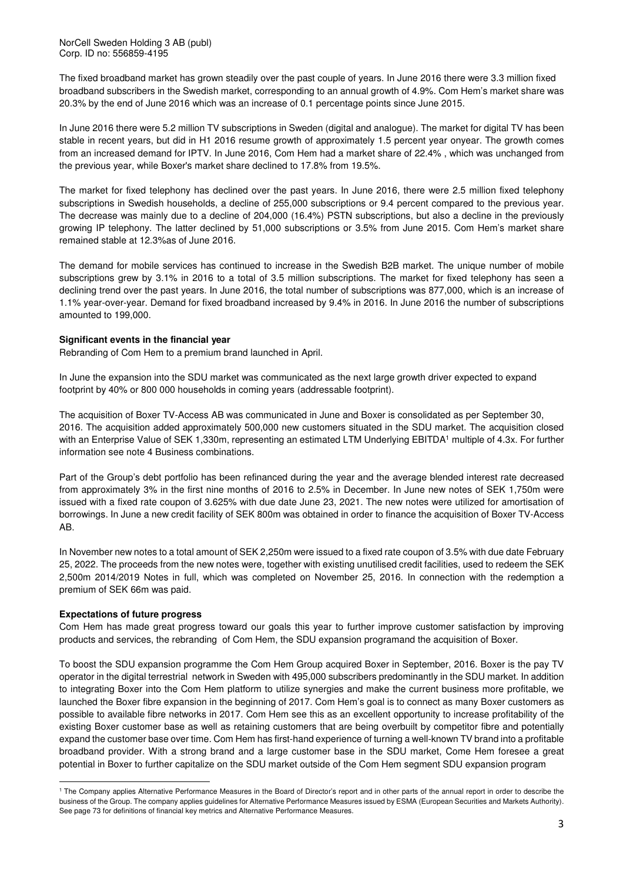NorCell Sweden Holding 3 AB (publ) Corp. ID no: 556859-4195

The fixed broadband market has grown steadily over the past couple of years. In June 2016 there were 3.3 million fixed broadband subscribers in the Swedish market, corresponding to an annual growth of 4.9%. Com Hem's market share was 20.3% by the end of June 2016 which was an increase of 0.1 percentage points since June 2015.

In June 2016 there were 5.2 million TV subscriptions in Sweden (digital and analogue). The market for digital TV has been stable in recent years, but did in H1 2016 resume growth of approximately 1.5 percent year onyear. The growth comes from an increased demand for IPTV. In June 2016, Com Hem had a market share of 22.4% , which was unchanged from the previous year, while Boxer's market share declined to 17.8% from 19.5%.

The market for fixed telephony has declined over the past years. In June 2016, there were 2.5 million fixed telephony subscriptions in Swedish households, a decline of 255,000 subscriptions or 9.4 percent compared to the previous year. The decrease was mainly due to a decline of 204,000 (16.4%) PSTN subscriptions, but also a decline in the previously growing IP telephony. The latter declined by 51,000 subscriptions or 3.5% from June 2015. Com Hem's market share remained stable at 12.3%as of June 2016.

The demand for mobile services has continued to increase in the Swedish B2B market. The unique number of mobile subscriptions grew by 3.1% in 2016 to a total of 3.5 million subscriptions. The market for fixed telephony has seen a declining trend over the past years. In June 2016, the total number of subscriptions was 877,000, which is an increase of 1.1% year-over-year. Demand for fixed broadband increased by 9.4% in 2016. In June 2016 the number of subscriptions amounted to 199,000.

#### **Significant events in the financial year**

Rebranding of Com Hem to a premium brand launched in April.

In June the expansion into the SDU market was communicated as the next large growth driver expected to expand footprint by 40% or 800 000 households in coming years (addressable footprint).

The acquisition of Boxer TV-Access AB was communicated in June and Boxer is consolidated as per September 30, 2016. The acquisition added approximately 500,000 new customers situated in the SDU market. The acquisition closed with an Enterprise Value of SEK 1,330m, representing an estimated LTM Underlying EBITDA<sup>1</sup> multiple of 4.3x. For further information see note 4 Business combinations.

Part of the Group's debt portfolio has been refinanced during the year and the average blended interest rate decreased from approximately 3% in the first nine months of 2016 to 2.5% in December. In June new notes of SEK 1,750m were issued with a fixed rate coupon of 3.625% with due date June 23, 2021. The new notes were utilized for amortisation of borrowings. In June a new credit facility of SEK 800m was obtained in order to finance the acquisition of Boxer TV-Access AB.

In November new notes to a total amount of SEK 2,250m were issued to a fixed rate coupon of 3.5% with due date February 25, 2022. The proceeds from the new notes were, together with existing unutilised credit facilities, used to redeem the SEK 2,500m 2014/2019 Notes in full, which was completed on November 25, 2016. In connection with the redemption a premium of SEK 66m was paid.

#### **Expectations of future progress**

Com Hem has made great progress toward our goals this year to further improve customer satisfaction by improving products and services, the rebranding of Com Hem, the SDU expansion programand the acquisition of Boxer.

To boost the SDU expansion programme the Com Hem Group acquired Boxer in September, 2016. Boxer is the pay TV operator in the digital terrestrial network in Sweden with 495,000 subscribers predominantly in the SDU market. In addition to integrating Boxer into the Com Hem platform to utilize synergies and make the current business more profitable, we launched the Boxer fibre expansion in the beginning of 2017. Com Hem's goal is to connect as many Boxer customers as possible to available fibre networks in 2017. Com Hem see this as an excellent opportunity to increase profitability of the existing Boxer customer base as well as retaining customers that are being overbuilt by competitor fibre and potentially expand the customer base over time. Com Hem has first-hand experience of turning a well-known TV brand into a profitable broadband provider. With a strong brand and a large customer base in the SDU market, Come Hem foresee a great potential in Boxer to further capitalize on the SDU market outside of the Com Hem segment SDU expansion program

l <sup>1</sup> The Company applies Alternative Performance Measures in the Board of Director's report and in other parts of the annual report in order to describe the business of the Group. The company applies guidelines for Alternative Performance Measures issued by ESMA (European Securities and Markets Authority). See page 73 for definitions of financial key metrics and Alternative Performance Measures.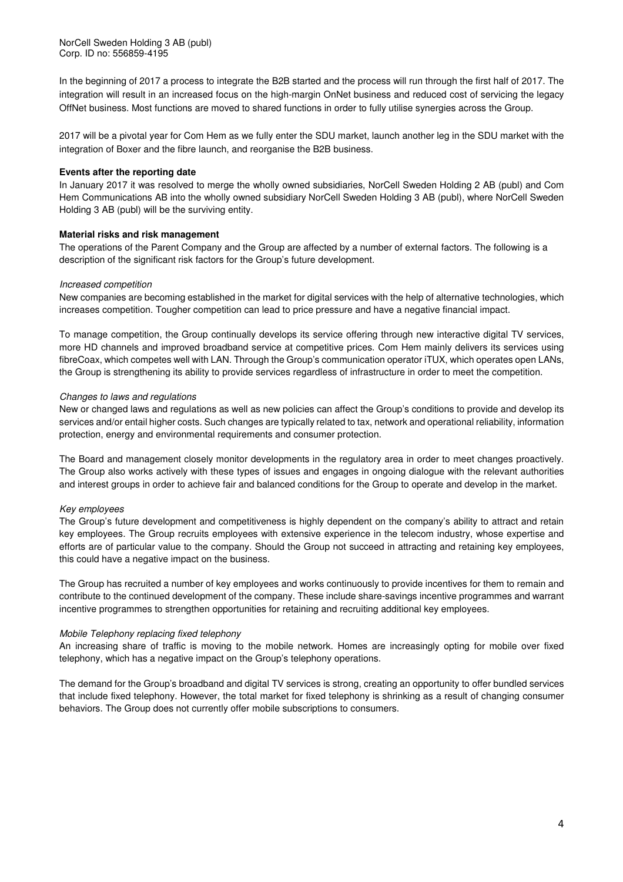In the beginning of 2017 a process to integrate the B2B started and the process will run through the first half of 2017. The integration will result in an increased focus on the high-margin OnNet business and reduced cost of servicing the legacy OffNet business. Most functions are moved to shared functions in order to fully utilise synergies across the Group.

2017 will be a pivotal year for Com Hem as we fully enter the SDU market, launch another leg in the SDU market with the integration of Boxer and the fibre launch, and reorganise the B2B business.

#### **Events after the reporting date**

In January 2017 it was resolved to merge the wholly owned subsidiaries, NorCell Sweden Holding 2 AB (publ) and Com Hem Communications AB into the wholly owned subsidiary NorCell Sweden Holding 3 AB (publ), where NorCell Sweden Holding 3 AB (publ) will be the surviving entity.

#### **Material risks and risk management**

The operations of the Parent Company and the Group are affected by a number of external factors. The following is a description of the significant risk factors for the Group's future development.

#### Increased competition

New companies are becoming established in the market for digital services with the help of alternative technologies, which increases competition. Tougher competition can lead to price pressure and have a negative financial impact.

To manage competition, the Group continually develops its service offering through new interactive digital TV services, more HD channels and improved broadband service at competitive prices. Com Hem mainly delivers its services using fibreCoax, which competes well with LAN. Through the Group's communication operator iTUX, which operates open LANs, the Group is strengthening its ability to provide services regardless of infrastructure in order to meet the competition.

#### Changes to laws and regulations

New or changed laws and regulations as well as new policies can affect the Group's conditions to provide and develop its services and/or entail higher costs. Such changes are typically related to tax, network and operational reliability, information protection, energy and environmental requirements and consumer protection.

The Board and management closely monitor developments in the regulatory area in order to meet changes proactively. The Group also works actively with these types of issues and engages in ongoing dialogue with the relevant authorities and interest groups in order to achieve fair and balanced conditions for the Group to operate and develop in the market.

#### Key employees

The Group's future development and competitiveness is highly dependent on the company's ability to attract and retain key employees. The Group recruits employees with extensive experience in the telecom industry, whose expertise and efforts are of particular value to the company. Should the Group not succeed in attracting and retaining key employees, this could have a negative impact on the business.

The Group has recruited a number of key employees and works continuously to provide incentives for them to remain and contribute to the continued development of the company. These include share-savings incentive programmes and warrant incentive programmes to strengthen opportunities for retaining and recruiting additional key employees.

#### Mobile Telephony replacing fixed telephony

An increasing share of traffic is moving to the mobile network. Homes are increasingly opting for mobile over fixed telephony, which has a negative impact on the Group's telephony operations.

The demand for the Group's broadband and digital TV services is strong, creating an opportunity to offer bundled services that include fixed telephony. However, the total market for fixed telephony is shrinking as a result of changing consumer behaviors. The Group does not currently offer mobile subscriptions to consumers.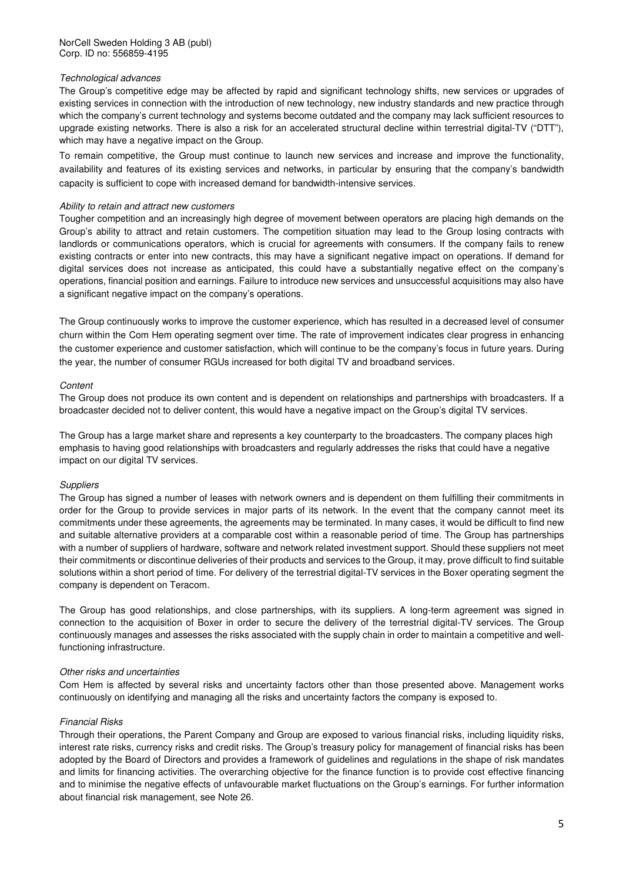#### Technological advances

The Group's competitive edge may be affected by rapid and significant technology shifts, new services or upgrades of existing services in connection with the introduction of new technology, new industry standards and new practice through which the company's current technology and systems become outdated and the company may lack sufficient resources to upgrade existing networks. There is also a risk for an accelerated structural decline within terrestrial digital-TV ("DTT"), which may have a negative impact on the Group.

To remain competitive, the Group must continue to launch new services and increase and improve the functionality, availability and features of its existing services and networks, in particular by ensuring that the company's bandwidth capacity is sufficient to cope with increased demand for bandwidth-intensive services.

#### Ability to retain and attract new customers

Tougher competition and an increasingly high degree of movement between operators are placing high demands on the Group's ability to attract and retain customers. The competition situation may lead to the Group losing contracts with landlords or communications operators, which is crucial for agreements with consumers. If the company fails to renew existing contracts or enter into new contracts, this may have a significant negative impact on operations. If demand for digital services does not increase as anticipated, this could have a substantially negative effect on the company's operations, financial position and earnings. Failure to introduce new services and unsuccessful acquisitions may also have a significant negative impact on the company's operations.

The Group continuously works to improve the customer experience, which has resulted in a decreased level of consumer churn within the Com Hem operating segment over time. The rate of improvement indicates clear progress in enhancing the customer experience and customer satisfaction, which will continue to be the company's focus in future years. During the year, the number of consumer RGUs increased for both digital TV and broadband services.

#### Content

The Group does not produce its own content and is dependent on relationships and partnerships with broadcasters. If a broadcaster decided not to deliver content, this would have a negative impact on the Group's digital TV services.

The Group has a large market share and represents a key counterparty to the broadcasters. The company places high emphasis to having good relationships with broadcasters and regularly addresses the risks that could have a negative impact on our digital TV services.

#### **Suppliers**

The Group has signed a number of leases with network owners and is dependent on them fulfilling their commitments in order for the Group to provide services in major parts of its network. In the event that the company cannot meet its commitments under these agreements, the agreements may be terminated. In many cases, it would be difficult to find new and suitable alternative providers at a comparable cost within a reasonable period of time. The Group has partnerships with a number of suppliers of hardware, software and network related investment support. Should these suppliers not meet their commitments or discontinue deliveries of their products and services to the Group, it may, prove difficult to find suitable solutions within a short period of time. For delivery of the terrestrial digital-TV services in the Boxer operating segment the company is dependent on Teracom.

The Group has good relationships, and close partnerships, with its suppliers. A long-term agreement was signed in connection to the acquisition of Boxer in order to secure the delivery of the terrestrial digital-TV services. The Group continuously manages and assesses the risks associated with the supply chain in order to maintain a competitive and wellfunctioning infrastructure.

#### Other risks and uncertainties

Com Hem is affected by several risks and uncertainty factors other than those presented above. Management works continuously on identifying and managing all the risks and uncertainty factors the company is exposed to.

#### Financial Risks

Through their operations, the Parent Company and Group are exposed to various financial risks, including liquidity risks, interest rate risks, currency risks and credit risks. The Group's treasury policy for management of financial risks has been adopted by the Board of Directors and provides a framework of guidelines and regulations in the shape of risk mandates and limits for financing activities. The overarching objective for the finance function is to provide cost effective financing and to minimise the negative effects of unfavourable market fluctuations on the Group's earnings. For further information about financial risk management, see Note 26.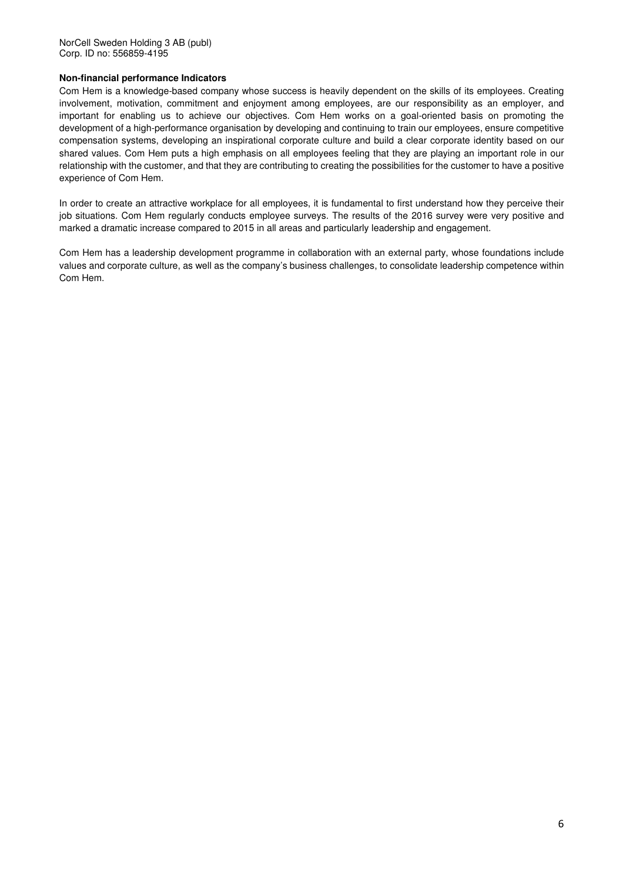#### **Non-financial performance Indicators**

Com Hem is a knowledge-based company whose success is heavily dependent on the skills of its employees. Creating involvement, motivation, commitment and enjoyment among employees, are our responsibility as an employer, and important for enabling us to achieve our objectives. Com Hem works on a goal-oriented basis on promoting the development of a high-performance organisation by developing and continuing to train our employees, ensure competitive compensation systems, developing an inspirational corporate culture and build a clear corporate identity based on our shared values. Com Hem puts a high emphasis on all employees feeling that they are playing an important role in our relationship with the customer, and that they are contributing to creating the possibilities for the customer to have a positive experience of Com Hem.

In order to create an attractive workplace for all employees, it is fundamental to first understand how they perceive their job situations. Com Hem regularly conducts employee surveys. The results of the 2016 survey were very positive and marked a dramatic increase compared to 2015 in all areas and particularly leadership and engagement.

Com Hem has a leadership development programme in collaboration with an external party, whose foundations include values and corporate culture, as well as the company's business challenges, to consolidate leadership competence within Com Hem.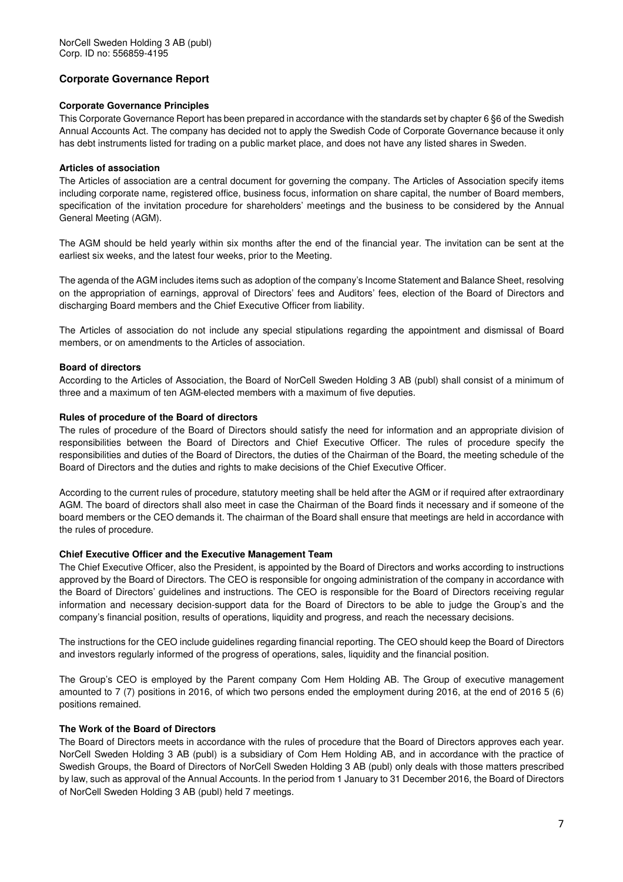#### **Corporate Governance Report**

#### **Corporate Governance Principles**

This Corporate Governance Report has been prepared in accordance with the standards set by chapter 6 §6 of the Swedish Annual Accounts Act. The company has decided not to apply the Swedish Code of Corporate Governance because it only has debt instruments listed for trading on a public market place, and does not have any listed shares in Sweden.

#### **Articles of association**

The Articles of association are a central document for governing the company. The Articles of Association specify items including corporate name, registered office, business focus, information on share capital, the number of Board members, specification of the invitation procedure for shareholders' meetings and the business to be considered by the Annual General Meeting (AGM).

The AGM should be held yearly within six months after the end of the financial year. The invitation can be sent at the earliest six weeks, and the latest four weeks, prior to the Meeting.

The agenda of the AGM includes items such as adoption of the company's Income Statement and Balance Sheet, resolving on the appropriation of earnings, approval of Directors' fees and Auditors' fees, election of the Board of Directors and discharging Board members and the Chief Executive Officer from liability.

The Articles of association do not include any special stipulations regarding the appointment and dismissal of Board members, or on amendments to the Articles of association.

#### **Board of directors**

According to the Articles of Association, the Board of NorCell Sweden Holding 3 AB (publ) shall consist of a minimum of three and a maximum of ten AGM-elected members with a maximum of five deputies.

#### **Rules of procedure of the Board of directors**

The rules of procedure of the Board of Directors should satisfy the need for information and an appropriate division of responsibilities between the Board of Directors and Chief Executive Officer. The rules of procedure specify the responsibilities and duties of the Board of Directors, the duties of the Chairman of the Board, the meeting schedule of the Board of Directors and the duties and rights to make decisions of the Chief Executive Officer.

According to the current rules of procedure, statutory meeting shall be held after the AGM or if required after extraordinary AGM. The board of directors shall also meet in case the Chairman of the Board finds it necessary and if someone of the board members or the CEO demands it. The chairman of the Board shall ensure that meetings are held in accordance with the rules of procedure.

#### **Chief Executive Officer and the Executive Management Team**

The Chief Executive Officer, also the President, is appointed by the Board of Directors and works according to instructions approved by the Board of Directors. The CEO is responsible for ongoing administration of the company in accordance with the Board of Directors' guidelines and instructions. The CEO is responsible for the Board of Directors receiving regular information and necessary decision-support data for the Board of Directors to be able to judge the Group's and the company's financial position, results of operations, liquidity and progress, and reach the necessary decisions.

The instructions for the CEO include guidelines regarding financial reporting. The CEO should keep the Board of Directors and investors regularly informed of the progress of operations, sales, liquidity and the financial position.

The Group's CEO is employed by the Parent company Com Hem Holding AB. The Group of executive management amounted to 7 (7) positions in 2016, of which two persons ended the employment during 2016, at the end of 2016 5 (6) positions remained.

#### **The Work of the Board of Directors**

The Board of Directors meets in accordance with the rules of procedure that the Board of Directors approves each year. NorCell Sweden Holding 3 AB (publ) is a subsidiary of Com Hem Holding AB, and in accordance with the practice of Swedish Groups, the Board of Directors of NorCell Sweden Holding 3 AB (publ) only deals with those matters prescribed by law, such as approval of the Annual Accounts. In the period from 1 January to 31 December 2016, the Board of Directors of NorCell Sweden Holding 3 AB (publ) held 7 meetings.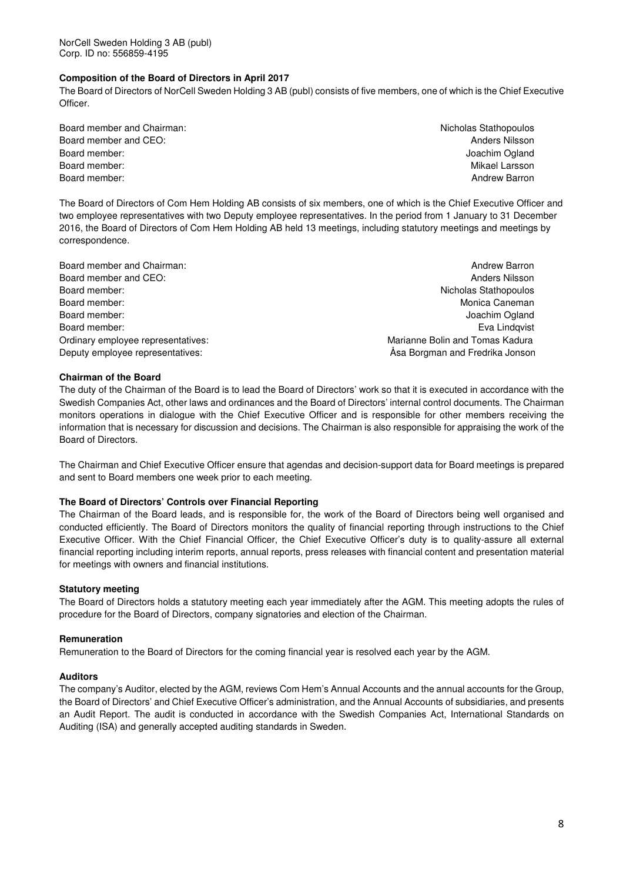#### **Composition of the Board of Directors in April 2017**

The Board of Directors of NorCell Sweden Holding 3 AB (publ) consists of five members, one of which is the Chief Executive Officer.

- Board member and Chairman: Nicholas Stathopoulos and Chairman: Nicholas Stathopoulos Board member and CEO: Anders Nilsson and CEO: Anders Nilsson and CEO: Anders Nilsson and CEO: Anders Nilsson and CEO: Anders Nilsson and CEO: Anders Nilsson and CEO: Anders Nilsson and CEO: Anders Nilsson and CEO: Anders N Board member: Joachim Ogland and The Board members and the United States of the United States of the United States of the United States of the United States of the United States of the United States of the United States of Board member: Nikael Larsson Nikael Larsson Nikael Larsson Nikael Larsson Nikael Larsson Nikael Larsson Nikael Larsson Nikael Larsson Nikael Larsson Nikael Larsson Nikael Larsson Nikael Larsson Nikael Larsson Nikael Larsso Board member: Andrew Barron and the Board members of the Board members of the Barron and the Board members of the Board members of the Board members of the Board members of the Board members of the Board members of the Boa
	-

The Board of Directors of Com Hem Holding AB consists of six members, one of which is the Chief Executive Officer and two employee representatives with two Deputy employee representatives. In the period from 1 January to 31 December 2016, the Board of Directors of Com Hem Holding AB held 13 meetings, including statutory meetings and meetings by correspondence.

Board member and Chairman: Andrew Barron and Chairman: Andrew Barron and The Barron and The Barron and The Barron and The Barron and The Barron and The Barron and The Barron and The Barron and The Barron and The Barron and Board member and CEO: Anders Nilsson and CEO: Anders Nilsson and CEO: Anders Nilsson and CEO: Anders Nilsson and CEO: Anders Nilsson and CEO: Anders Nilsson and CEO: Anders Nilsson and CEO: Anders Nilsson and CEO: Anders N Board member: Nicholas Stathopoulos Board member: North Monica Caneman and Society and Society and Society and Society and Monica Caneman and Monica Caneman and Society and Society and Society and Society and Society and Society and Society and Society and S Board member: Joachim Ogland and The Board member: Joachim Ogland and The Board member: Joachim Ogland and The Board members of the Board members of the Board members of the Board members of the Board members of the Board Board member: Eva Lindqvist Contract Contract Contract Contract Contract Contract Contract Contract Contract Contract Contract Contract Contract Contract Contract Contract Contract Contract Contract Contract Contract Contr Ordinary employee representatives: Marianne Bolin and Tomas Kadura Deputy employee representatives: Åsa Borgman and Fredrika Jonson

#### **Chairman of the Board**

The duty of the Chairman of the Board is to lead the Board of Directors' work so that it is executed in accordance with the Swedish Companies Act, other laws and ordinances and the Board of Directors' internal control documents. The Chairman monitors operations in dialogue with the Chief Executive Officer and is responsible for other members receiving the information that is necessary for discussion and decisions. The Chairman is also responsible for appraising the work of the Board of Directors.

The Chairman and Chief Executive Officer ensure that agendas and decision-support data for Board meetings is prepared and sent to Board members one week prior to each meeting.

#### **The Board of Directors' Controls over Financial Reporting**

The Chairman of the Board leads, and is responsible for, the work of the Board of Directors being well organised and conducted efficiently. The Board of Directors monitors the quality of financial reporting through instructions to the Chief Executive Officer. With the Chief Financial Officer, the Chief Executive Officer's duty is to quality-assure all external financial reporting including interim reports, annual reports, press releases with financial content and presentation material for meetings with owners and financial institutions.

#### **Statutory meeting**

The Board of Directors holds a statutory meeting each year immediately after the AGM. This meeting adopts the rules of procedure for the Board of Directors, company signatories and election of the Chairman.

#### **Remuneration**

Remuneration to the Board of Directors for the coming financial year is resolved each year by the AGM.

#### **Auditors**

The company's Auditor, elected by the AGM, reviews Com Hem's Annual Accounts and the annual accounts for the Group, the Board of Directors' and Chief Executive Officer's administration, and the Annual Accounts of subsidiaries, and presents an Audit Report. The audit is conducted in accordance with the Swedish Companies Act, International Standards on Auditing (ISA) and generally accepted auditing standards in Sweden.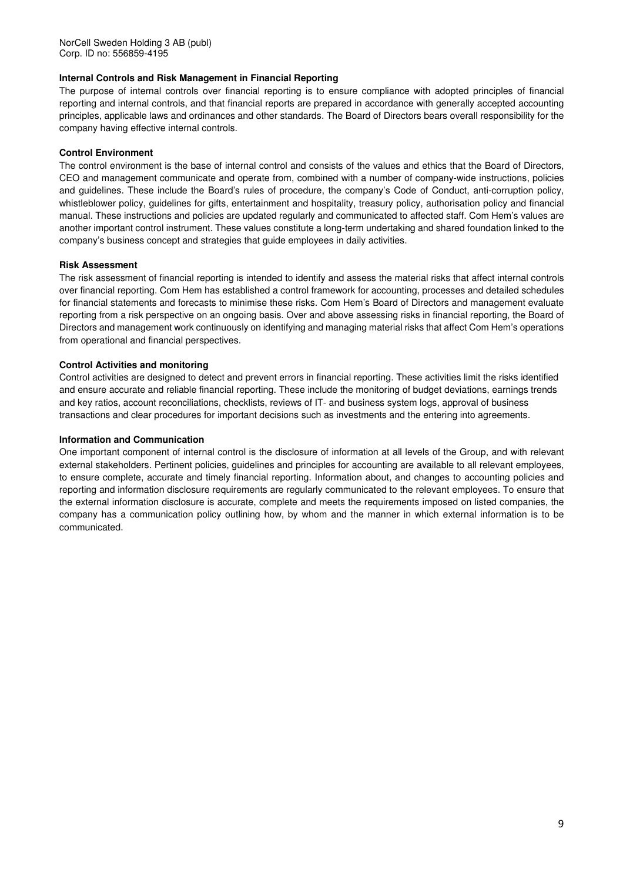#### **Internal Controls and Risk Management in Financial Reporting**

The purpose of internal controls over financial reporting is to ensure compliance with adopted principles of financial reporting and internal controls, and that financial reports are prepared in accordance with generally accepted accounting principles, applicable laws and ordinances and other standards. The Board of Directors bears overall responsibility for the company having effective internal controls.

#### **Control Environment**

The control environment is the base of internal control and consists of the values and ethics that the Board of Directors, CEO and management communicate and operate from, combined with a number of company-wide instructions, policies and guidelines. These include the Board's rules of procedure, the company's Code of Conduct, anti-corruption policy, whistleblower policy, guidelines for gifts, entertainment and hospitality, treasury policy, authorisation policy and financial manual. These instructions and policies are updated regularly and communicated to affected staff. Com Hem's values are another important control instrument. These values constitute a long-term undertaking and shared foundation linked to the company's business concept and strategies that guide employees in daily activities.

#### **Risk Assessment**

The risk assessment of financial reporting is intended to identify and assess the material risks that affect internal controls over financial reporting. Com Hem has established a control framework for accounting, processes and detailed schedules for financial statements and forecasts to minimise these risks. Com Hem's Board of Directors and management evaluate reporting from a risk perspective on an ongoing basis. Over and above assessing risks in financial reporting, the Board of Directors and management work continuously on identifying and managing material risks that affect Com Hem's operations from operational and financial perspectives.

#### **Control Activities and monitoring**

Control activities are designed to detect and prevent errors in financial reporting. These activities limit the risks identified and ensure accurate and reliable financial reporting. These include the monitoring of budget deviations, earnings trends and key ratios, account reconciliations, checklists, reviews of IT- and business system logs, approval of business transactions and clear procedures for important decisions such as investments and the entering into agreements.

#### **Information and Communication**

One important component of internal control is the disclosure of information at all levels of the Group, and with relevant external stakeholders. Pertinent policies, guidelines and principles for accounting are available to all relevant employees, to ensure complete, accurate and timely financial reporting. Information about, and changes to accounting policies and reporting and information disclosure requirements are regularly communicated to the relevant employees. To ensure that the external information disclosure is accurate, complete and meets the requirements imposed on listed companies, the company has a communication policy outlining how, by whom and the manner in which external information is to be communicated.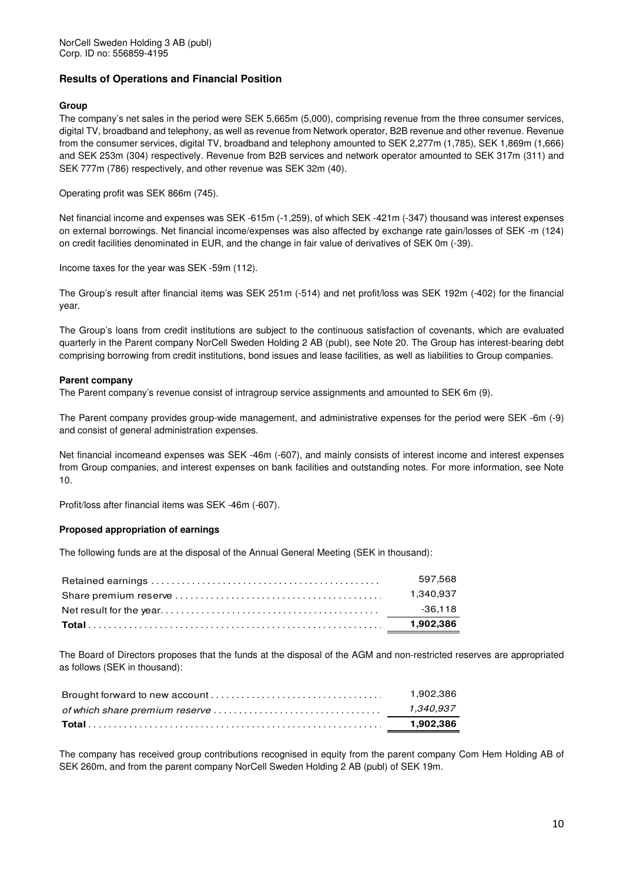#### **Results of Operations and Financial Position**

#### **Group**

The company's net sales in the period were SEK 5,665m (5,000), comprising revenue from the three consumer services, digital TV, broadband and telephony, as well as revenue from Network operator, B2B revenue and other revenue. Revenue from the consumer services, digital TV, broadband and telephony amounted to SEK 2,277m (1,785), SEK 1,869m (1,666) and SEK 253m (304) respectively. Revenue from B2B services and network operator amounted to SEK 317m (311) and SEK 777m (786) respectively, and other revenue was SEK 32m (40).

Operating profit was SEK 866m (745).

Net financial income and expenses was SEK -615m (-1,259), of which SEK -421m (-347) thousand was interest expenses on external borrowings. Net financial income/expenses was also affected by exchange rate gain/losses of SEK -m (124) on credit facilities denominated in EUR, and the change in fair value of derivatives of SEK 0m (-39).

Income taxes for the year was SEK -59m (112).

The Group's result after financial items was SEK 251m (-514) and net profit/loss was SEK 192m (-402) for the financial year.

The Group's loans from credit institutions are subject to the continuous satisfaction of covenants, which are evaluated quarterly in the Parent company NorCell Sweden Holding 2 AB (publ), see Note 20. The Group has interest-bearing debt comprising borrowing from credit institutions, bond issues and lease facilities, as well as liabilities to Group companies.

#### **Parent company**

The Parent company's revenue consist of intragroup service assignments and amounted to SEK 6m (9).

The Parent company provides group-wide management, and administrative expenses for the period were SEK -6m (-9) and consist of general administration expenses.

Net financial incomeand expenses was SEK -46m (-607), and mainly consists of interest income and interest expenses from Group companies, and interest expenses on bank facilities and outstanding notes. For more information, see Note 10.

Profit/loss after financial items was SEK -46m (-607).

#### **Proposed appropriation of earnings**

The following funds are at the disposal of the Annual General Meeting (SEK in thousand):

| 597.568   |
|-----------|
| 1.340.937 |
| $-36.118$ |
| 1.902.386 |

The Board of Directors proposes that the funds at the disposal of the AGM and non-restricted reserves are appropriated as follows (SEK in thousand):

| 1.902.386 |
|-----------|
| 1.340.937 |
| 1.902.386 |

The company has received group contributions recognised in equity from the parent company Com Hem Holding AB of SEK 260m, and from the parent company NorCell Sweden Holding 2 AB (publ) of SEK 19m.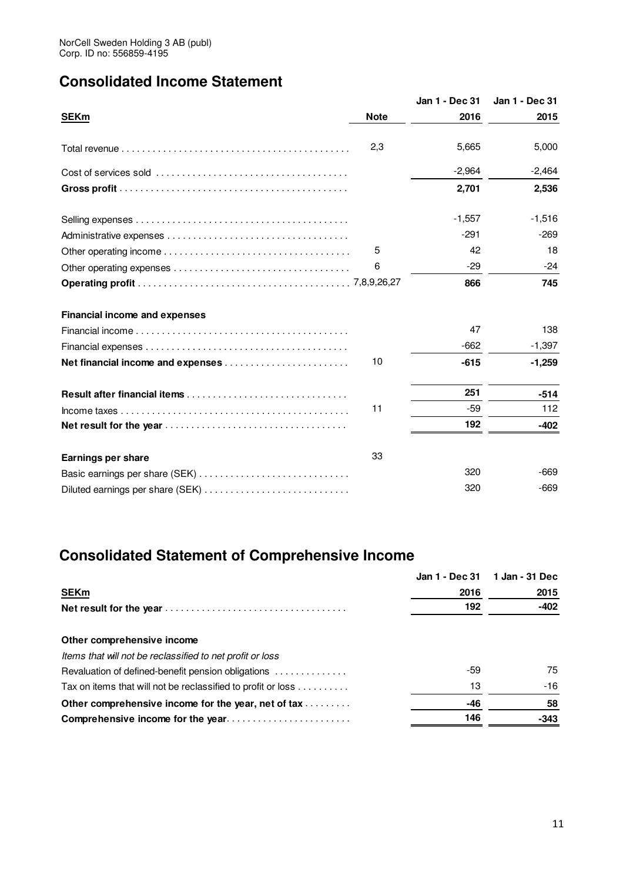# **Consolidated Income Statement**

|                                      |             | Jan 1 - Dec 31 | Jan 1 - Dec 31 |
|--------------------------------------|-------------|----------------|----------------|
| <b>SEKm</b>                          | <b>Note</b> | 2016           | 2015           |
|                                      | 2,3         | 5.665          | 5,000          |
|                                      |             | $-2,964$       | $-2,464$       |
|                                      |             | 2,701          | 2,536          |
|                                      |             | $-1,557$       | $-1,516$       |
|                                      |             | $-291$         | $-269$         |
|                                      | 5           | 42             | 18             |
|                                      | 6           | $-29$          | $-24$          |
|                                      |             | 866            | 745            |
| <b>Financial income and expenses</b> |             |                |                |
|                                      |             | 47             | 138            |
|                                      |             | $-662$         | $-1,397$       |
| Net financial income and expenses    | 10          | $-615$         | $-1,259$       |
|                                      |             | 251            | $-514$         |
|                                      | 11          | $-59$          | 112            |
|                                      |             | 192            | $-402$         |
| <b>Earnings per share</b>            | 33          |                |                |
|                                      |             | 320            | $-669$         |
| Diluted earnings per share (SEK)     |             | 320            | $-669$         |

# **Consolidated Statement of Comprehensive Income**

|                                                              | Jan 1 - Dec 31 | 1 Jan - 31 Dec |
|--------------------------------------------------------------|----------------|----------------|
| <b>SEKm</b>                                                  | 2016           | 2015           |
|                                                              | 192            | $-402$         |
| Other comprehensive income                                   |                |                |
| Items that will not be reclassified to net profit or loss    |                |                |
| Revaluation of defined-benefit pension obligations           | -59            | 75             |
| Tax on items that will not be reclassified to profit or loss | 13             | -16            |
| Other comprehensive income for the year, net of tax          | -46            | 58             |
| Comprehensive income for the year                            | 146            | $-343$         |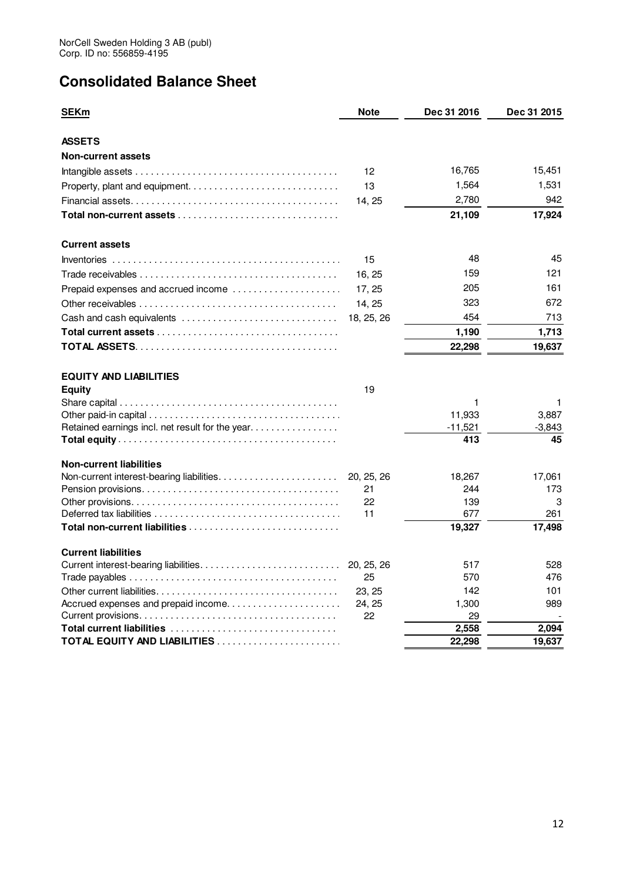# **Consolidated Balance Sheet**

| <b>SEKm</b>                                     | <b>Note</b>      | Dec 31 2016   | <b>Dec 31 2015</b> |
|-------------------------------------------------|------------------|---------------|--------------------|
| <b>ASSETS</b>                                   |                  |               |                    |
| <b>Non-current assets</b>                       |                  |               |                    |
|                                                 | 12               | 16,765        | 15,451             |
|                                                 | 13               | 1,564         | 1,531              |
|                                                 | 14, 25           | 2,780         | 942                |
|                                                 |                  | 21,109        | 17,924             |
| <b>Current assets</b>                           |                  |               |                    |
|                                                 | 15               | 48            | 45                 |
|                                                 | 16, 25           | 159           | 121                |
| Prepaid expenses and accrued income             | 17, 25           | 205           | 161                |
|                                                 | 14, 25           | 323           | 672                |
| Cash and cash equivalents                       | 18, 25, 26       | 454           | 713                |
|                                                 |                  | 1,190         | 1,713              |
|                                                 |                  | 22,298        | 19.637             |
| <b>EQUITY AND LIABILITIES</b>                   |                  |               |                    |
| <b>Equity</b>                                   | 19               |               |                    |
|                                                 |                  | 1             | 1                  |
|                                                 |                  | 11,933        | 3,887              |
| Retained earnings incl. net result for the year |                  | $-11,521$     | $-3,843$           |
|                                                 |                  | 413           | 45                 |
| <b>Non-current liabilities</b>                  |                  |               |                    |
|                                                 | 20, 25, 26<br>21 | 18,267<br>244 | 17,061<br>173      |
|                                                 | 22               | 139           | 3                  |
|                                                 | 11               | 677           | 261                |
|                                                 |                  | 19,327        | 17,498             |
| <b>Current liabilities</b>                      |                  |               |                    |
|                                                 | 20, 25, 26       | 517           | 528                |
|                                                 | 25               | 570           | 476                |
|                                                 | 23, 25           | 142           | 101                |
| Accrued expenses and prepaid income             | 24, 25<br>22     | 1,300<br>29   | 989                |
|                                                 |                  | 2,558         | 2,094              |
|                                                 |                  | 22,298        | 19,637             |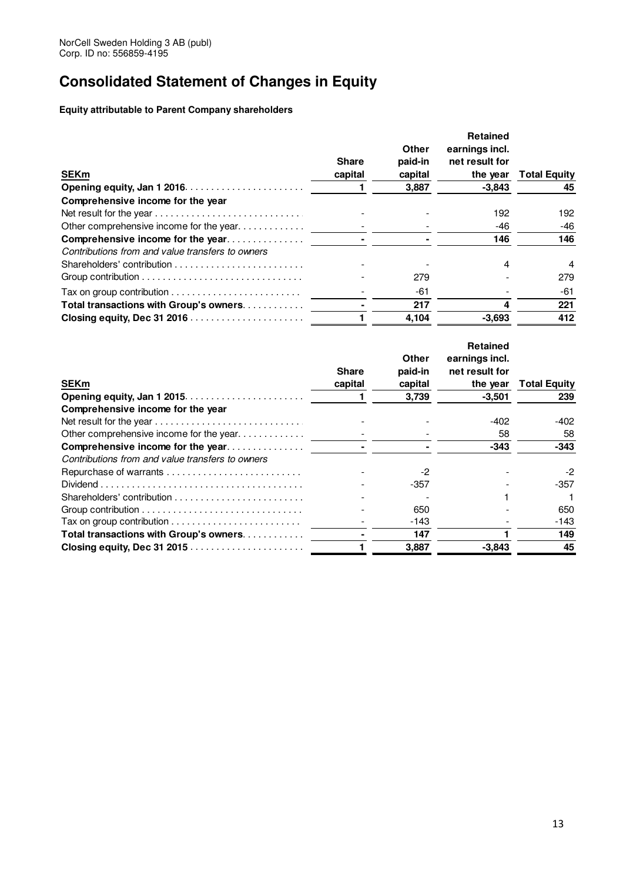# **Consolidated Statement of Changes in Equity**

**Equity attributable to Parent Company shareholders** 

| <b>SEKm</b>                                                                                | <b>Share</b><br>capital | Other<br>paid-in<br>capital | <b>Retained</b><br>earnings incl.<br>net result for<br>the year | <b>Total Equity</b> |
|--------------------------------------------------------------------------------------------|-------------------------|-----------------------------|-----------------------------------------------------------------|---------------------|
|                                                                                            |                         | 3,887                       | $-3,843$                                                        | 45                  |
| Comprehensive income for the year                                                          |                         |                             |                                                                 |                     |
|                                                                                            |                         |                             | 192                                                             | 192                 |
| Other comprehensive income for the year                                                    |                         |                             | -46                                                             | -46                 |
| Comprehensive income for the year                                                          |                         |                             | 146                                                             | 146                 |
| Contributions from and value transfers to owners                                           |                         |                             |                                                                 |                     |
|                                                                                            |                         |                             | 4                                                               | 4                   |
| Group contribution $\ldots \ldots \ldots \ldots \ldots \ldots \ldots \ldots \ldots \ldots$ |                         | 279                         |                                                                 | 279                 |
|                                                                                            |                         | -61                         |                                                                 | -61                 |
| Total transactions with Group's owners                                                     |                         | 217                         |                                                                 | 221                 |
|                                                                                            |                         | 4.104                       | $-3.693$                                                        | 412                 |

| Other<br>earnings incl.                                                                                |                     |
|--------------------------------------------------------------------------------------------------------|---------------------|
|                                                                                                        |                     |
| paid-in<br><b>Share</b><br>net result for                                                              |                     |
| <b>SEKm</b><br>capital<br>capital<br>the year                                                          | <b>Total Equity</b> |
| $-3,501$<br>3,739                                                                                      | 239                 |
| Comprehensive income for the year                                                                      |                     |
| -402                                                                                                   | -402                |
| Other comprehensive income for the year<br>58                                                          | 58                  |
| Comprehensive income for the year<br>$-343$                                                            | $-343$              |
| Contributions from and value transfers to owners                                                       |                     |
| Repurchase of warrants<br>$-2$                                                                         | $-2$                |
| $Dividend \dots \dots \dots \dots \dots \dots \dots \dots \dots \dots \dots \dots \dots \dots$<br>-357 | -357                |
|                                                                                                        |                     |
| 650                                                                                                    | 650                 |
| -143                                                                                                   | -143                |
| Total transactions with Group's owners<br>147                                                          | 149                 |
| $-3.843$<br>3,887                                                                                      | 45                  |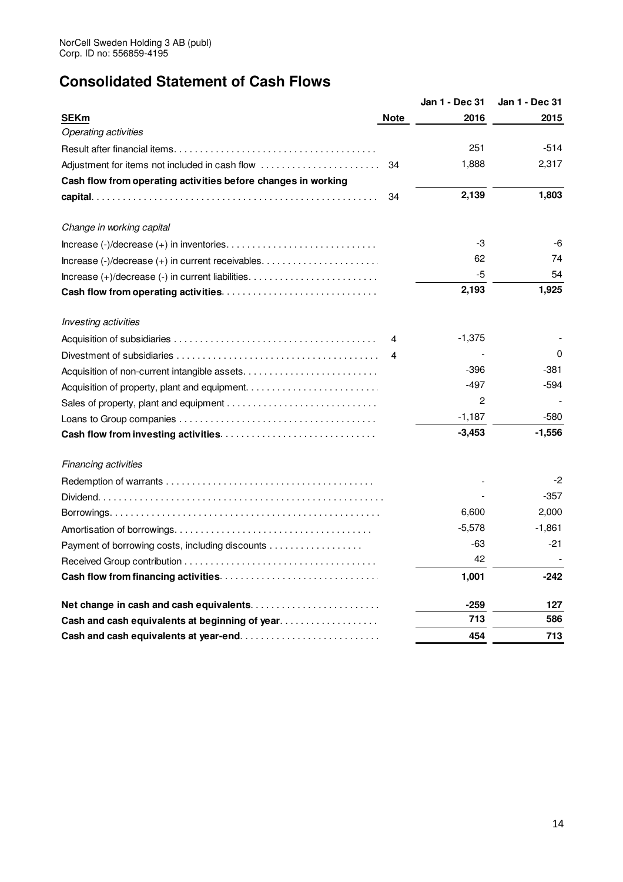# **Consolidated Statement of Cash Flows**

|                                                               |             | Jan 1 - Dec 31 | Jan 1 - Dec 31 |
|---------------------------------------------------------------|-------------|----------------|----------------|
| <b>SEKm</b>                                                   | <b>Note</b> | 2016           | 2015           |
| <b>Operating activities</b>                                   |             |                |                |
|                                                               |             | 251            | $-514$         |
|                                                               | 34          | 1,888          | 2,317          |
| Cash flow from operating activities before changes in working |             |                |                |
|                                                               | 34          | 2,139          | 1,803          |
| Change in working capital                                     |             |                |                |
|                                                               |             | -3             | -6             |
|                                                               |             | 62             | 74             |
|                                                               |             | -5             | 54             |
|                                                               |             | 2,193          | 1,925          |
| Investing activities                                          |             |                |                |
|                                                               |             | $-1,375$       |                |
|                                                               |             |                | 0              |
|                                                               |             | $-396$         | -381           |
|                                                               |             | $-497$         | $-594$         |
|                                                               |             | $\overline{c}$ |                |
|                                                               |             | $-1,187$       | -580           |
| <b>Cash flow from investing activities</b>                    |             | $-3,453$       | $-1,556$       |
| Financing activities                                          |             |                |                |
|                                                               |             |                | $-2$           |
|                                                               |             |                | $-357$         |
|                                                               |             | 6,600          | 2,000          |
|                                                               |             | $-5,578$       | $-1,861$       |
| Payment of borrowing costs, including discounts               |             | -63            | $-21$          |
|                                                               |             | 42             |                |
|                                                               |             | 1,001          | -242           |
|                                                               |             | -259           | 127            |
| Cash and cash equivalents at beginning of year                |             | 713            | 586            |
|                                                               |             | 454            | 713            |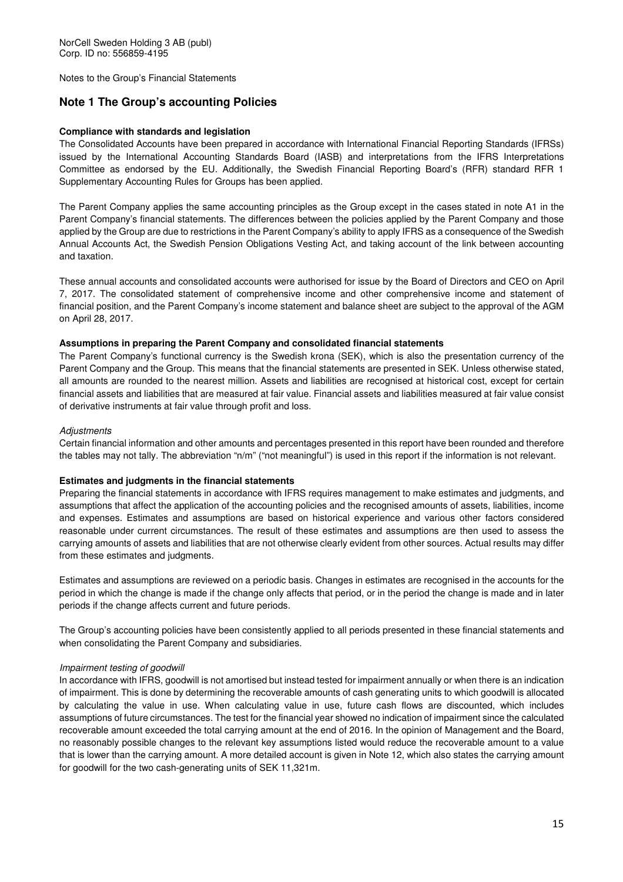Notes to the Group's Financial Statements

### **Note 1 The Group's accounting Policies**

#### **Compliance with standards and legislation**

The Consolidated Accounts have been prepared in accordance with International Financial Reporting Standards (IFRSs) issued by the International Accounting Standards Board (IASB) and interpretations from the IFRS Interpretations Committee as endorsed by the EU. Additionally, the Swedish Financial Reporting Board's (RFR) standard RFR 1 Supplementary Accounting Rules for Groups has been applied.

The Parent Company applies the same accounting principles as the Group except in the cases stated in note A1 in the Parent Company's financial statements. The differences between the policies applied by the Parent Company and those applied by the Group are due to restrictions in the Parent Company's ability to apply IFRS as a consequence of the Swedish Annual Accounts Act, the Swedish Pension Obligations Vesting Act, and taking account of the link between accounting and taxation.

These annual accounts and consolidated accounts were authorised for issue by the Board of Directors and CEO on April 7, 2017. The consolidated statement of comprehensive income and other comprehensive income and statement of financial position, and the Parent Company's income statement and balance sheet are subject to the approval of the AGM on April 28, 2017.

#### **Assumptions in preparing the Parent Company and consolidated financial statements**

The Parent Company's functional currency is the Swedish krona (SEK), which is also the presentation currency of the Parent Company and the Group. This means that the financial statements are presented in SEK. Unless otherwise stated, all amounts are rounded to the nearest million. Assets and liabilities are recognised at historical cost, except for certain financial assets and liabilities that are measured at fair value. Financial assets and liabilities measured at fair value consist of derivative instruments at fair value through profit and loss.

#### **Adjustments**

Certain financial information and other amounts and percentages presented in this report have been rounded and therefore the tables may not tally. The abbreviation "n/m" ("not meaningful") is used in this report if the information is not relevant.

#### **Estimates and judgments in the financial statements**

Preparing the financial statements in accordance with IFRS requires management to make estimates and judgments, and assumptions that affect the application of the accounting policies and the recognised amounts of assets, liabilities, income and expenses. Estimates and assumptions are based on historical experience and various other factors considered reasonable under current circumstances. The result of these estimates and assumptions are then used to assess the carrying amounts of assets and liabilities that are not otherwise clearly evident from other sources. Actual results may differ from these estimates and judgments.

Estimates and assumptions are reviewed on a periodic basis. Changes in estimates are recognised in the accounts for the period in which the change is made if the change only affects that period, or in the period the change is made and in later periods if the change affects current and future periods.

The Group's accounting policies have been consistently applied to all periods presented in these financial statements and when consolidating the Parent Company and subsidiaries.

#### Impairment testing of goodwill

In accordance with IFRS, goodwill is not amortised but instead tested for impairment annually or when there is an indication of impairment. This is done by determining the recoverable amounts of cash generating units to which goodwill is allocated by calculating the value in use. When calculating value in use, future cash flows are discounted, which includes assumptions of future circumstances. The test for the financial year showed no indication of impairment since the calculated recoverable amount exceeded the total carrying amount at the end of 2016. In the opinion of Management and the Board, no reasonably possible changes to the relevant key assumptions listed would reduce the recoverable amount to a value that is lower than the carrying amount. A more detailed account is given in Note 12, which also states the carrying amount for goodwill for the two cash-generating units of SEK 11,321m.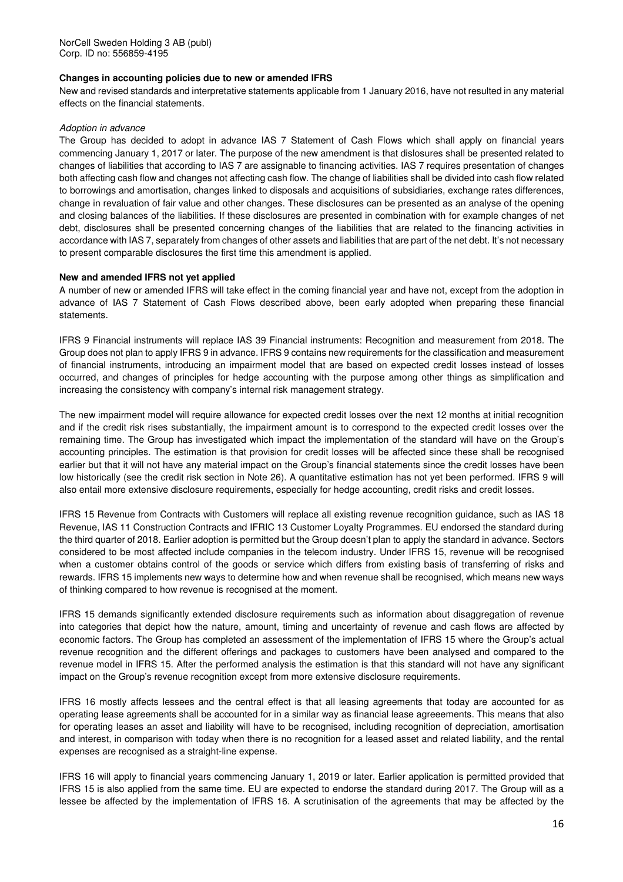#### **Changes in accounting policies due to new or amended IFRS**

New and revised standards and interpretative statements applicable from 1 January 2016, have not resulted in any material effects on the financial statements.

#### Adoption in advance

The Group has decided to adopt in advance IAS 7 Statement of Cash Flows which shall apply on financial years commencing January 1, 2017 or later. The purpose of the new amendment is that dislosures shall be presented related to changes of liabilities that according to IAS 7 are assignable to financing activities. IAS 7 requires presentation of changes both affecting cash flow and changes not affecting cash flow. The change of liabilities shall be divided into cash flow related to borrowings and amortisation, changes linked to disposals and acquisitions of subsidiaries, exchange rates differences, change in revaluation of fair value and other changes. These disclosures can be presented as an analyse of the opening and closing balances of the liabilities. If these disclosures are presented in combination with for example changes of net debt, disclosures shall be presented concerning changes of the liabilities that are related to the financing activities in accordance with IAS 7, separately from changes of other assets and liabilities that are part of the net debt. It's not necessary to present comparable disclosures the first time this amendment is applied.

#### **New and amended IFRS not yet applied**

A number of new or amended IFRS will take effect in the coming financial year and have not, except from the adoption in advance of IAS 7 Statement of Cash Flows described above, been early adopted when preparing these financial statements.

IFRS 9 Financial instruments will replace IAS 39 Financial instruments: Recognition and measurement from 2018. The Group does not plan to apply IFRS 9 in advance. IFRS 9 contains new requirements for the classification and measurement of financial instruments, introducing an impairment model that are based on expected credit losses instead of losses occurred, and changes of principles for hedge accounting with the purpose among other things as simplification and increasing the consistency with company's internal risk management strategy.

The new impairment model will require allowance for expected credit losses over the next 12 months at initial recognition and if the credit risk rises substantially, the impairment amount is to correspond to the expected credit losses over the remaining time. The Group has investigated which impact the implementation of the standard will have on the Group's accounting principles. The estimation is that provision for credit losses will be affected since these shall be recognised earlier but that it will not have any material impact on the Group's financial statements since the credit losses have been low historically (see the credit risk section in Note 26). A quantitative estimation has not yet been performed. IFRS 9 will also entail more extensive disclosure requirements, especially for hedge accounting, credit risks and credit losses.

IFRS 15 Revenue from Contracts with Customers will replace all existing revenue recognition guidance, such as IAS 18 Revenue, IAS 11 Construction Contracts and IFRIC 13 Customer Loyalty Programmes. EU endorsed the standard during the third quarter of 2018. Earlier adoption is permitted but the Group doesn't plan to apply the standard in advance. Sectors considered to be most affected include companies in the telecom industry. Under IFRS 15, revenue will be recognised when a customer obtains control of the goods or service which differs from existing basis of transferring of risks and rewards. IFRS 15 implements new ways to determine how and when revenue shall be recognised, which means new ways of thinking compared to how revenue is recognised at the moment.

IFRS 15 demands significantly extended disclosure requirements such as information about disaggregation of revenue into categories that depict how the nature, amount, timing and uncertainty of revenue and cash flows are affected by economic factors. The Group has completed an assessment of the implementation of IFRS 15 where the Group's actual revenue recognition and the different offerings and packages to customers have been analysed and compared to the revenue model in IFRS 15. After the performed analysis the estimation is that this standard will not have any significant impact on the Group's revenue recognition except from more extensive disclosure requirements.

IFRS 16 mostly affects lessees and the central effect is that all leasing agreements that today are accounted for as operating lease agreements shall be accounted for in a similar way as financial lease agreeements. This means that also for operating leases an asset and liability will have to be recognised, including recognition of depreciation, amortisation and interest, in comparison with today when there is no recognition for a leased asset and related liability, and the rental expenses are recognised as a straight-line expense.

IFRS 16 will apply to financial years commencing January 1, 2019 or later. Earlier application is permitted provided that IFRS 15 is also applied from the same time. EU are expected to endorse the standard during 2017. The Group will as a lessee be affected by the implementation of IFRS 16. A scrutinisation of the agreements that may be affected by the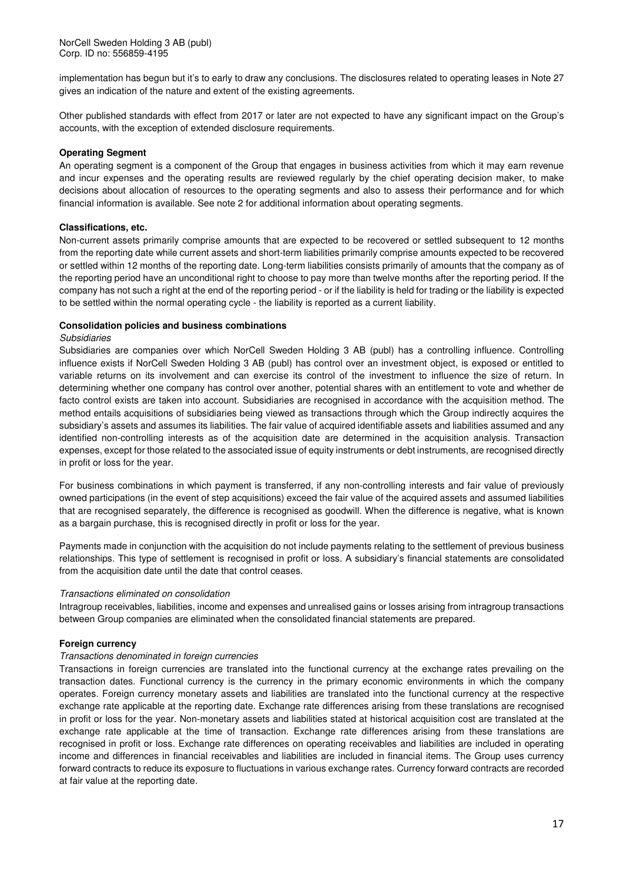implementation has begun but it's to early to draw any conclusions. The disclosures related to operating leases in Note 27 gives an indication of the nature and extent of the existing agreements.

Other published standards with effect from 2017 or later are not expected to have any significant impact on the Group's accounts, with the exception of extended disclosure requirements.

#### **Operating Segment**

An operating segment is a component of the Group that engages in business activities from which it may earn revenue and incur expenses and the operating results are reviewed regularly by the chief operating decision maker, to make decisions about allocation of resources to the operating segments and also to assess their performance and for which financial information is available. See note 2 for additional information about operating segments.

#### **Classifications, etc.**

Non-current assets primarily comprise amounts that are expected to be recovered or settled subsequent to 12 months from the reporting date while current assets and short-term liabilities primarily comprise amounts expected to be recovered or settled within 12 months of the reporting date. Long-term liabilities consists primarily of amounts that the company as of the reporting period have an unconditional right to choose to pay more than twelve months after the reporting period. If the company has not such a right at the end of the reporting period - or if the liability is held for trading or the liability is expected to be settled within the normal operating cycle - the liability is reported as a current liability.

#### **Consolidation policies and business combinations**

#### Subsidiaries

Subsidiaries are companies over which NorCell Sweden Holding 3 AB (publ) has a controlling influence. Controlling influence exists if NorCell Sweden Holding 3 AB (publ) has control over an investment object, is exposed or entitled to variable returns on its involvement and can exercise its control of the investment to influence the size of return. In determining whether one company has control over another, potential shares with an entitlement to vote and whether de facto control exists are taken into account. Subsidiaries are recognised in accordance with the acquisition method. The method entails acquisitions of subsidiaries being viewed as transactions through which the Group indirectly acquires the subsidiary's assets and assumes its liabilities. The fair value of acquired identifiable assets and liabilities assumed and any identified non-controlling interests as of the acquisition date are determined in the acquisition analysis. Transaction expenses, except for those related to the associated issue of equity instruments or debt instruments, are recognised directly in profit or loss for the year.

For business combinations in which payment is transferred, if any non-controlling interests and fair value of previously owned participations (in the event of step acquisitions) exceed the fair value of the acquired assets and assumed liabilities that are recognised separately, the difference is recognised as goodwill. When the difference is negative, what is known as a bargain purchase, this is recognised directly in profit or loss for the year.

Payments made in conjunction with the acquisition do not include payments relating to the settlement of previous business relationships. This type of settlement is recognised in profit or loss. A subsidiary's financial statements are consolidated from the acquisition date until the date that control ceases.

#### Transactions eliminated on consolidation

Intragroup receivables, liabilities, income and expenses and unrealised gains or losses arising from intragroup transactions between Group companies are eliminated when the consolidated financial statements are prepared.

#### **Foreign currency**

#### Transactions denominated in foreign currencies

Transactions in foreign currencies are translated into the functional currency at the exchange rates prevailing on the transaction dates. Functional currency is the currency in the primary economic environments in which the company operates. Foreign currency monetary assets and liabilities are translated into the functional currency at the respective exchange rate applicable at the reporting date. Exchange rate differences arising from these translations are recognised in profit or loss for the year. Non-monetary assets and liabilities stated at historical acquisition cost are translated at the exchange rate applicable at the time of transaction. Exchange rate differences arising from these translations are recognised in profit or loss. Exchange rate differences on operating receivables and liabilities are included in operating income and differences in financial receivables and liabilities are included in financial items. The Group uses currency forward contracts to reduce its exposure to fluctuations in various exchange rates. Currency forward contracts are recorded at fair value at the reporting date.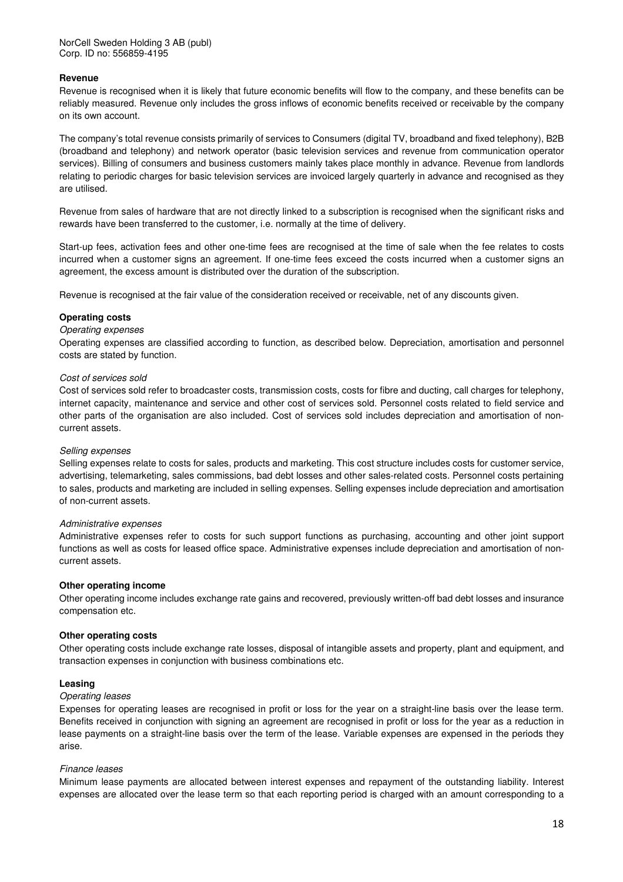#### **Revenue**

Revenue is recognised when it is likely that future economic benefits will flow to the company, and these benefits can be reliably measured. Revenue only includes the gross inflows of economic benefits received or receivable by the company on its own account.

The company's total revenue consists primarily of services to Consumers (digital TV, broadband and fixed telephony), B2B (broadband and telephony) and network operator (basic television services and revenue from communication operator services). Billing of consumers and business customers mainly takes place monthly in advance. Revenue from landlords relating to periodic charges for basic television services are invoiced largely quarterly in advance and recognised as they are utilised.

Revenue from sales of hardware that are not directly linked to a subscription is recognised when the significant risks and rewards have been transferred to the customer, i.e. normally at the time of delivery.

Start-up fees, activation fees and other one-time fees are recognised at the time of sale when the fee relates to costs incurred when a customer signs an agreement. If one-time fees exceed the costs incurred when a customer signs an agreement, the excess amount is distributed over the duration of the subscription.

Revenue is recognised at the fair value of the consideration received or receivable, net of any discounts given.

#### **Operating costs**

#### Operating expenses

Operating expenses are classified according to function, as described below. Depreciation, amortisation and personnel costs are stated by function.

#### Cost of services sold

Cost of services sold refer to broadcaster costs, transmission costs, costs for fibre and ducting, call charges for telephony, internet capacity, maintenance and service and other cost of services sold. Personnel costs related to field service and other parts of the organisation are also included. Cost of services sold includes depreciation and amortisation of noncurrent assets.

#### Selling expenses

Selling expenses relate to costs for sales, products and marketing. This cost structure includes costs for customer service, advertising, telemarketing, sales commissions, bad debt losses and other sales-related costs. Personnel costs pertaining to sales, products and marketing are included in selling expenses. Selling expenses include depreciation and amortisation of non-current assets.

#### Administrative expenses

Administrative expenses refer to costs for such support functions as purchasing, accounting and other joint support functions as well as costs for leased office space. Administrative expenses include depreciation and amortisation of noncurrent assets.

#### **Other operating income**

Other operating income includes exchange rate gains and recovered, previously written-off bad debt losses and insurance compensation etc.

#### **Other operating costs**

Other operating costs include exchange rate losses, disposal of intangible assets and property, plant and equipment, and transaction expenses in conjunction with business combinations etc.

#### **Leasing**

#### Operating leases

Expenses for operating leases are recognised in profit or loss for the year on a straight-line basis over the lease term. Benefits received in conjunction with signing an agreement are recognised in profit or loss for the year as a reduction in lease payments on a straight-line basis over the term of the lease. Variable expenses are expensed in the periods they arise.

#### Finance leases

Minimum lease payments are allocated between interest expenses and repayment of the outstanding liability. Interest expenses are allocated over the lease term so that each reporting period is charged with an amount corresponding to a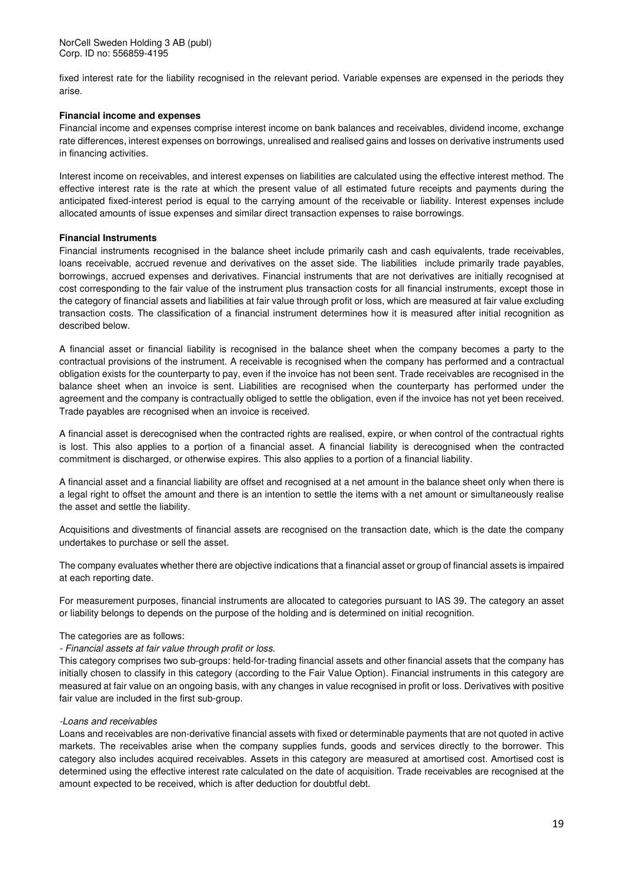fixed interest rate for the liability recognised in the relevant period. Variable expenses are expensed in the periods they arise.

#### **Financial income and expenses**

Financial income and expenses comprise interest income on bank balances and receivables, dividend income, exchange rate differences, interest expenses on borrowings, unrealised and realised gains and losses on derivative instruments used in financing activities.

Interest income on receivables, and interest expenses on liabilities are calculated using the effective interest method. The effective interest rate is the rate at which the present value of all estimated future receipts and payments during the anticipated fixed-interest period is equal to the carrying amount of the receivable or liability. Interest expenses include allocated amounts of issue expenses and similar direct transaction expenses to raise borrowings.

#### **Financial Instruments**

Financial instruments recognised in the balance sheet include primarily cash and cash equivalents, trade receivables, loans receivable, accrued revenue and derivatives on the asset side. The liabilities include primarily trade payables, borrowings, accrued expenses and derivatives. Financial instruments that are not derivatives are initially recognised at cost corresponding to the fair value of the instrument plus transaction costs for all financial instruments, except those in the category of financial assets and liabilities at fair value through profit or loss, which are measured at fair value excluding transaction costs. The classification of a financial instrument determines how it is measured after initial recognition as described below.

A financial asset or financial liability is recognised in the balance sheet when the company becomes a party to the contractual provisions of the instrument. A receivable is recognised when the company has performed and a contractual obligation exists for the counterparty to pay, even if the invoice has not been sent. Trade receivables are recognised in the balance sheet when an invoice is sent. Liabilities are recognised when the counterparty has performed under the agreement and the company is contractually obliged to settle the obligation, even if the invoice has not yet been received. Trade payables are recognised when an invoice is received.

A financial asset is derecognised when the contracted rights are realised, expire, or when control of the contractual rights is lost. This also applies to a portion of a financial asset. A financial liability is derecognised when the contracted commitment is discharged, or otherwise expires. This also applies to a portion of a financial liability.

A financial asset and a financial liability are offset and recognised at a net amount in the balance sheet only when there is a legal right to offset the amount and there is an intention to settle the items with a net amount or simultaneously realise the asset and settle the liability.

Acquisitions and divestments of financial assets are recognised on the transaction date, which is the date the company undertakes to purchase or sell the asset.

The company evaluates whether there are objective indications that a financial asset or group of financial assets is impaired at each reporting date.

For measurement purposes, financial instruments are allocated to categories pursuant to IAS 39. The category an asset or liability belongs to depends on the purpose of the holding and is determined on initial recognition.

#### The categories are as follows:

#### - Financial assets at fair value through profit or loss.

This category comprises two sub-groups: held-for-trading financial assets and other financial assets that the company has initially chosen to classify in this category (according to the Fair Value Option). Financial instruments in this category are measured at fair value on an ongoing basis, with any changes in value recognised in profit or loss. Derivatives with positive fair value are included in the first sub-group.

#### -Loans and receivables

Loans and receivables are non-derivative financial assets with fixed or determinable payments that are not quoted in active markets. The receivables arise when the company supplies funds, goods and services directly to the borrower. This category also includes acquired receivables. Assets in this category are measured at amortised cost. Amortised cost is determined using the effective interest rate calculated on the date of acquisition. Trade receivables are recognised at the amount expected to be received, which is after deduction for doubtful debt.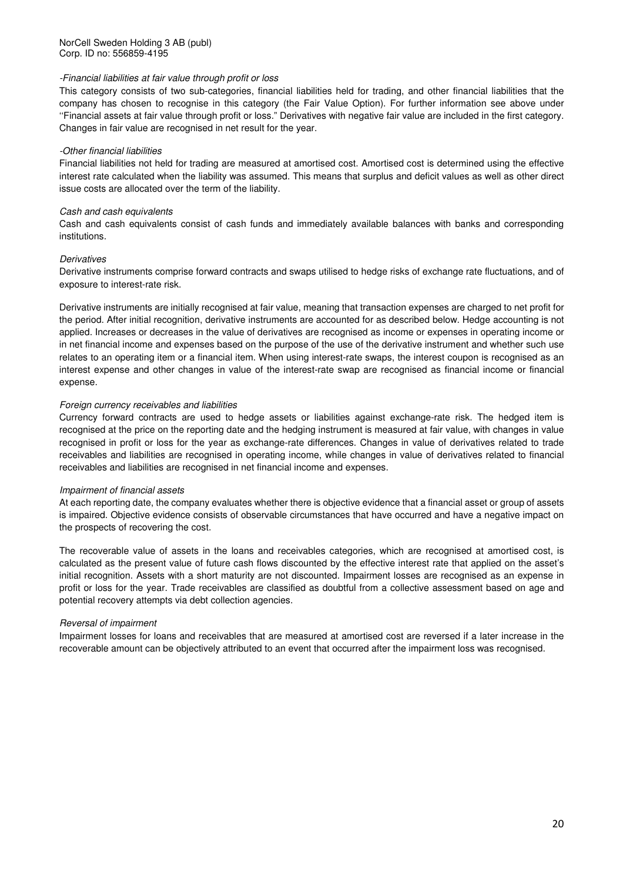#### -Financial liabilities at fair value through profit or loss

This category consists of two sub-categories, financial liabilities held for trading, and other financial liabilities that the company has chosen to recognise in this category (the Fair Value Option). For further information see above under ''Financial assets at fair value through profit or loss." Derivatives with negative fair value are included in the first category. Changes in fair value are recognised in net result for the year.

#### -Other financial liabilities

Financial liabilities not held for trading are measured at amortised cost. Amortised cost is determined using the effective interest rate calculated when the liability was assumed. This means that surplus and deficit values as well as other direct issue costs are allocated over the term of the liability.

#### Cash and cash equivalents

Cash and cash equivalents consist of cash funds and immediately available balances with banks and corresponding institutions.

#### **Derivatives**

Derivative instruments comprise forward contracts and swaps utilised to hedge risks of exchange rate fluctuations, and of exposure to interest-rate risk.

Derivative instruments are initially recognised at fair value, meaning that transaction expenses are charged to net profit for the period. After initial recognition, derivative instruments are accounted for as described below. Hedge accounting is not applied. Increases or decreases in the value of derivatives are recognised as income or expenses in operating income or in net financial income and expenses based on the purpose of the use of the derivative instrument and whether such use relates to an operating item or a financial item. When using interest-rate swaps, the interest coupon is recognised as an interest expense and other changes in value of the interest-rate swap are recognised as financial income or financial expense.

#### Foreign currency receivables and liabilities

Currency forward contracts are used to hedge assets or liabilities against exchange-rate risk. The hedged item is recognised at the price on the reporting date and the hedging instrument is measured at fair value, with changes in value recognised in profit or loss for the year as exchange-rate differences. Changes in value of derivatives related to trade receivables and liabilities are recognised in operating income, while changes in value of derivatives related to financial receivables and liabilities are recognised in net financial income and expenses.

#### Impairment of financial assets

At each reporting date, the company evaluates whether there is objective evidence that a financial asset or group of assets is impaired. Objective evidence consists of observable circumstances that have occurred and have a negative impact on the prospects of recovering the cost.

The recoverable value of assets in the loans and receivables categories, which are recognised at amortised cost, is calculated as the present value of future cash flows discounted by the effective interest rate that applied on the asset's initial recognition. Assets with a short maturity are not discounted. Impairment losses are recognised as an expense in profit or loss for the year. Trade receivables are classified as doubtful from a collective assessment based on age and potential recovery attempts via debt collection agencies.

#### Reversal of impairment

Impairment losses for loans and receivables that are measured at amortised cost are reversed if a later increase in the recoverable amount can be objectively attributed to an event that occurred after the impairment loss was recognised.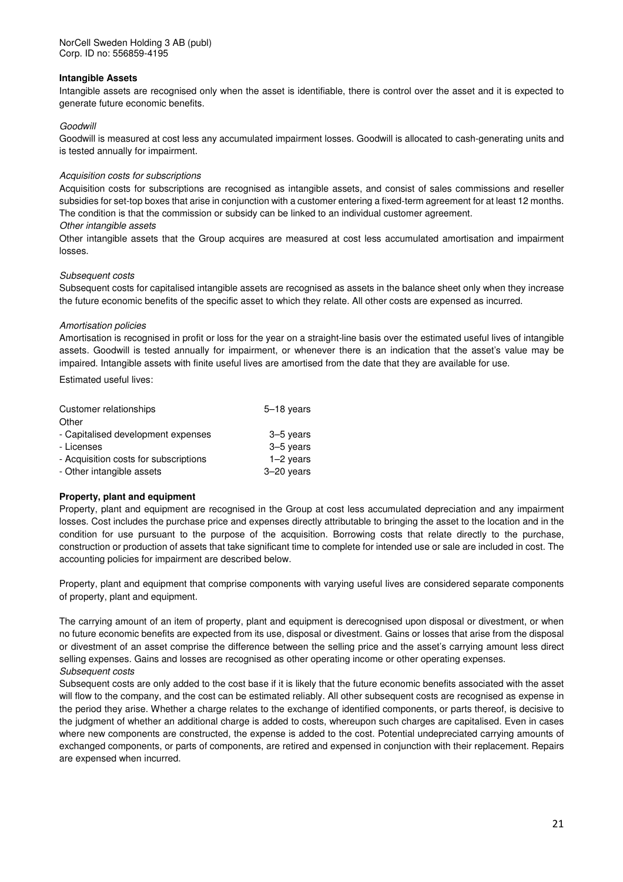#### **Intangible Assets**

Intangible assets are recognised only when the asset is identifiable, there is control over the asset and it is expected to generate future economic benefits.

#### Goodwill

Goodwill is measured at cost less any accumulated impairment losses. Goodwill is allocated to cash-generating units and is tested annually for impairment.

#### Acquisition costs for subscriptions

Acquisition costs for subscriptions are recognised as intangible assets, and consist of sales commissions and reseller subsidies for set-top boxes that arise in conjunction with a customer entering a fixed-term agreement for at least 12 months. The condition is that the commission or subsidy can be linked to an individual customer agreement.

#### Other intangible assets

Other intangible assets that the Group acquires are measured at cost less accumulated amortisation and impairment losses.

#### Subsequent costs

Subsequent costs for capitalised intangible assets are recognised as assets in the balance sheet only when they increase the future economic benefits of the specific asset to which they relate. All other costs are expensed as incurred.

#### Amortisation policies

Amortisation is recognised in profit or loss for the year on a straight-line basis over the estimated useful lives of intangible assets. Goodwill is tested annually for impairment, or whenever there is an indication that the asset's value may be impaired. Intangible assets with finite useful lives are amortised from the date that they are available for use.

Estimated useful lives:

| Customer relationships                | $5-18$ years |
|---------------------------------------|--------------|
| Other                                 |              |
| - Capitalised development expenses    | $3-5$ years  |
| - Licenses                            | 3-5 years    |
| - Acquisition costs for subscriptions | $1-2$ years  |
| - Other intangible assets             | $3-20$ years |

#### **Property, plant and equipment**

Property, plant and equipment are recognised in the Group at cost less accumulated depreciation and any impairment losses. Cost includes the purchase price and expenses directly attributable to bringing the asset to the location and in the condition for use pursuant to the purpose of the acquisition. Borrowing costs that relate directly to the purchase, construction or production of assets that take significant time to complete for intended use or sale are included in cost. The accounting policies for impairment are described below.

Property, plant and equipment that comprise components with varying useful lives are considered separate components of property, plant and equipment.

The carrying amount of an item of property, plant and equipment is derecognised upon disposal or divestment, or when no future economic benefits are expected from its use, disposal or divestment. Gains or losses that arise from the disposal or divestment of an asset comprise the difference between the selling price and the asset's carrying amount less direct selling expenses. Gains and losses are recognised as other operating income or other operating expenses. Subsequent costs

Subsequent costs are only added to the cost base if it is likely that the future economic benefits associated with the asset will flow to the company, and the cost can be estimated reliably. All other subsequent costs are recognised as expense in the period they arise. Whether a charge relates to the exchange of identified components, or parts thereof, is decisive to the judgment of whether an additional charge is added to costs, whereupon such charges are capitalised. Even in cases where new components are constructed, the expense is added to the cost. Potential undepreciated carrying amounts of exchanged components, or parts of components, are retired and expensed in conjunction with their replacement. Repairs are expensed when incurred.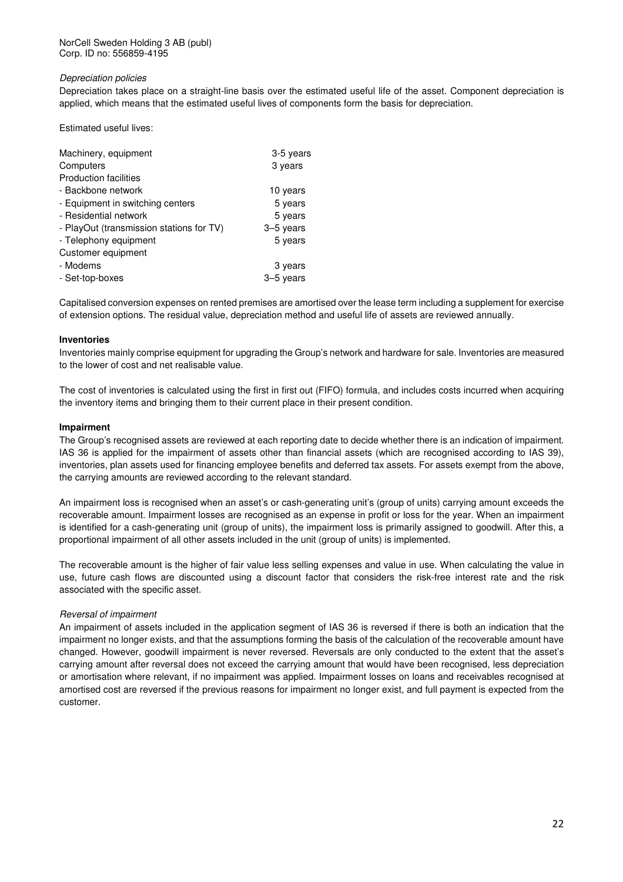#### Depreciation policies

Depreciation takes place on a straight-line basis over the estimated useful life of the asset. Component depreciation is applied, which means that the estimated useful lives of components form the basis for depreciation.

Estimated useful lives:

| Machinery, equipment                     | 3-5 years |
|------------------------------------------|-----------|
| Computers                                | 3 years   |
| <b>Production facilities</b>             |           |
| - Backbone network                       | 10 years  |
| - Equipment in switching centers         | 5 years   |
| - Residential network                    | 5 years   |
| - PlayOut (transmission stations for TV) | 3-5 years |
| - Telephony equipment                    | 5 years   |
| Customer equipment                       |           |
| - Modems                                 | 3 years   |
| - Set-top-boxes                          | 3-5 years |

Capitalised conversion expenses on rented premises are amortised over the lease term including a supplement for exercise of extension options. The residual value, depreciation method and useful life of assets are reviewed annually.

#### **Inventories**

Inventories mainly comprise equipment for upgrading the Group's network and hardware for sale. Inventories are measured to the lower of cost and net realisable value.

The cost of inventories is calculated using the first in first out (FIFO) formula, and includes costs incurred when acquiring the inventory items and bringing them to their current place in their present condition.

#### **Impairment**

The Group's recognised assets are reviewed at each reporting date to decide whether there is an indication of impairment. IAS 36 is applied for the impairment of assets other than financial assets (which are recognised according to IAS 39), inventories, plan assets used for financing employee benefits and deferred tax assets. For assets exempt from the above, the carrying amounts are reviewed according to the relevant standard.

An impairment loss is recognised when an asset's or cash-generating unit's (group of units) carrying amount exceeds the recoverable amount. Impairment losses are recognised as an expense in profit or loss for the year. When an impairment is identified for a cash-generating unit (group of units), the impairment loss is primarily assigned to goodwill. After this, a proportional impairment of all other assets included in the unit (group of units) is implemented.

The recoverable amount is the higher of fair value less selling expenses and value in use. When calculating the value in use, future cash flows are discounted using a discount factor that considers the risk-free interest rate and the risk associated with the specific asset.

#### Reversal of impairment

An impairment of assets included in the application segment of IAS 36 is reversed if there is both an indication that the impairment no longer exists, and that the assumptions forming the basis of the calculation of the recoverable amount have changed. However, goodwill impairment is never reversed. Reversals are only conducted to the extent that the asset's carrying amount after reversal does not exceed the carrying amount that would have been recognised, less depreciation or amortisation where relevant, if no impairment was applied. Impairment losses on loans and receivables recognised at amortised cost are reversed if the previous reasons for impairment no longer exist, and full payment is expected from the customer.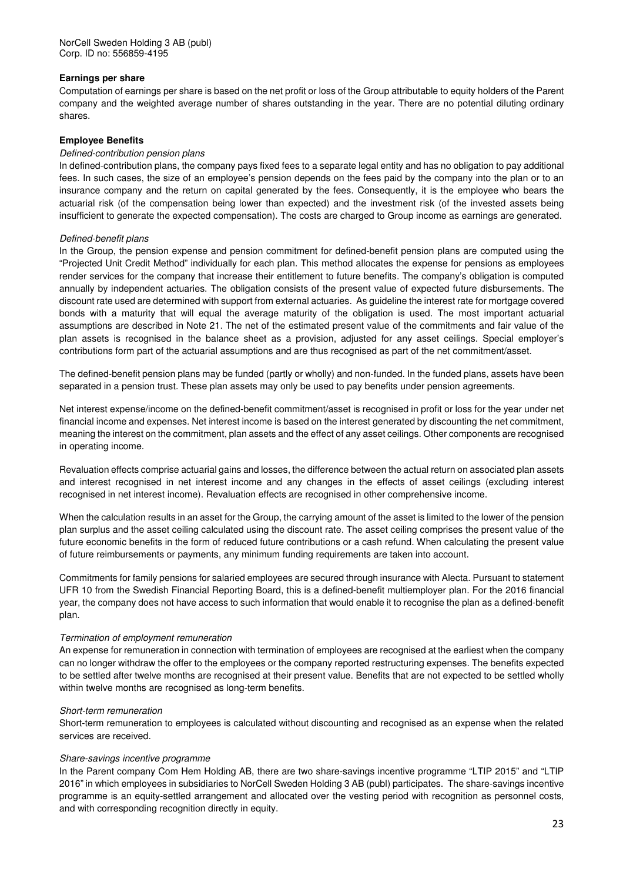#### **Earnings per share**

Computation of earnings per share is based on the net profit or loss of the Group attributable to equity holders of the Parent company and the weighted average number of shares outstanding in the year. There are no potential diluting ordinary shares.

#### **Employee Benefits**

#### Defined-contribution pension plans

In defined-contribution plans, the company pays fixed fees to a separate legal entity and has no obligation to pay additional fees. In such cases, the size of an employee's pension depends on the fees paid by the company into the plan or to an insurance company and the return on capital generated by the fees. Consequently, it is the employee who bears the actuarial risk (of the compensation being lower than expected) and the investment risk (of the invested assets being insufficient to generate the expected compensation). The costs are charged to Group income as earnings are generated.

#### Defined-benefit plans

In the Group, the pension expense and pension commitment for defined-benefit pension plans are computed using the "Projected Unit Credit Method" individually for each plan. This method allocates the expense for pensions as employees render services for the company that increase their entitlement to future benefits. The company's obligation is computed annually by independent actuaries. The obligation consists of the present value of expected future disbursements. The discount rate used are determined with support from external actuaries. As guideline the interest rate for mortgage covered bonds with a maturity that will equal the average maturity of the obligation is used. The most important actuarial assumptions are described in Note 21. The net of the estimated present value of the commitments and fair value of the plan assets is recognised in the balance sheet as a provision, adjusted for any asset ceilings. Special employer's contributions form part of the actuarial assumptions and are thus recognised as part of the net commitment/asset.

The defined-benefit pension plans may be funded (partly or wholly) and non-funded. In the funded plans, assets have been separated in a pension trust. These plan assets may only be used to pay benefits under pension agreements.

Net interest expense/income on the defined-benefit commitment/asset is recognised in profit or loss for the year under net financial income and expenses. Net interest income is based on the interest generated by discounting the net commitment, meaning the interest on the commitment, plan assets and the effect of any asset ceilings. Other components are recognised in operating income.

Revaluation effects comprise actuarial gains and losses, the difference between the actual return on associated plan assets and interest recognised in net interest income and any changes in the effects of asset ceilings (excluding interest recognised in net interest income). Revaluation effects are recognised in other comprehensive income.

When the calculation results in an asset for the Group, the carrying amount of the asset is limited to the lower of the pension plan surplus and the asset ceiling calculated using the discount rate. The asset ceiling comprises the present value of the future economic benefits in the form of reduced future contributions or a cash refund. When calculating the present value of future reimbursements or payments, any minimum funding requirements are taken into account.

Commitments for family pensions for salaried employees are secured through insurance with Alecta. Pursuant to statement UFR 10 from the Swedish Financial Reporting Board, this is a defined-benefit multiemployer plan. For the 2016 financial year, the company does not have access to such information that would enable it to recognise the plan as a defined-benefit plan.

#### Termination of employment remuneration

An expense for remuneration in connection with termination of employees are recognised at the earliest when the company can no longer withdraw the offer to the employees or the company reported restructuring expenses. The benefits expected to be settled after twelve months are recognised at their present value. Benefits that are not expected to be settled wholly within twelve months are recognised as long-term benefits.

#### Short-term remuneration

Short-term remuneration to employees is calculated without discounting and recognised as an expense when the related services are received.

#### Share-savings incentive programme

In the Parent company Com Hem Holding AB, there are two share-savings incentive programme "LTIP 2015" and "LTIP 2016" in which employees in subsidiaries to NorCell Sweden Holding 3 AB (publ) participates. The share-savings incentive programme is an equity-settled arrangement and allocated over the vesting period with recognition as personnel costs, and with corresponding recognition directly in equity.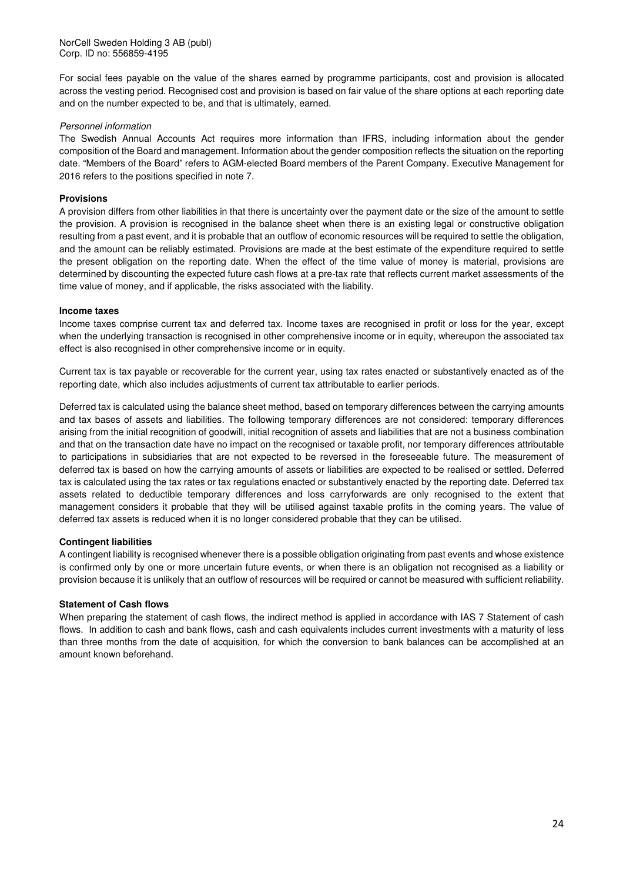For social fees payable on the value of the shares earned by programme participants, cost and provision is allocated across the vesting period. Recognised cost and provision is based on fair value of the share options at each reporting date and on the number expected to be, and that is ultimately, earned.

#### Personnel information

The Swedish Annual Accounts Act requires more information than IFRS, including information about the gender composition of the Board and management. Information about the gender composition reflects the situation on the reporting date. "Members of the Board" refers to AGM-elected Board members of the Parent Company. Executive Management for 2016 refers to the positions specified in note 7.

#### **Provisions**

A provision differs from other liabilities in that there is uncertainty over the payment date or the size of the amount to settle the provision. A provision is recognised in the balance sheet when there is an existing legal or constructive obligation resulting from a past event, and it is probable that an outflow of economic resources will be required to settle the obligation, and the amount can be reliably estimated. Provisions are made at the best estimate of the expenditure required to settle the present obligation on the reporting date. When the effect of the time value of money is material, provisions are determined by discounting the expected future cash flows at a pre-tax rate that reflects current market assessments of the time value of money, and if applicable, the risks associated with the liability.

#### **Income taxes**

Income taxes comprise current tax and deferred tax. Income taxes are recognised in profit or loss for the year, except when the underlying transaction is recognised in other comprehensive income or in equity, whereupon the associated tax effect is also recognised in other comprehensive income or in equity.

Current tax is tax payable or recoverable for the current year, using tax rates enacted or substantively enacted as of the reporting date, which also includes adjustments of current tax attributable to earlier periods.

Deferred tax is calculated using the balance sheet method, based on temporary differences between the carrying amounts and tax bases of assets and liabilities. The following temporary differences are not considered: temporary differences arising from the initial recognition of goodwill, initial recognition of assets and liabilities that are not a business combination and that on the transaction date have no impact on the recognised or taxable profit, nor temporary differences attributable to participations in subsidiaries that are not expected to be reversed in the foreseeable future. The measurement of deferred tax is based on how the carrying amounts of assets or liabilities are expected to be realised or settled. Deferred tax is calculated using the tax rates or tax regulations enacted or substantively enacted by the reporting date. Deferred tax assets related to deductible temporary differences and loss carryforwards are only recognised to the extent that management considers it probable that they will be utilised against taxable profits in the coming years. The value of deferred tax assets is reduced when it is no longer considered probable that they can be utilised.

#### **Contingent liabilities**

A contingent liability is recognised whenever there is a possible obligation originating from past events and whose existence is confirmed only by one or more uncertain future events, or when there is an obligation not recognised as a liability or provision because it is unlikely that an outflow of resources will be required or cannot be measured with sufficient reliability.

#### **Statement of Cash flows**

When preparing the statement of cash flows, the indirect method is applied in accordance with IAS 7 Statement of cash flows. In addition to cash and bank flows, cash and cash equivalents includes current investments with a maturity of less than three months from the date of acquisition, for which the conversion to bank balances can be accomplished at an amount known beforehand.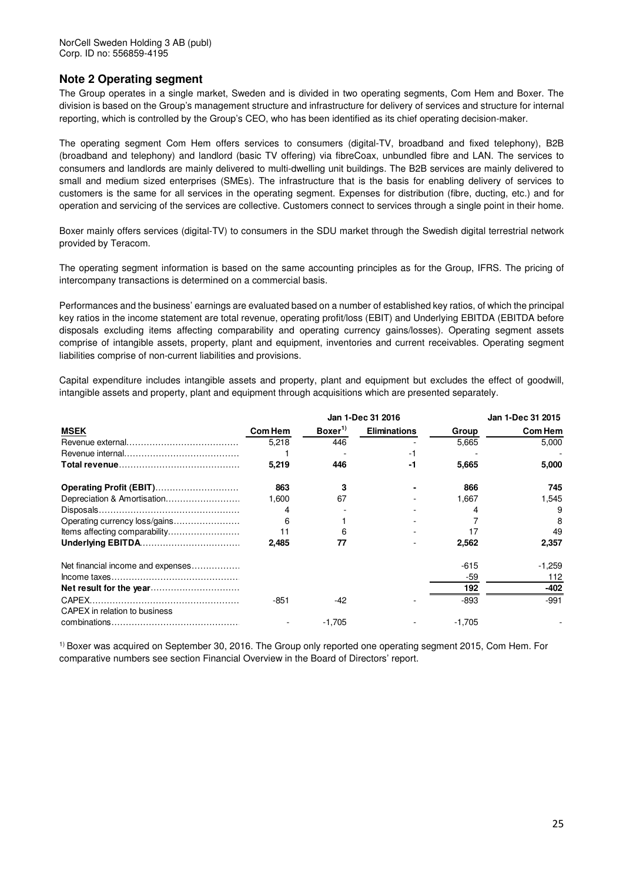### **Note 2 Operating segment**

The Group operates in a single market, Sweden and is divided in two operating segments, Com Hem and Boxer. The division is based on the Group's management structure and infrastructure for delivery of services and structure for internal reporting, which is controlled by the Group's CEO, who has been identified as its chief operating decision-maker.

The operating segment Com Hem offers services to consumers (digital-TV, broadband and fixed telephony), B2B (broadband and telephony) and landlord (basic TV offering) via fibreCoax, unbundled fibre and LAN. The services to consumers and landlords are mainly delivered to multi-dwelling unit buildings. The B2B services are mainly delivered to small and medium sized enterprises (SMEs). The infrastructure that is the basis for enabling delivery of services to customers is the same for all services in the operating segment. Expenses for distribution (fibre, ducting, etc.) and for operation and servicing of the services are collective. Customers connect to services through a single point in their home.

Boxer mainly offers services (digital-TV) to consumers in the SDU market through the Swedish digital terrestrial network provided by Teracom.

The operating segment information is based on the same accounting principles as for the Group, IFRS. The pricing of intercompany transactions is determined on a commercial basis.

Performances and the business' earnings are evaluated based on a number of established key ratios, of which the principal key ratios in the income statement are total revenue, operating profit/loss (EBIT) and Underlying EBITDA (EBITDA before disposals excluding items affecting comparability and operating currency gains/losses). Operating segment assets comprise of intangible assets, property, plant and equipment, inventories and current receivables. Operating segment liabilities comprise of non-current liabilities and provisions.

Capital expenditure includes intangible assets and property, plant and equipment but excludes the effect of goodwill, intangible assets and property, plant and equipment through acquisitions which are presented separately.

|                                   |                | Jan 1-Dec 31 2016 |                     |          | Jan 1-Dec 31 2015 |  |  |
|-----------------------------------|----------------|-------------------|---------------------|----------|-------------------|--|--|
| <b>MSEK</b>                       | <b>Com Hem</b> | Boxer $^{1)}$     | <b>Eliminations</b> | Group    | <b>Com Hem</b>    |  |  |
|                                   | 5.218          | 446               |                     | 5,665    | 5,000             |  |  |
|                                   |                |                   | -1                  |          |                   |  |  |
|                                   | 5,219          | 446               | -1                  | 5.665    | 5,000             |  |  |
| Operating Profit (EBIT)           | 863            | 3                 |                     | 866      | 745               |  |  |
|                                   | 1,600          | 67                |                     | 1,667    | 1,545             |  |  |
|                                   |                |                   |                     |          | 9                 |  |  |
| Operating currency loss/gains     | 6              |                   |                     |          | 8                 |  |  |
| Items affecting comparability     |                | 6                 |                     |          | 49                |  |  |
|                                   | 2.485          | 77                |                     | 2,562    | 2,357             |  |  |
| Net financial income and expenses |                |                   |                     | $-615$   | $-1,259$          |  |  |
|                                   |                |                   |                     | $-59$    | 112               |  |  |
|                                   |                |                   |                     | 192      | -402              |  |  |
| CAPEX in relation to business     | $-851$         | $-42$             |                     | -893     | $-991$            |  |  |
|                                   |                | $-1,705$          |                     | $-1,705$ |                   |  |  |

1) Boxer was acquired on September 30, 2016. The Group only reported one operating segment 2015, Com Hem. For comparative numbers see section Financial Overview in the Board of Directors' report.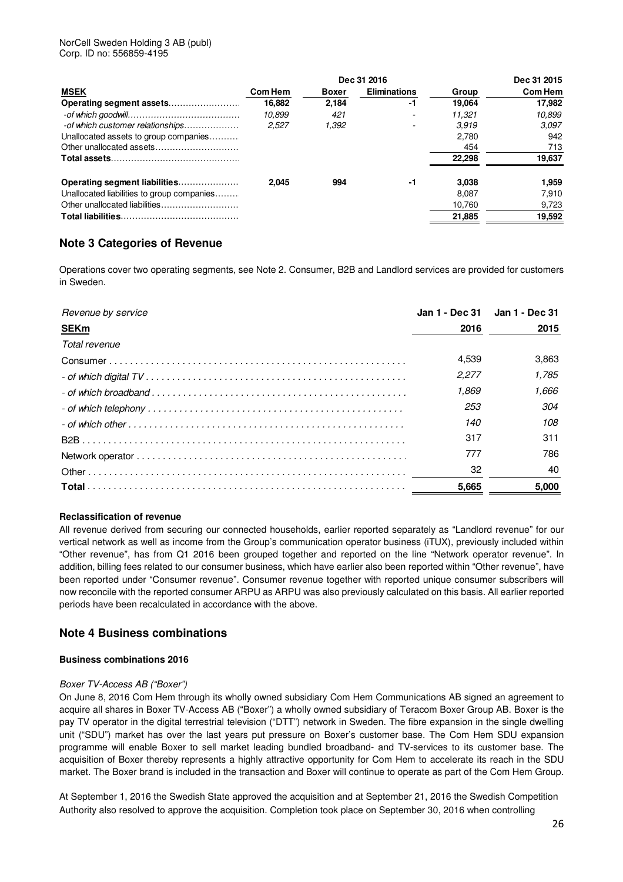| Dec 31 2016                                |         |              |                          |        | Dec 31 2015 |
|--------------------------------------------|---------|--------------|--------------------------|--------|-------------|
| <b>MSEK</b>                                | Com Hem | <b>Boxer</b> | <b>Eliminations</b>      | Group  | Com Hem     |
|                                            | 16.882  | 2.184        | -1                       | 19.064 | 17.982      |
|                                            | 10.899  | 421          |                          | 11.321 | 10.899      |
| -of which customer relationships           | 2.527   | 1,392        | $\overline{\phantom{0}}$ | 3.919  | 3.097       |
| Unallocated assets to group companies      |         |              |                          | 2.780  | 942         |
|                                            |         |              |                          | 454    | 713         |
|                                            |         |              |                          | 22,298 | 19,637      |
| Operating segment liabilities              | 2.045   | 994          | -1                       | 3.038  | 1.959       |
| Unallocated liabilities to group companies |         |              |                          | 8.087  | 7.910       |
|                                            |         |              |                          | 10.760 | 9,723       |
|                                            |         |              |                          | 21,885 | 19,592      |

# **Note 3 Categories of Revenue**

Operations cover two operating segments, see Note 2. Consumer, B2B and Landlord services are provided for customers in Sweden.

| Revenue by service | Jan 1 - Dec 31 Jan 1 - Dec 31 |       |
|--------------------|-------------------------------|-------|
| <b>SEKm</b>        | 2016                          | 2015  |
| Total revenue      |                               |       |
|                    | 4.539                         | 3,863 |
|                    | 2.277                         | 1.785 |
|                    | 1.869                         | 1.666 |
|                    | 253                           | 304   |
|                    | 140                           | 108   |
|                    | 317                           | 311   |
|                    | 777                           | 786   |
|                    | 32                            | 40    |
|                    | 5.665                         | 5.000 |

#### **Reclassification of revenue**

All revenue derived from securing our connected households, earlier reported separately as "Landlord revenue" for our vertical network as well as income from the Group's communication operator business (iTUX), previously included within "Other revenue", has from Q1 2016 been grouped together and reported on the line "Network operator revenue". In addition, billing fees related to our consumer business, which have earlier also been reported within "Other revenue", have been reported under "Consumer revenue". Consumer revenue together with reported unique consumer subscribers will now reconcile with the reported consumer ARPU as ARPU was also previously calculated on this basis. All earlier reported periods have been recalculated in accordance with the above.

#### **Note 4 Business combinations**

#### **Business combinations 2016**

#### Boxer TV-Access AB ("Boxer")

On June 8, 2016 Com Hem through its wholly owned subsidiary Com Hem Communications AB signed an agreement to acquire all shares in Boxer TV-Access AB ("Boxer") a wholly owned subsidiary of Teracom Boxer Group AB. Boxer is the pay TV operator in the digital terrestrial television ("DTT") network in Sweden. The fibre expansion in the single dwelling unit ("SDU") market has over the last years put pressure on Boxer's customer base. The Com Hem SDU expansion programme will enable Boxer to sell market leading bundled broadband- and TV-services to its customer base. The acquisition of Boxer thereby represents a highly attractive opportunity for Com Hem to accelerate its reach in the SDU market. The Boxer brand is included in the transaction and Boxer will continue to operate as part of the Com Hem Group.

At September 1, 2016 the Swedish State approved the acquisition and at September 21, 2016 the Swedish Competition Authority also resolved to approve the acquisition. Completion took place on September 30, 2016 when controlling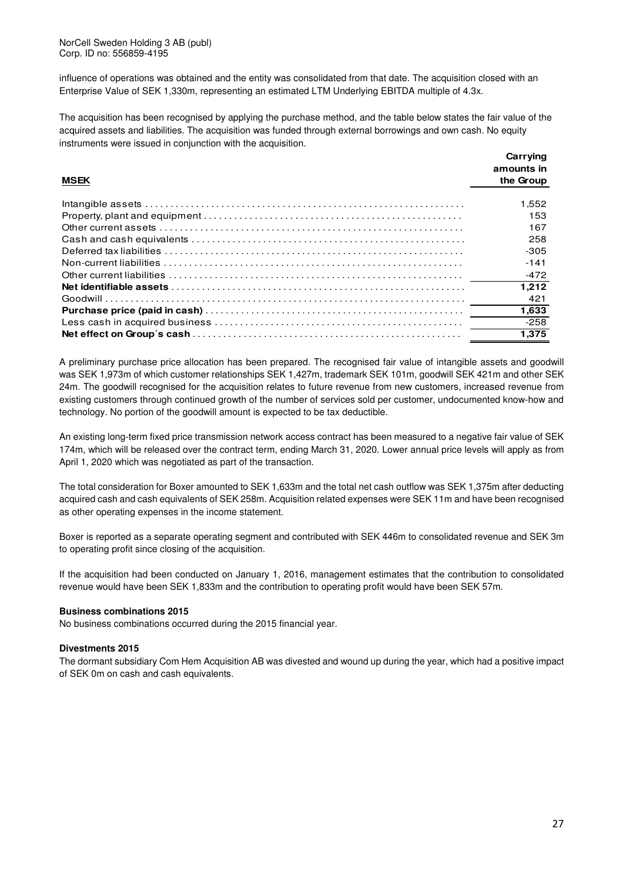NorCell Sweden Holding 3 AB (publ) Corp. ID no: 556859-4195

influence of operations was obtained and the entity was consolidated from that date. The acquisition closed with an Enterprise Value of SEK 1,330m, representing an estimated LTM Underlying EBITDA multiple of 4.3x.

The acquisition has been recognised by applying the purchase method, and the table below states the fair value of the acquired assets and liabilities. The acquisition was funded through external borrowings and own cash. No equity instruments were issued in conjunction with the acquisition.

|             | Carrving<br>amounts in |  |
|-------------|------------------------|--|
| <b>MSEK</b> | the Group              |  |
|             | 1.552                  |  |
|             | 153                    |  |
|             | 167                    |  |
|             | 258                    |  |
|             | -305                   |  |
|             | $-141$                 |  |
|             | $-472$                 |  |
|             | 1.212                  |  |
|             | 421                    |  |
|             | 1,633                  |  |
|             | $-258$                 |  |
|             | 1.375                  |  |
|             |                        |  |

A preliminary purchase price allocation has been prepared. The recognised fair value of intangible assets and goodwill was SEK 1,973m of which customer relationships SEK 1,427m, trademark SEK 101m, goodwill SEK 421m and other SEK 24m. The goodwill recognised for the acquisition relates to future revenue from new customers, increased revenue from existing customers through continued growth of the number of services sold per customer, undocumented know-how and technology. No portion of the goodwill amount is expected to be tax deductible.

An existing long-term fixed price transmission network access contract has been measured to a negative fair value of SEK 174m, which will be released over the contract term, ending March 31, 2020. Lower annual price levels will apply as from April 1, 2020 which was negotiated as part of the transaction.

The total consideration for Boxer amounted to SEK 1,633m and the total net cash outflow was SEK 1,375m after deducting acquired cash and cash equivalents of SEK 258m. Acquisition related expenses were SEK 11m and have been recognised as other operating expenses in the income statement.

Boxer is reported as a separate operating segment and contributed with SEK 446m to consolidated revenue and SEK 3m to operating profit since closing of the acquisition.

If the acquisition had been conducted on January 1, 2016, management estimates that the contribution to consolidated revenue would have been SEK 1,833m and the contribution to operating profit would have been SEK 57m.

#### **Business combinations 2015**

No business combinations occurred during the 2015 financial year.

#### **Divestments 2015**

The dormant subsidiary Com Hem Acquisition AB was divested and wound up during the year, which had a positive impact of SEK 0m on cash and cash equivalents.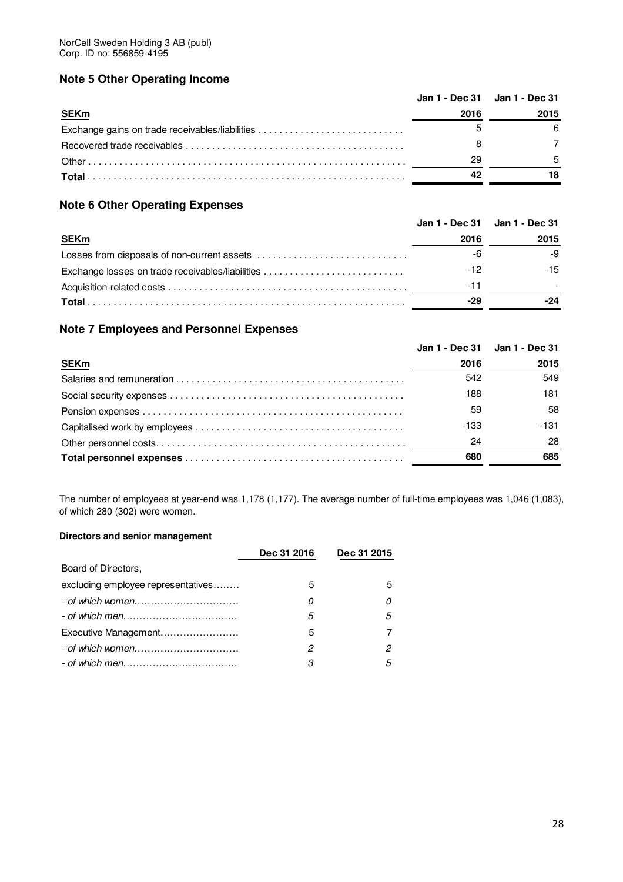# **Note 5 Other Operating Income**

|                                                 | Jan 1 - Dec 31 Jan 1 - Dec 31 |      |
|-------------------------------------------------|-------------------------------|------|
| <b>SEKm</b>                                     | 2016                          | 2015 |
| Exchange gains on trade receivables/liabilities |                               |      |
|                                                 |                               |      |
|                                                 | 29                            |      |
|                                                 |                               |      |

# **Note 6 Other Operating Expenses**

|                                                  |      | Jan 1 - Dec 31 Jan 1 - Dec 31 |
|--------------------------------------------------|------|-------------------------------|
| <b>SEKm</b>                                      | 2016 | 2015                          |
|                                                  | -6   | -9                            |
| Exchange losses on trade receivables/liabilities | -12  | $-15$                         |
|                                                  | -11  |                               |
|                                                  | -29  | -24                           |

# **Note 7 Employees and Personnel Expenses**

|             | Jan 1 - Dec 31 Jan 1 - Dec 31 |      |
|-------------|-------------------------------|------|
| <b>SEKm</b> | 2016                          | 2015 |
|             | 542                           | 549  |
|             | 188                           | 181  |
|             | 59                            | 58   |
|             | $-133$                        | -131 |
|             | 24                            | 28   |
|             | 680                           | 685  |

The number of employees at year-end was 1,178 (1,177). The average number of full-time employees was 1,046 (1,083), of which 280 (302) were women.

# **Directors and senior management**

|                                    | Dec 31 2016 | Dec 31 2015 |
|------------------------------------|-------------|-------------|
| Board of Directors,                |             |             |
| excluding employee representatives | 5           | 5           |
|                                    | 0           |             |
|                                    | 5           | 5           |
| Executive Management               | 5           |             |
|                                    | 2           | 2           |
|                                    | З           | 5           |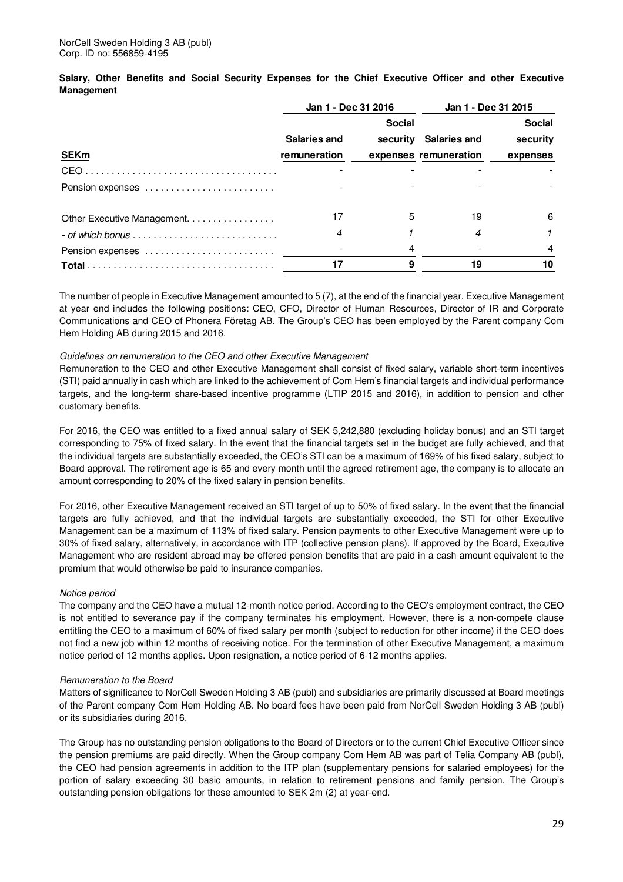**Salary, Other Benefits and Social Security Expenses for the Chief Executive Officer and other Executive Management** 

|                                                                       | Jan 1 - Dec 31 2016 |               | Jan 1 - Dec 31 2015   |               |
|-----------------------------------------------------------------------|---------------------|---------------|-----------------------|---------------|
|                                                                       |                     | <b>Social</b> |                       | <b>Social</b> |
|                                                                       | <b>Salaries and</b> | security      | Salaries and          | security      |
| <b>SEKm</b>                                                           | remuneration        |               | expenses remuneration | expenses      |
|                                                                       |                     |               |                       |               |
| Pension expenses                                                      |                     |               |                       |               |
| Other Executive Management.                                           |                     | 5             | 19                    | 6             |
| $-$ of which bonus $\ldots \ldots \ldots \ldots \ldots \ldots \ldots$ | 4                   |               | 4                     |               |
|                                                                       |                     |               |                       |               |
|                                                                       |                     |               | 19                    | 10            |

The number of people in Executive Management amounted to 5 (7), at the end of the financial year. Executive Management at year end includes the following positions: CEO, CFO, Director of Human Resources, Director of IR and Corporate Communications and CEO of Phonera Företag AB. The Group's CEO has been employed by the Parent company Com Hem Holding AB during 2015 and 2016.

#### Guidelines on remuneration to the CEO and other Executive Management

Remuneration to the CEO and other Executive Management shall consist of fixed salary, variable short-term incentives (STI) paid annually in cash which are linked to the achievement of Com Hem's financial targets and individual performance targets, and the long-term share-based incentive programme (LTIP 2015 and 2016), in addition to pension and other customary benefits.

For 2016, the CEO was entitled to a fixed annual salary of SEK 5,242,880 (excluding holiday bonus) and an STI target corresponding to 75% of fixed salary. In the event that the financial targets set in the budget are fully achieved, and that the individual targets are substantially exceeded, the CEO's STI can be a maximum of 169% of his fixed salary, subject to Board approval. The retirement age is 65 and every month until the agreed retirement age, the company is to allocate an amount corresponding to 20% of the fixed salary in pension benefits.

For 2016, other Executive Management received an STI target of up to 50% of fixed salary. In the event that the financial targets are fully achieved, and that the individual targets are substantially exceeded, the STI for other Executive Management can be a maximum of 113% of fixed salary. Pension payments to other Executive Management were up to 30% of fixed salary, alternatively, in accordance with ITP (collective pension plans). If approved by the Board, Executive Management who are resident abroad may be offered pension benefits that are paid in a cash amount equivalent to the premium that would otherwise be paid to insurance companies.

#### Notice period

The company and the CEO have a mutual 12-month notice period. According to the CEO's employment contract, the CEO is not entitled to severance pay if the company terminates his employment. However, there is a non-compete clause entitling the CEO to a maximum of 60% of fixed salary per month (subject to reduction for other income) if the CEO does not find a new job within 12 months of receiving notice. For the termination of other Executive Management, a maximum notice period of 12 months applies. Upon resignation, a notice period of 6-12 months applies.

#### Remuneration to the Board

Matters of significance to NorCell Sweden Holding 3 AB (publ) and subsidiaries are primarily discussed at Board meetings of the Parent company Com Hem Holding AB. No board fees have been paid from NorCell Sweden Holding 3 AB (publ) or its subsidiaries during 2016.

The Group has no outstanding pension obligations to the Board of Directors or to the current Chief Executive Officer since the pension premiums are paid directly. When the Group company Com Hem AB was part of Telia Company AB (publ), the CEO had pension agreements in addition to the ITP plan (supplementary pensions for salaried employees) for the portion of salary exceeding 30 basic amounts, in relation to retirement pensions and family pension. The Group's outstanding pension obligations for these amounted to SEK 2m (2) at year-end.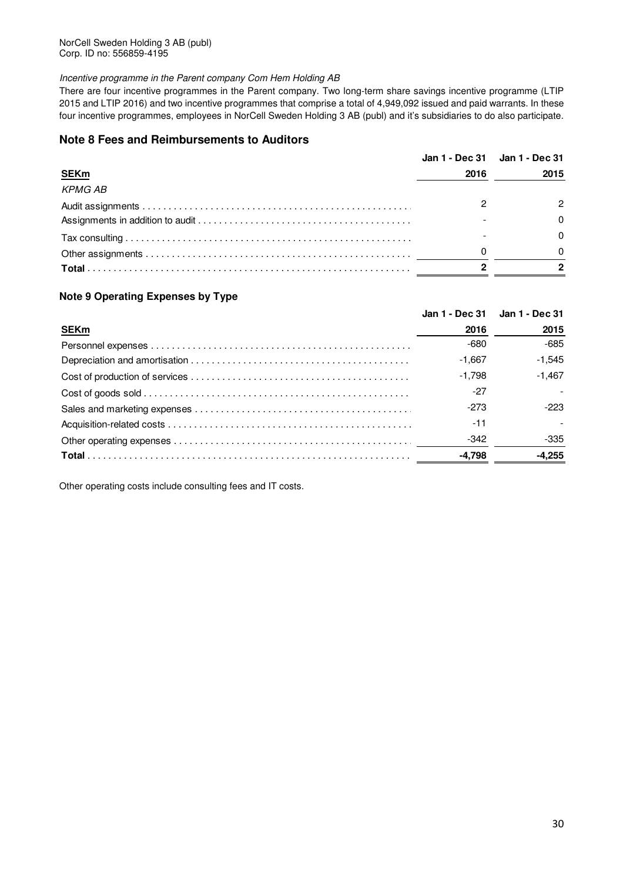NorCell Sweden Holding 3 AB (publ) Corp. ID no: 556859-4195

#### Incentive programme in the Parent company Com Hem Holding AB

There are four incentive programmes in the Parent company. Two long-term share savings incentive programme (LTIP 2015 and LTIP 2016) and two incentive programmes that comprise a total of 4,949,092 issued and paid warrants. In these four incentive programmes, employees in NorCell Sweden Holding 3 AB (publ) and it's subsidiaries to do also participate.

### **Note 8 Fees and Reimbursements to Auditors**

|                |      | Jan 1 - Dec 31 Jan 1 - Dec 31 |
|----------------|------|-------------------------------|
| <b>SEKm</b>    | 2016 | 2015                          |
| <b>KPMG AB</b> |      |                               |
|                |      |                               |
|                |      |                               |
|                |      |                               |
|                | 0    |                               |
|                |      |                               |
|                |      |                               |

#### **Note 9 Operating Expenses by Type**

|             |          | Jan 1 - Dec 31 Jan 1 - Dec 31 |
|-------------|----------|-------------------------------|
| <b>SEKm</b> | 2016     | 2015                          |
|             | $-680$   | -685                          |
|             | $-1.667$ | $-1,545$                      |
|             | $-1.798$ | $-1,467$                      |
|             | -27      |                               |
|             | $-273$   | -223                          |
|             | -11      |                               |
|             | -342     | -335                          |
|             | -4.798   | -4.255                        |

Other operating costs include consulting fees and IT costs.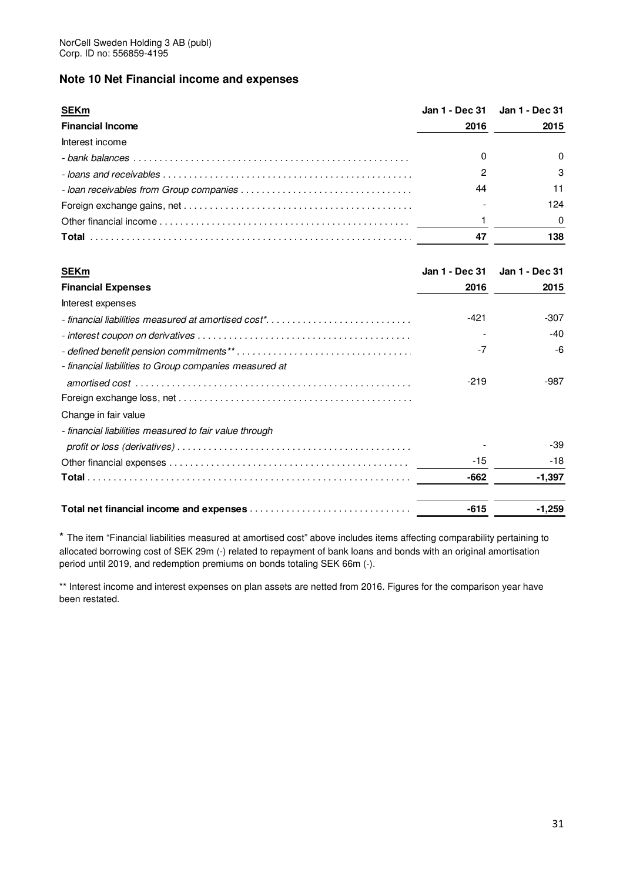# **Note 10 Net Financial income and expenses**

| <u>SEKm</u>             |      | Jan 1 - Dec 31 Jan 1 - Dec 31 |
|-------------------------|------|-------------------------------|
| <b>Financial Income</b> | 2016 | 2015                          |
| Interest income         |      |                               |
|                         |      |                               |
|                         |      |                               |
|                         | 44   |                               |
|                         |      | 124                           |
|                         |      |                               |
|                         | 47   | 138                           |

| <b>SEKm</b>                                            | Jan 1 - Dec 31 | Jan 1 - Dec 31 |
|--------------------------------------------------------|----------------|----------------|
| <b>Financial Expenses</b>                              | 2016           | 2015           |
| Interest expenses                                      |                |                |
|                                                        | -421           | $-307$         |
|                                                        |                | -40            |
|                                                        | $-7$           | -6             |
| - financial liabilities to Group companies measured at |                |                |
|                                                        | $-219$         | $-987$         |
|                                                        |                |                |
| Change in fair value                                   |                |                |
| - financial liabilities measured to fair value through |                |                |
|                                                        |                | -39            |
|                                                        | -15            | -18            |
|                                                        | -662           | $-1,397$       |
|                                                        | $-615$         | $-1,259$       |

\* The item "Financial liabilities measured at amortised cost" above includes items affecting comparability pertaining to allocated borrowing cost of SEK 29m (-) related to repayment of bank loans and bonds with an original amortisation period until 2019, and redemption premiums on bonds totaling SEK 66m (-).

\*\* Interest income and interest expenses on plan assets are netted from 2016. Figures for the comparison year have been restated.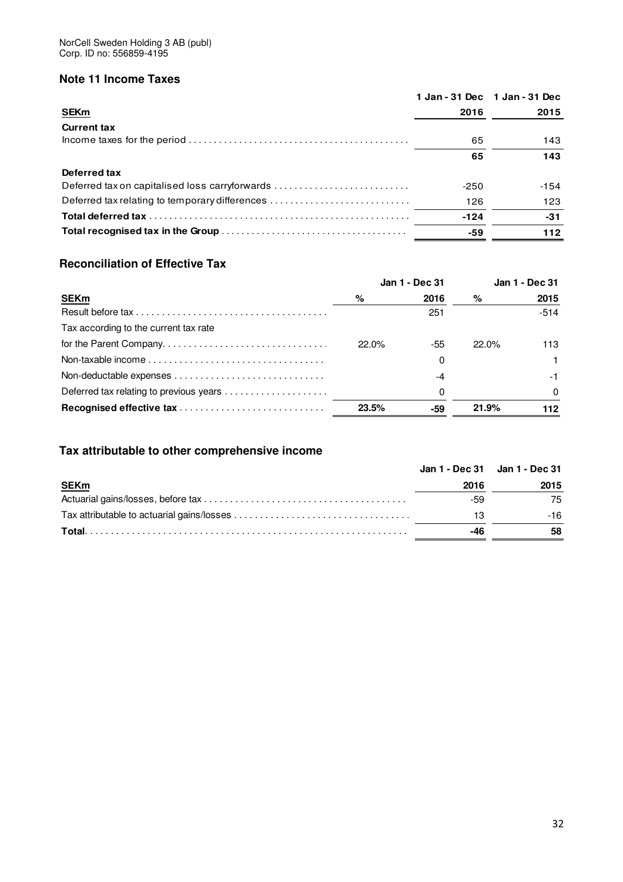# **Note 11 Income Taxes**

|                                                |        | 1 Jan - 31 Dec 1 Jan - 31 Dec |
|------------------------------------------------|--------|-------------------------------|
| <b>SEKm</b>                                    | 2016   | 2015                          |
| <b>Current tax</b>                             |        |                               |
|                                                | 65     | 143                           |
|                                                | 65     | 143                           |
| Deferred tax                                   |        |                               |
| Deferred tax on capitalised loss carryforwards | $-250$ | $-154$                        |
| Deferred tax relating to temporary differences | 126    | 123                           |
|                                                | $-124$ | $-31$                         |
|                                                | -59    | 112                           |
|                                                |        |                               |

# **Reconciliation of Effective Tax**

|                                                                                             |       | Jan 1 - Dec 31 |          | Jan 1 - Dec 31 |
|---------------------------------------------------------------------------------------------|-------|----------------|----------|----------------|
| <b>SEKm</b>                                                                                 | %     | 2016           | %        | 2015           |
|                                                                                             |       | 251            |          | $-514$         |
| Tax according to the current tax rate                                                       |       |                |          |                |
|                                                                                             | 22.0% | -55            | $22.0\%$ | 113.           |
| Non-taxable income $\ldots, \ldots, \ldots, \ldots, \ldots, \ldots, \ldots, \ldots, \ldots$ |       | $\Omega$       |          |                |
|                                                                                             |       | -4             |          | -1             |
| Deferred tax relating to previous years                                                     |       | 0              |          | $\Omega$       |
|                                                                                             | 23.5% | -59            | 21.9%    | 112            |

# **Tax attributable to other comprehensive income**

|             | Jan 1 - Dec 31 Jan 1 - Dec 31 |      |
|-------------|-------------------------------|------|
| <b>SEKm</b> | 2016                          | 2015 |
|             | -59                           | 75   |
|             | 13                            | -16  |
|             | -46                           | 58   |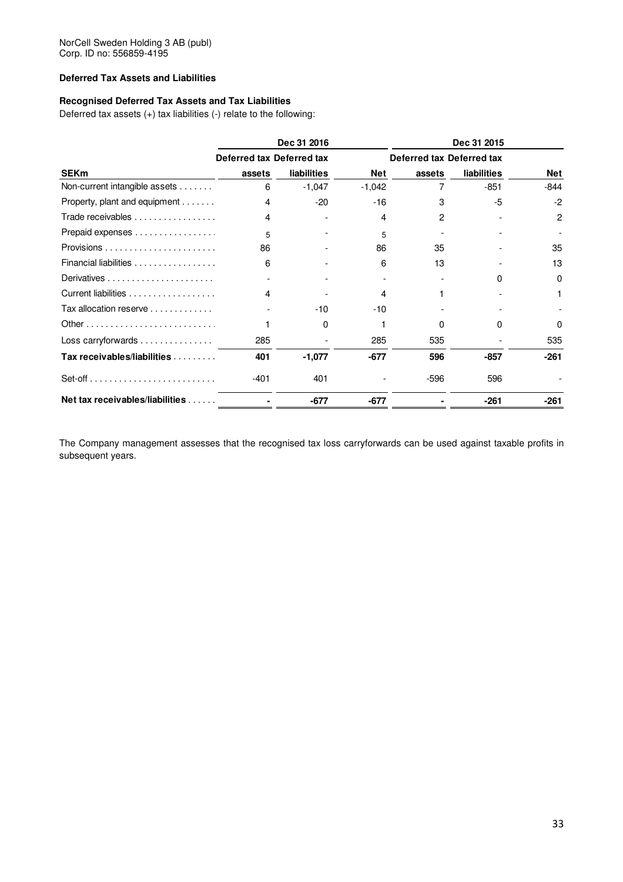#### **Deferred Tax Assets and Liabilities**

#### **Recognised Deferred Tax Assets and Tax Liabilities**

Deferred tax assets (+) tax liabilities (-) relate to the following:

|                                                                   |                           | Dec 31 2016 |            |                           | Dec 31 2015        |            |
|-------------------------------------------------------------------|---------------------------|-------------|------------|---------------------------|--------------------|------------|
|                                                                   | Deferred tax Deferred tax |             |            | Deferred tax Deferred tax |                    |            |
| <b>SEKm</b>                                                       | assets                    | liabilities | <b>Net</b> | assets                    | <b>liabilities</b> | <b>Net</b> |
| Non-current intangible assets                                     | 6                         | $-1,047$    | $-1,042$   |                           | $-851$             | $-844$     |
| Property, plant and equipment                                     | 4                         | $-20$       | $-16$      | 3                         | -5                 | $-2$       |
| Trade receivables                                                 | 4                         |             | 4          | 2                         |                    | 2          |
| Prepaid expenses                                                  | 5                         |             | 5          |                           |                    |            |
| Provisions $\ldots \ldots \ldots \ldots \ldots \ldots \ldots$     | 86                        |             | 86         | 35                        |                    | 35         |
| Financial liabilities                                             | 6                         |             | 6          | 13                        |                    | 13         |
|                                                                   |                           |             |            |                           | <sup>0</sup>       | 0          |
| Current liabilities                                               | 4                         |             | 4          |                           |                    |            |
| Tax allocation reserve $\ldots \ldots \ldots \ldots$              |                           | $-10$       | $-10$      |                           |                    |            |
|                                                                   |                           | 0           |            | 0                         | 0                  | $\Omega$   |
| Loss carryforwards                                                | 285                       |             | 285        | 535                       |                    | 535        |
| Tax receivables/liabilities                                       | 401                       | $-1,077$    | $-677$     | 596                       | $-857$             | $-261$     |
| $Set-off \ldots \ldots \ldots \ldots \ldots \ldots \ldots \ldots$ | $-401$                    | 401         |            | $-596$                    | 596                |            |
| Net tax receivables/liabilities                                   |                           | $-677$      | $-677$     |                           | -261               | $-261$     |

The Company management assesses that the recognised tax loss carryforwards can be used against taxable profits in subsequent years.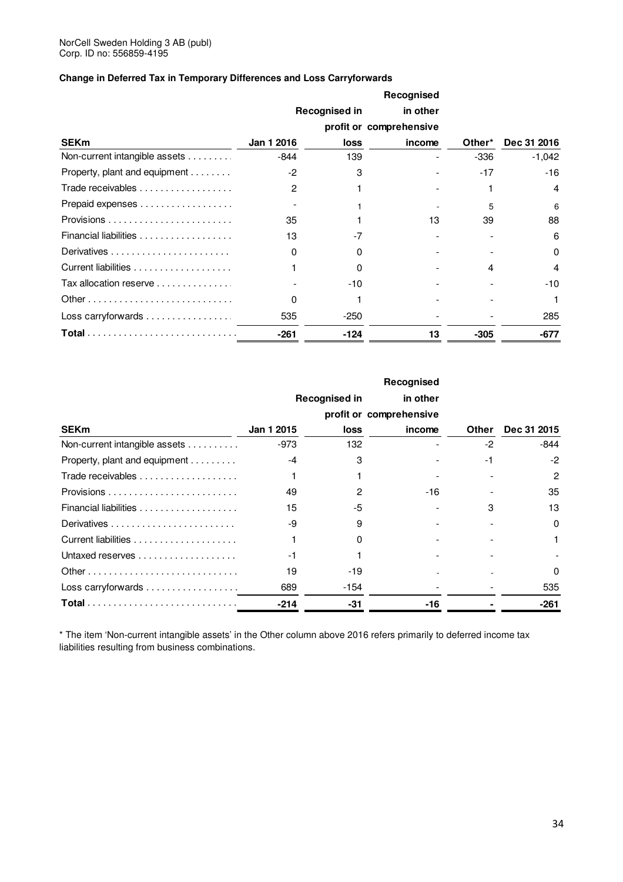### **Change in Deferred Tax in Temporary Differences and Loss Carryforwards**

|                               |                |                      | Recognised              |        |                |
|-------------------------------|----------------|----------------------|-------------------------|--------|----------------|
|                               |                | <b>Recognised in</b> | in other                |        |                |
|                               |                |                      | profit or comprehensive |        |                |
| <b>SEKm</b>                   | Jan 1 2016     | loss                 | income                  | Other* | Dec 31 2016    |
| Non-current intangible assets | -844           | 139                  |                         | $-336$ | $-1,042$       |
| Property, plant and equipment | $-2$           | 3                    |                         | $-17$  | $-16$          |
| Trade receivables             | $\overline{2}$ |                      |                         |        | $\overline{4}$ |
| Prepaid expenses              |                |                      |                         | 5      | 6              |
|                               | 35             |                      | 13                      | 39     | 88             |
|                               | 13             | $-7$                 |                         |        | 6              |
|                               | $\Omega$       | <sup>0</sup>         |                         |        | $\Omega$       |
|                               |                | <sup>0</sup>         |                         | 4      | 4              |
| Tax allocation reserve        |                | $-10$                |                         |        | $-10$          |
|                               | $\Omega$       |                      |                         |        | 1              |
| Loss carryforwards            | 535            | -250                 |                         |        | 285            |
|                               | $-261$         | $-124$               | 13                      | $-305$ | -677           |

|                               |            |               | Recognised              |              |                |
|-------------------------------|------------|---------------|-------------------------|--------------|----------------|
|                               |            | Recognised in | in other                |              |                |
|                               |            |               | profit or comprehensive |              |                |
| <b>SEK<sub>m</sub></b>        | Jan 1 2015 | loss          | income                  | <b>Other</b> | Dec 31 2015    |
| Non-current intangible assets | -973       | 132           |                         | $-2$         | -844           |
| Property, plant and equipment | $-4$       | 3             |                         | $-1$         | $-2$           |
|                               |            |               |                         |              | $\overline{c}$ |
|                               | 49         | 2             | $-16$                   |              | 35             |
|                               | 15         | -5            |                         | з            | 13             |
|                               | -9         | 9             |                         |              | $\Omega$       |
|                               |            | <sup>0</sup>  |                         |              |                |
|                               | $-1$       |               |                         |              |                |
|                               | 19         | -19           |                         |              | $\Omega$       |
| Loss carryforwards            | 689        | -154          |                         |              | 535            |
|                               | $-214$     | $-31$         | -16                     |              | $-261$         |

\* The item 'Non-current intangible assets' in the Other column above 2016 refers primarily to deferred income tax liabilities resulting from business combinations.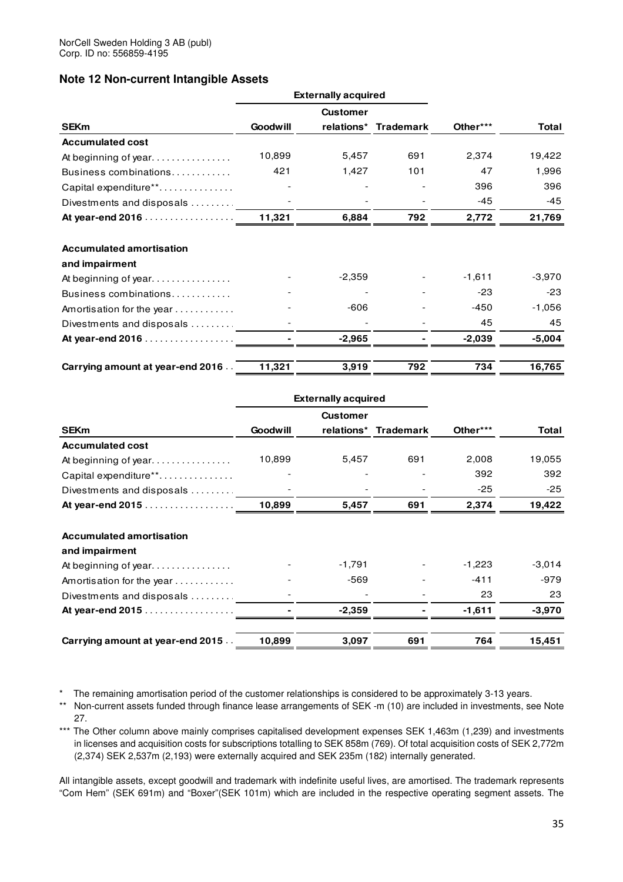### **Note 12 Non-current Intangible Assets**

|                                  |                 | <b>Externally acquired</b> |                      |          |          |
|----------------------------------|-----------------|----------------------------|----------------------|----------|----------|
|                                  |                 | <b>Customer</b>            |                      |          |          |
| <b>SEKm</b>                      | <b>Goodwill</b> |                            | relations* Trademark | Other*** | Total    |
| <b>Accumulated cost</b>          |                 |                            |                      |          |          |
|                                  | 10,899          | 5,457                      | 691                  | 2,374    | 19,422   |
| Business combinations            | 421             | 1,427                      | 101                  | 47       | 1,996    |
| Capital expenditure**            |                 |                            |                      | 396      | 396      |
| Divestments and disposals        |                 |                            |                      | $-45$    | $-45$    |
| At year-end 2016                 | 11,321          | 6,884                      | 792                  | 2,772    | 21,769   |
| <b>Accumulated amortisation</b>  |                 |                            |                      |          |          |
|                                  |                 |                            |                      |          |          |
| and impairment                   |                 |                            |                      |          |          |
|                                  |                 | $-2,359$                   |                      | $-1,611$ | $-3,970$ |
| Business combinations            |                 |                            |                      | $-23$    | $-23$    |
| Amortisation for the year        |                 | $-606$                     |                      | -450     | $-1,056$ |
| Divestments and disposals        |                 |                            |                      | 45       | 45       |
| At year-end 2016                 |                 | $-2,965$                   |                      | $-2,039$ | $-5,004$ |
| Carrying amount at year-end 2016 | 11,321          | 3,919                      | 792                  | 734      | 16,765   |

|                                   |                 | <b>Externally acquired</b> |                      |          |              |
|-----------------------------------|-----------------|----------------------------|----------------------|----------|--------------|
|                                   |                 | <b>Customer</b>            |                      |          |              |
| <b>SEKm</b>                       | <b>Goodwill</b> |                            | relations* Trademark | Other*** | <b>Total</b> |
| <b>Accumulated cost</b>           |                 |                            |                      |          |              |
| At beginning of year.             | 10,899          | 5,457                      | 691                  | 2,008    | 19,055       |
| Capital expenditure**             |                 |                            |                      | 392      | 392          |
| Divestments and disposals         |                 |                            |                      | $-25$    | $-25$        |
| At year-end 2015                  | 10,899          | 5,457                      | 691                  | 2,374    | 19,422       |
| <b>Accumulated amortisation</b>   |                 |                            |                      |          |              |
| and impairment                    |                 |                            |                      |          |              |
| At beginning of year.             |                 | $-1,791$                   |                      | $-1,223$ | $-3,014$     |
| Amortisation for the year         |                 | $-569$                     |                      | $-411$   | -979         |
| Divestments and disposals         |                 |                            |                      | 23       | 23           |
| At year-end 2015                  |                 | $-2,359$                   |                      | $-1,611$ | $-3,970$     |
| Carrying amount at year-end 2015. | 10,899          | 3,097                      | 691                  | 764      | 15,451       |

\* The remaining amortisation period of the customer relationships is considered to be approximately 3-13 years.

\*\* Non-current assets funded through finance lease arrangements of SEK -m (10) are included in investments, see Note 27.

\*\*\* The Other column above mainly comprises capitalised development expenses SEK 1,463m (1,239) and investments in licenses and acquisition costs for subscriptions totalling to SEK 858m (769). Of total acquisition costs of SEK 2,772m (2,374) SEK 2,537m (2,193) were externally acquired and SEK 235m (182) internally generated.

All intangible assets, except goodwill and trademark with indefinite useful lives, are amortised. The trademark represents "Com Hem" (SEK 691m) and "Boxer"(SEK 101m) which are included in the respective operating segment assets. The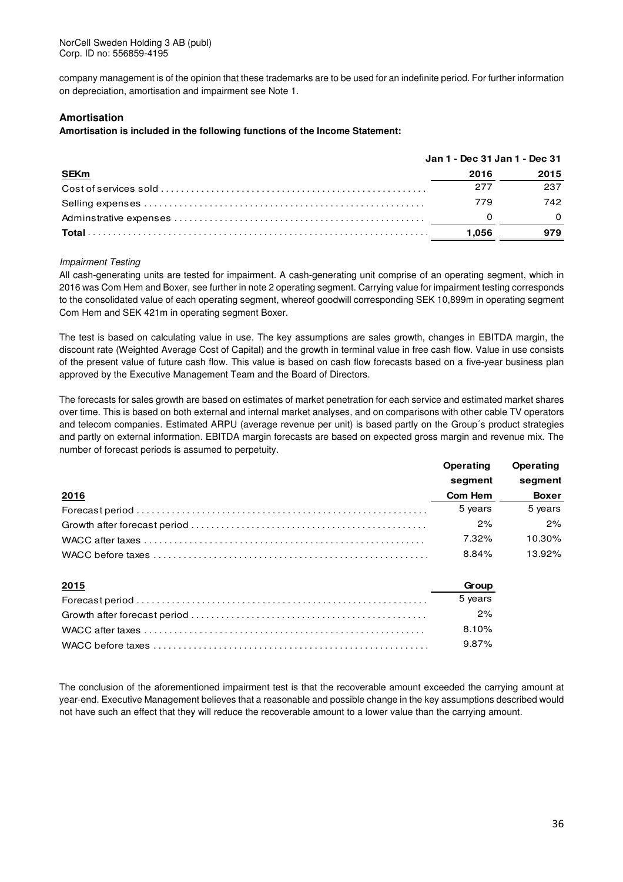company management is of the opinion that these trademarks are to be used for an indefinite period. For further information on depreciation, amortisation and impairment see Note 1.

#### **Amortisation**

**Amortisation is included in the following functions of the Income Statement:** 

|             | Jan 1 - Dec 31 Jan 1 - Dec 31 |      |
|-------------|-------------------------------|------|
| <b>SEKm</b> | 2016                          | 2015 |
|             | 277                           | 237  |
|             | 779                           | 742  |
|             |                               | 0    |
|             | 1.056                         | 979  |

#### Impairment Testing

All cash-generating units are tested for impairment. A cash-generating unit comprise of an operating segment, which in 2016 was Com Hem and Boxer, see further in note 2 operating segment. Carrying value for impairment testing corresponds to the consolidated value of each operating segment, whereof goodwill corresponding SEK 10,899m in operating segment Com Hem and SEK 421m in operating segment Boxer.

The test is based on calculating value in use. The key assumptions are sales growth, changes in EBITDA margin, the discount rate (Weighted Average Cost of Capital) and the growth in terminal value in free cash flow. Value in use consists of the present value of future cash flow. This value is based on cash flow forecasts based on a five-year business plan approved by the Executive Management Team and the Board of Directors.

The forecasts for sales growth are based on estimates of market penetration for each service and estimated market shares over time. This is based on both external and internal market analyses, and on comparisons with other cable TV operators and telecom companies. Estimated ARPU (average revenue per unit) is based partly on the Group´s product strategies and partly on external information. EBITDA margin forecasts are based on expected gross margin and revenue mix. The number of forecast periods is assumed to perpetuity.

|              | Operating | Operating    |
|--------------|-----------|--------------|
|              | segment   | segment      |
| <u> 2016</u> | Com Hem   | <b>Boxer</b> |
|              | 5 years   | 5 years      |
|              | 2%        | 2%           |
|              | 7.32%     | 10.30%       |
|              | 8.84%     | 13.92%       |

| 2015 | Group    |
|------|----------|
|      | 5 vears  |
|      | 2%       |
|      | 8.10%    |
|      | $9.87\%$ |

The conclusion of the aforementioned impairment test is that the recoverable amount exceeded the carrying amount at year-end. Executive Management believes that a reasonable and possible change in the key assumptions described would not have such an effect that they will reduce the recoverable amount to a lower value than the carrying amount.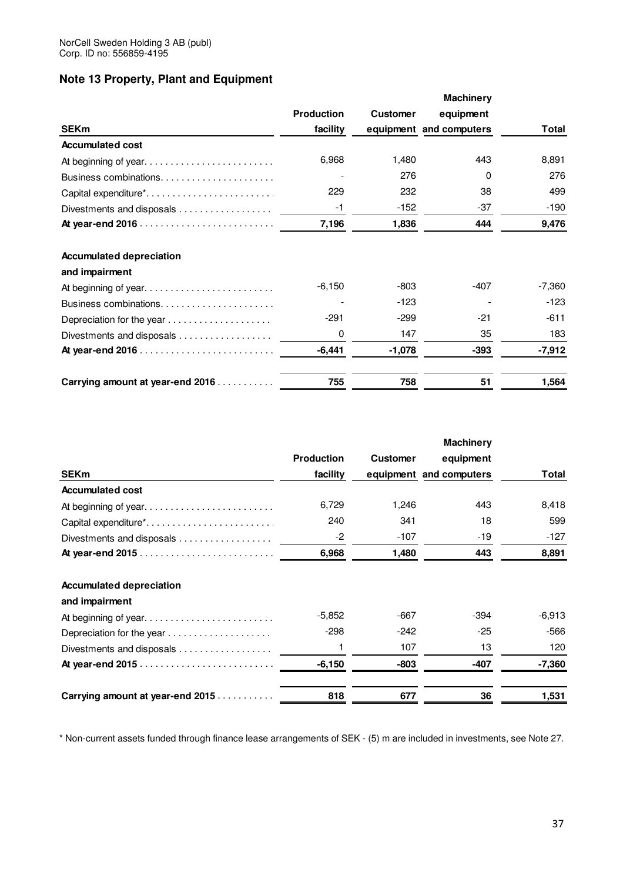# **Note 13 Property, Plant and Equipment**

|                                                                |                   |                 | <b>Machinery</b>        |          |
|----------------------------------------------------------------|-------------------|-----------------|-------------------------|----------|
|                                                                | <b>Production</b> | <b>Customer</b> | equipment               |          |
| <b>SEKm</b>                                                    | facility          |                 | equipment and computers | Total    |
| <b>Accumulated cost</b>                                        |                   |                 |                         |          |
| At beginning of year                                           | 6,968             | 1,480           | 443                     | 8,891    |
| Business combinations                                          |                   | 276             | 0                       | 276      |
| Capital expenditure <sup>*</sup>                               | 229               | 232             | 38                      | 499      |
| Divestments and disposals $\ldots \ldots \ldots \ldots \ldots$ | -1                | -152            | -37                     | $-190$   |
|                                                                | 7,196             | 1,836           | 444                     | 9,476    |
| <b>Accumulated depreciation</b>                                |                   |                 |                         |          |
| and impairment                                                 |                   |                 |                         |          |
| At beginning of year                                           | $-6,150$          | -803            | -407                    | $-7,360$ |
| Business combinations                                          |                   | $-123$          |                         | $-123$   |
| Depreciation for the year                                      | $-291$            | $-299$          | $-21$                   | $-611$   |
| Divestments and disposals                                      | 0                 | 147             | 35                      | 183      |
|                                                                | $-6,441$          | $-1,078$        | $-393$                  | $-7,912$ |
| Carrying amount at year-end 2016                               | 755               | 758             | 51                      | 1,564    |

| <b>SEKm</b>                                                           | <b>Production</b><br>facility | <b>Customer</b> | <b>Machinery</b><br>equipment<br>equipment and computers | Total    |
|-----------------------------------------------------------------------|-------------------------------|-----------------|----------------------------------------------------------|----------|
| <b>Accumulated cost</b>                                               |                               |                 |                                                          |          |
| At beginning of year                                                  | 6,729                         | 1,246           | 443                                                      | 8,418    |
| Capital expenditure*                                                  | 240                           | 341             | 18                                                       | 599      |
| Divestments and disposals $\ldots$                                    | -2                            | $-107$          | $-19$                                                    | $-127$   |
|                                                                       | 6,968                         | 1,480           | 443                                                      | 8,891    |
| <b>Accumulated depreciation</b><br>and impairment                     |                               |                 |                                                          |          |
| At beginning of year                                                  | $-5,852$                      | $-667$          | $-394$                                                   | $-6,913$ |
| Depreciation for the year $\ldots \ldots \ldots \ldots \ldots \ldots$ | -298                          | -242            | -25                                                      | -566     |
| Divestments and disposals                                             | 1                             | 107             | 13                                                       | 120      |
|                                                                       | $-6,150$                      | -803            | $-407$                                                   | $-7,360$ |
| Carrying amount at year-end 2015                                      | 818                           | 677             | 36                                                       | 1,531    |

\* Non-current assets funded through finance lease arrangements of SEK - (5) m are included in investments, see Note 27.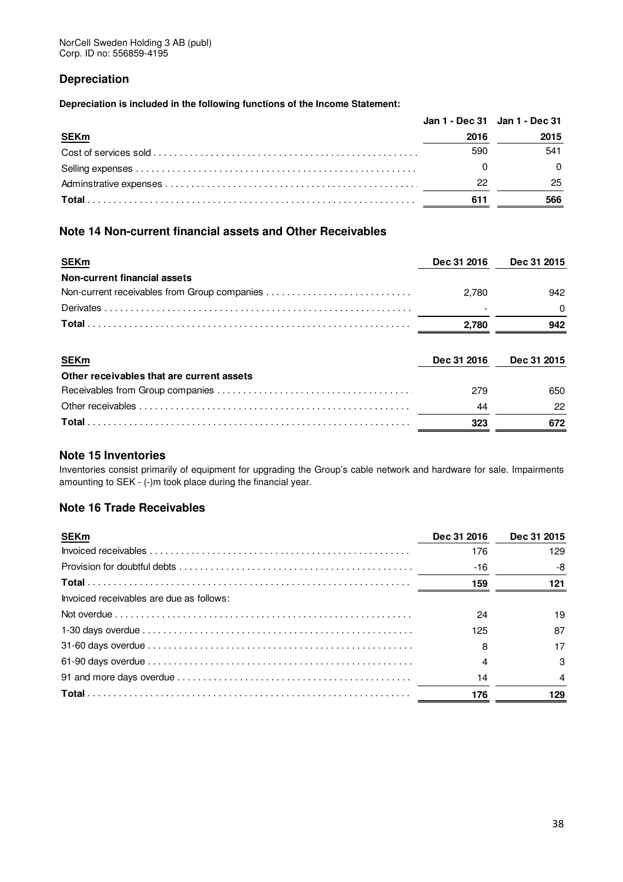# **Depreciation**

**Depreciation is included in the following functions of the Income Statement:** 

|             | Jan 1 - Dec 31 Jan 1 - Dec 31 |      |
|-------------|-------------------------------|------|
| <b>SEKm</b> | 2016                          | 2015 |
|             | 590                           | 541  |
|             |                               |      |
|             | 22                            | 25   |
|             | 611                           | 566  |

# **Note 14 Non-current financial assets and Other Receivables**

| <b>SEKm</b>                                              | Dec 31 2016 | Dec 31 2015 |
|----------------------------------------------------------|-------------|-------------|
| <b>Non-current financial assets</b>                      |             |             |
| Non-current receivables from Group companies             | 2.780       | 942         |
|                                                          |             | 0           |
|                                                          | 2,780       | 942         |
|                                                          |             |             |
|                                                          | Dec 31 2016 | Dec 31 2015 |
| <b>SEKm</b><br>Other receivables that are current assets |             |             |
|                                                          | 279         | 650         |
|                                                          | 44          | 22          |

# **Note 15 Inventories**

Inventories consist primarily of equipment for upgrading the Group's cable network and hardware for sale. Impairments amounting to SEK - (-)m took place during the financial year.

# **Note 16 Trade Receivables**

| <b>SEKm</b>                              | Dec 31 2016 | Dec 31 2015 |
|------------------------------------------|-------------|-------------|
|                                          | 176         | 129         |
|                                          | $-16$       | -8          |
|                                          | 159         | 121         |
| Invoiced receivables are due as follows: |             |             |
|                                          | 24          | 19          |
|                                          | 125         | 87          |
|                                          | 8           | 17          |
|                                          | 4           | 3           |
|                                          | 14          | 4           |
|                                          | 176         | 129         |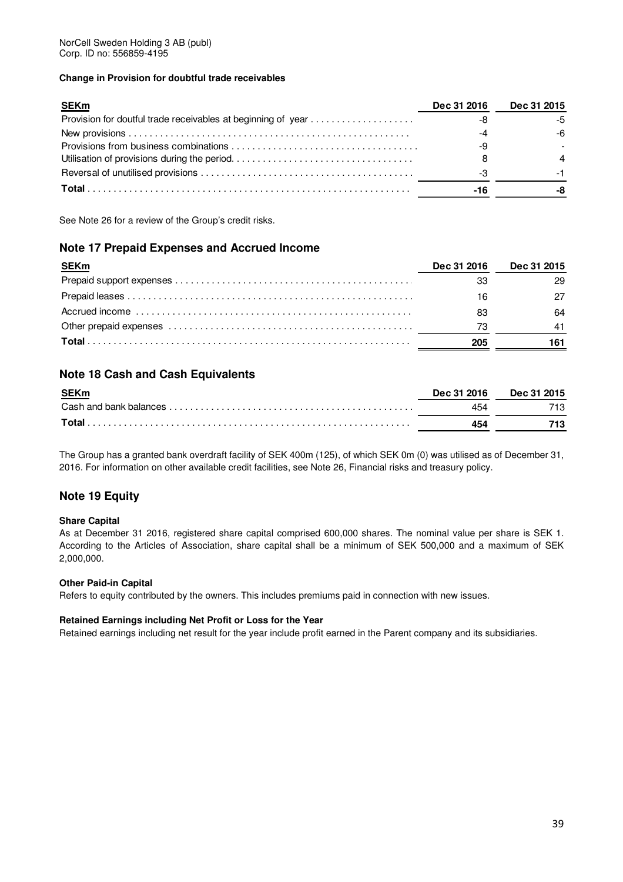### **Change in Provision for doubtful trade receivables**

| <b>SEKm</b>                                                  | Dec 31 2016 | <b>Dec 31 2015</b> |
|--------------------------------------------------------------|-------------|--------------------|
| Provision for doutful trade receivables at beginning of year |             |                    |
|                                                              |             |                    |
|                                                              |             |                    |
|                                                              |             |                    |
|                                                              |             |                    |
|                                                              | -16         |                    |

See Note 26 for a review of the Group's credit risks.

# **Note 17 Prepaid Expenses and Accrued Income**

| <b>SEKm</b> | Dec 31 2016 | <b>Dec 31 2015</b> |
|-------------|-------------|--------------------|
|             | 33          | 29                 |
|             | 16          |                    |
|             | 83          | 64                 |
|             | 73          | 41                 |
|             | 205         |                    |

# **Note 18 Cash and Cash Equivalents**

| <b>SEKm</b> | Dec 31 2016 | Dec 31 2015 |
|-------------|-------------|-------------|
|             | 454         | 713.        |
| Total       | 454         |             |

The Group has a granted bank overdraft facility of SEK 400m (125), of which SEK 0m (0) was utilised as of December 31, 2016. For information on other available credit facilities, see Note 26, Financial risks and treasury policy.

# **Note 19 Equity**

### **Share Capital**

As at December 31 2016, registered share capital comprised 600,000 shares. The nominal value per share is SEK 1. According to the Articles of Association, share capital shall be a minimum of SEK 500,000 and a maximum of SEK 2,000,000.

### **Other Paid-in Capital**

Refers to equity contributed by the owners. This includes premiums paid in connection with new issues.

### **Retained Earnings including Net Profit or Loss for the Year**

Retained earnings including net result for the year include profit earned in the Parent company and its subsidiaries.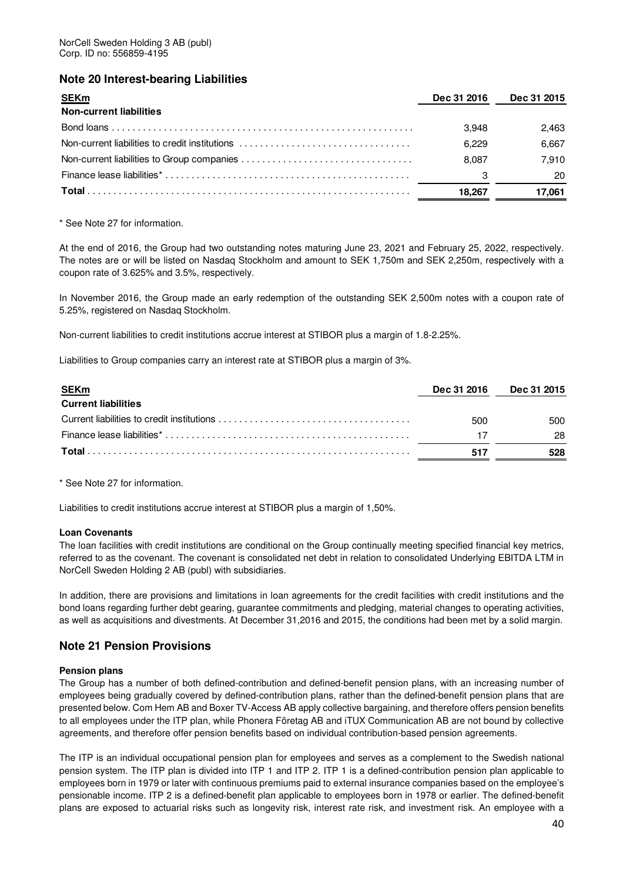# **Note 20 Interest-bearing Liabilities**

| <b>SEKm</b>                                    | Dec 31 2016 | Dec 31 2015 |
|------------------------------------------------|-------------|-------------|
| <b>Non-current liabilities</b>                 |             |             |
|                                                | 3.948       | 2.463       |
| Non-current liabilities to credit institutions | 6.229       | 6,667       |
|                                                | 8.087       | 7.910       |
|                                                | З           | 20          |
|                                                | 18.267      | 17,061      |

\* See Note 27 for information.

At the end of 2016, the Group had two outstanding notes maturing June 23, 2021 and February 25, 2022, respectively. The notes are or will be listed on Nasdaq Stockholm and amount to SEK 1,750m and SEK 2,250m, respectively with a coupon rate of 3.625% and 3.5%, respectively.

In November 2016, the Group made an early redemption of the outstanding SEK 2,500m notes with a coupon rate of 5.25%, registered on Nasdaq Stockholm.

Non-current liabilities to credit institutions accrue interest at STIBOR plus a margin of 1.8-2.25%.

Liabilities to Group companies carry an interest rate at STIBOR plus a margin of 3%.

| <b>SEKm</b>                | Dec 31 2016 | <b>Dec 31 2015</b> |
|----------------------------|-------------|--------------------|
| <b>Current liabilities</b> |             |                    |
|                            | 500         | 500                |
|                            |             | 28                 |
|                            | 517         | 528                |

\* See Note 27 for information.

Liabilities to credit institutions accrue interest at STIBOR plus a margin of 1,50%.

### **Loan Covenants**

The loan facilities with credit institutions are conditional on the Group continually meeting specified financial key metrics, referred to as the covenant. The covenant is consolidated net debt in relation to consolidated Underlying EBITDA LTM in NorCell Sweden Holding 2 AB (publ) with subsidiaries.

In addition, there are provisions and limitations in loan agreements for the credit facilities with credit institutions and the bond loans regarding further debt gearing, guarantee commitments and pledging, material changes to operating activities, as well as acquisitions and divestments. At December 31,2016 and 2015, the conditions had been met by a solid margin.

# **Note 21 Pension Provisions**

### **Pension plans**

The Group has a number of both defined-contribution and defined-benefit pension plans, with an increasing number of employees being gradually covered by defined-contribution plans, rather than the defined-benefit pension plans that are presented below. Com Hem AB and Boxer TV-Access AB apply collective bargaining, and therefore offers pension benefits to all employees under the ITP plan, while Phonera Företag AB and iTUX Communication AB are not bound by collective agreements, and therefore offer pension benefits based on individual contribution-based pension agreements.

The ITP is an individual occupational pension plan for employees and serves as a complement to the Swedish national pension system. The ITP plan is divided into ITP 1 and ITP 2. ITP 1 is a defined-contribution pension plan applicable to employees born in 1979 or later with continuous premiums paid to external insurance companies based on the employee's pensionable income. ITP 2 is a defined-benefit plan applicable to employees born in 1978 or earlier. The defined-benefit plans are exposed to actuarial risks such as longevity risk, interest rate risk, and investment risk. An employee with a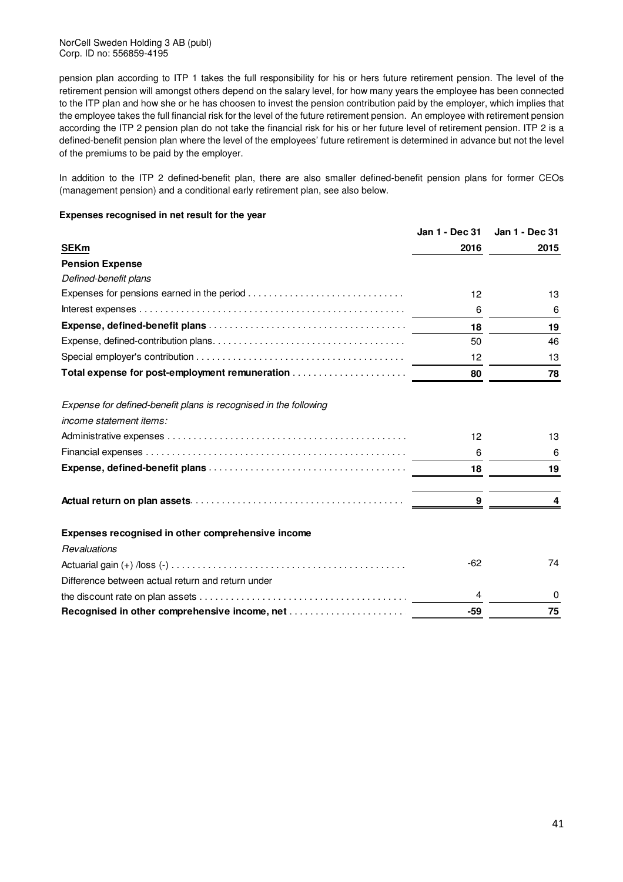NorCell Sweden Holding 3 AB (publ) Corp. ID no: 556859-4195

pension plan according to ITP 1 takes the full responsibility for his or hers future retirement pension. The level of the retirement pension will amongst others depend on the salary level, for how many years the employee has been connected to the ITP plan and how she or he has choosen to invest the pension contribution paid by the employer, which implies that the employee takes the full financial risk for the level of the future retirement pension. An employee with retirement pension according the ITP 2 pension plan do not take the financial risk for his or her future level of retirement pension. ITP 2 is a defined-benefit pension plan where the level of the employees' future retirement is determined in advance but not the level of the premiums to be paid by the employer.

In addition to the ITP 2 defined-benefit plan, there are also smaller defined-benefit pension plans for former CEOs (management pension) and a conditional early retirement plan, see also below.

### **Expenses recognised in net result for the year**

|                                                                  | Jan 1 - Dec 31  | Jan 1 - Dec 31 |
|------------------------------------------------------------------|-----------------|----------------|
| <b>SEKm</b>                                                      | 2016            | 2015           |
| <b>Pension Expense</b>                                           |                 |                |
| Defined-benefit plans                                            |                 |                |
|                                                                  | 12              | 13             |
|                                                                  | 6               | 6              |
|                                                                  | 18              | 19             |
|                                                                  | 50              | 46             |
|                                                                  | 12 <sup>2</sup> | 13             |
| Total expense for post-employment remuneration                   | 80              | 78             |
| Expense for defined-benefit plans is recognised in the following |                 |                |
| <i>income statement items:</i>                                   |                 |                |
|                                                                  | 12              | 13             |
|                                                                  | 6               | 6              |
|                                                                  | 18              | 19             |
|                                                                  | 9               | 4              |
| Expenses recognised in other comprehensive income                |                 |                |
| Revaluations                                                     |                 |                |
|                                                                  | $-62$           | 74             |
| Difference between actual return and return under                |                 |                |
|                                                                  | 4               | 0              |
|                                                                  | $-59$           | 75             |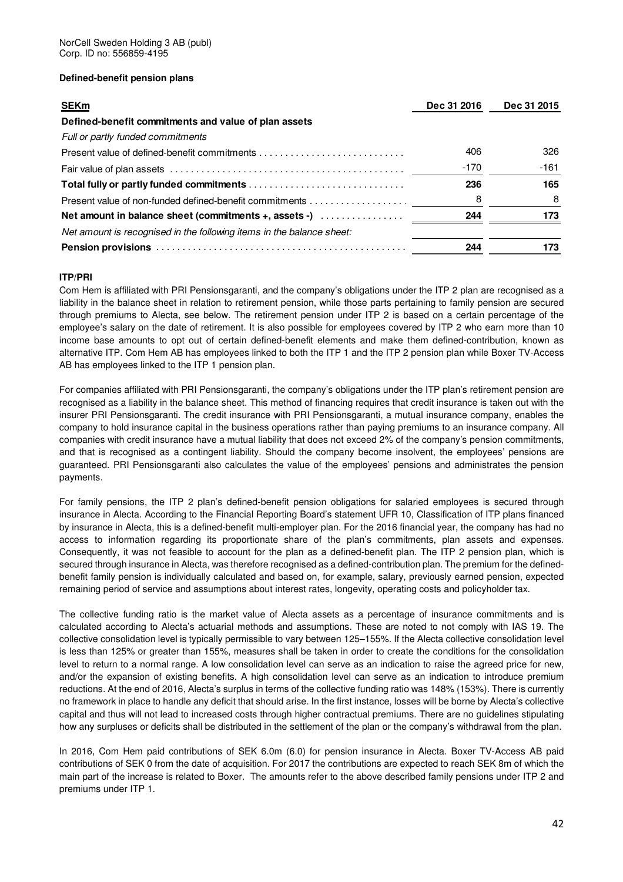### **Defined-benefit pension plans**

| <b>SEKm</b>                                                           | Dec 31 2016 | Dec 31 2015 |
|-----------------------------------------------------------------------|-------------|-------------|
| Defined-benefit commitments and value of plan assets                  |             |             |
| Full or partly funded commitments                                     |             |             |
|                                                                       | 406         | 326         |
|                                                                       | -170        | $-161$      |
|                                                                       | 236         | 165         |
|                                                                       | 8           |             |
| Net amount in balance sheet (commitments +, assets -)                 | 244         | 173         |
| Net amount is recognised in the following items in the balance sheet: |             |             |
|                                                                       | 244         | 173         |

### **ITP/PRI**

Com Hem is affiliated with PRI Pensionsgaranti, and the company's obligations under the ITP 2 plan are recognised as a liability in the balance sheet in relation to retirement pension, while those parts pertaining to family pension are secured through premiums to Alecta, see below. The retirement pension under ITP 2 is based on a certain percentage of the employee's salary on the date of retirement. It is also possible for employees covered by ITP 2 who earn more than 10 income base amounts to opt out of certain defined-benefit elements and make them defined-contribution, known as alternative ITP. Com Hem AB has employees linked to both the ITP 1 and the ITP 2 pension plan while Boxer TV-Access AB has employees linked to the ITP 1 pension plan.

For companies affiliated with PRI Pensionsgaranti, the company's obligations under the ITP plan's retirement pension are recognised as a liability in the balance sheet. This method of financing requires that credit insurance is taken out with the insurer PRI Pensionsgaranti. The credit insurance with PRI Pensionsgaranti, a mutual insurance company, enables the company to hold insurance capital in the business operations rather than paying premiums to an insurance company. All companies with credit insurance have a mutual liability that does not exceed 2% of the company's pension commitments, and that is recognised as a contingent liability. Should the company become insolvent, the employees' pensions are guaranteed. PRI Pensionsgaranti also calculates the value of the employees' pensions and administrates the pension payments.

For family pensions, the ITP 2 plan's defined-benefit pension obligations for salaried employees is secured through insurance in Alecta. According to the Financial Reporting Board's statement UFR 10, Classification of ITP plans financed by insurance in Alecta, this is a defined-benefit multi-employer plan. For the 2016 financial year, the company has had no access to information regarding its proportionate share of the plan's commitments, plan assets and expenses. Consequently, it was not feasible to account for the plan as a defined-benefit plan. The ITP 2 pension plan, which is secured through insurance in Alecta, was therefore recognised as a defined-contribution plan. The premium for the definedbenefit family pension is individually calculated and based on, for example, salary, previously earned pension, expected remaining period of service and assumptions about interest rates, longevity, operating costs and policyholder tax.

The collective funding ratio is the market value of Alecta assets as a percentage of insurance commitments and is calculated according to Alecta's actuarial methods and assumptions. These are noted to not comply with IAS 19. The collective consolidation level is typically permissible to vary between 125–155%. If the Alecta collective consolidation level is less than 125% or greater than 155%, measures shall be taken in order to create the conditions for the consolidation level to return to a normal range. A low consolidation level can serve as an indication to raise the agreed price for new, and/or the expansion of existing benefits. A high consolidation level can serve as an indication to introduce premium reductions. At the end of 2016, Alecta's surplus in terms of the collective funding ratio was 148% (153%). There is currently no framework in place to handle any deficit that should arise. In the first instance, losses will be borne by Alecta's collective capital and thus will not lead to increased costs through higher contractual premiums. There are no guidelines stipulating how any surpluses or deficits shall be distributed in the settlement of the plan or the company's withdrawal from the plan.

In 2016, Com Hem paid contributions of SEK 6.0m (6.0) for pension insurance in Alecta. Boxer TV-Access AB paid contributions of SEK 0 from the date of acquisition. For 2017 the contributions are expected to reach SEK 8m of which the main part of the increase is related to Boxer. The amounts refer to the above described family pensions under ITP 2 and premiums under ITP 1.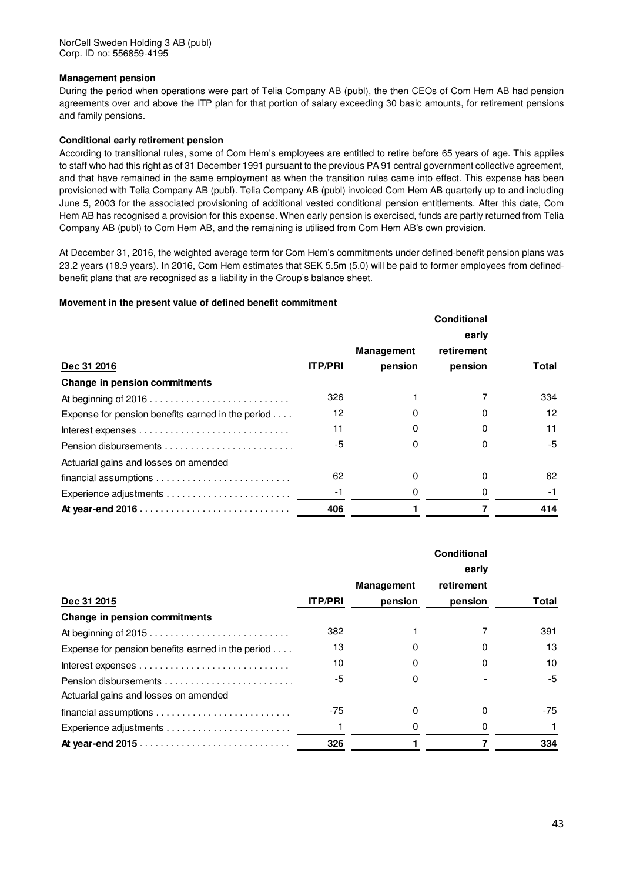### **Management pension**

During the period when operations were part of Telia Company AB (publ), the then CEOs of Com Hem AB had pension agreements over and above the ITP plan for that portion of salary exceeding 30 basic amounts, for retirement pensions and family pensions.

### **Conditional early retirement pension**

According to transitional rules, some of Com Hem's employees are entitled to retire before 65 years of age. This applies to staff who had this right as of 31 December 1991 pursuant to the previous PA 91 central government collective agreement, and that have remained in the same employment as when the transition rules came into effect. This expense has been provisioned with Telia Company AB (publ). Telia Company AB (publ) invoiced Com Hem AB quarterly up to and including June 5, 2003 for the associated provisioning of additional vested conditional pension entitlements. After this date, Com Hem AB has recognised a provision for this expense. When early pension is exercised, funds are partly returned from Telia Company AB (publ) to Com Hem AB, and the remaining is utilised from Com Hem AB's own provision.

At December 31, 2016, the weighted average term for Com Hem's commitments under defined-benefit pension plans was 23.2 years (18.9 years). In 2016, Com Hem estimates that SEK 5.5m (5.0) will be paid to former employees from definedbenefit plans that are recognised as a liability in the Group's balance sheet.

### **Movement in the present value of defined benefit commitment**

|                                                                          |                |                   | Conditional |              |
|--------------------------------------------------------------------------|----------------|-------------------|-------------|--------------|
|                                                                          |                |                   | early       |              |
|                                                                          |                | <b>Management</b> | retirement  |              |
| Dec 31 2016                                                              | <b>ITP/PRI</b> | pension           | pension     | <b>Total</b> |
| Change in pension commitments                                            |                |                   |             |              |
|                                                                          | 326            |                   |             | 334          |
| Expense for pension benefits earned in the period $\ldots$ .             | 12             |                   | 0           | 12           |
|                                                                          | 11             |                   | 0           | 11           |
|                                                                          | -5             |                   | 0           | -5           |
| Actuarial gains and losses on amended                                    |                |                   |             |              |
| $f$ inancial assumptions $\dots\dots\dots\dots\dots\dots\dots\dots\dots$ | 62             | 0                 | 0           | 62           |
|                                                                          | -1             |                   | 0           | -1           |
|                                                                          | 406            |                   |             | 414          |

|                                                                                  | <b>Conditional</b><br>early |            |            |       |
|----------------------------------------------------------------------------------|-----------------------------|------------|------------|-------|
|                                                                                  |                             | Management | retirement |       |
| Dec 31 2015                                                                      | <b>ITP/PRI</b>              | pension    | pension    | Total |
| Change in pension commitments                                                    |                             |            |            |       |
| At beginning of 2015                                                             | 382                         |            |            | 391   |
| Expense for pension benefits earned in the period $\dots$                        | 13                          |            |            | 13    |
| Interest expenses $\dots\dots\dots\dots\dots\dots\dots\dots\dots\dots\dots\dots$ | 10                          |            | 0          | 10    |
|                                                                                  | -5                          |            |            | -5    |
| Actuarial gains and losses on amended                                            |                             |            |            |       |
|                                                                                  | -75                         | O          | ŋ          | -75   |
|                                                                                  |                             |            | 0          |       |
|                                                                                  | 326                         |            |            | 334   |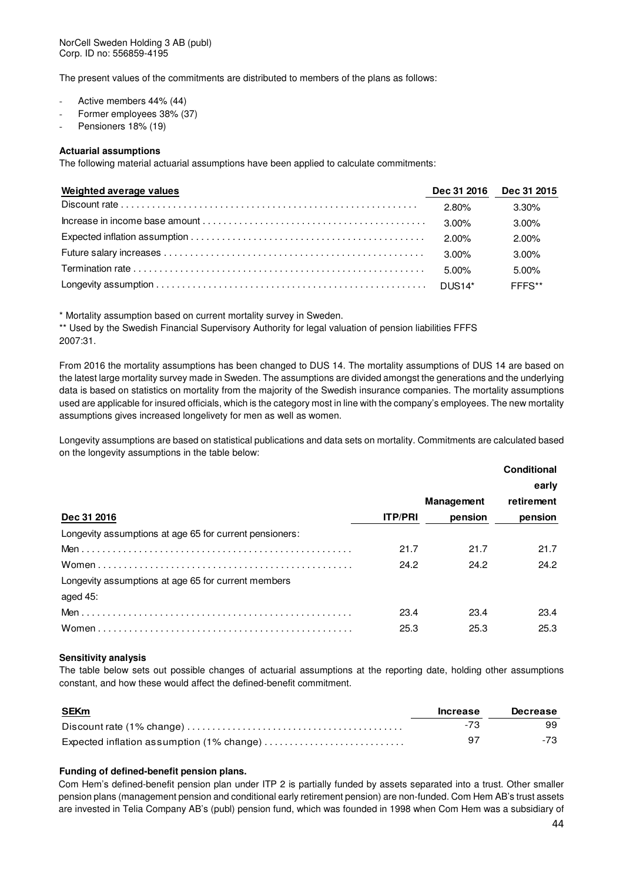The present values of the commitments are distributed to members of the plans as follows:

- Active members 44% (44)
- Former employees 38% (37)
- Pensioners 18% (19)

### **Actuarial assumptions**

The following material actuarial assumptions have been applied to calculate commitments:

| Weighted average values |       | Dec 31 2016 Dec 31 2015 |
|-------------------------|-------|-------------------------|
|                         | 2.80% | 3.30%                   |
|                         | 3.00% | $3.00\%$                |
|                         | 2.00% | $2.00\%$                |
|                         | 3.00% | $3.00\%$                |
|                         | 5.00% | $5.00\%$                |
|                         |       | FFFS**                  |

\* Mortality assumption based on current mortality survey in Sweden.

\*\* Used by the Swedish Financial Supervisory Authority for legal valuation of pension liabilities FFFS 2007:31.

From 2016 the mortality assumptions has been changed to DUS 14. The mortality assumptions of DUS 14 are based on the latest large mortality survey made in Sweden. The assumptions are divided amongst the generations and the underlying data is based on statistics on mortality from the majority of the Swedish insurance companies. The mortality assumptions used are applicable for insured officials, which is the category most in line with the company's employees. The new mortality assumptions gives increased longelivety for men as well as women.

Longevity assumptions are based on statistical publications and data sets on mortality. Commitments are calculated based on the longevity assumptions in the table below:

|                                                         | Conditional    |                   |            |  |
|---------------------------------------------------------|----------------|-------------------|------------|--|
|                                                         |                |                   | early      |  |
|                                                         |                | <b>Management</b> | retirement |  |
| Dec 31 2016                                             | <b>ITP/PRI</b> | pension           | pension    |  |
| Longevity assumptions at age 65 for current pensioners: |                |                   |            |  |
|                                                         | 21.7           | 21.7              | 21.7       |  |
|                                                         | 24.2           | 24.2              | 24.2       |  |
| Longevity assumptions at age 65 for current members     |                |                   |            |  |
| aged 45:                                                |                |                   |            |  |
|                                                         | 23.4           | 23.4              | 23.4       |  |
|                                                         | 25.3           | 25.3              | 25.3       |  |

### **Sensitivity analysis**

The table below sets out possible changes of actuarial assumptions at the reporting date, holding other assumptions constant, and how these would affect the defined-benefit commitment.

| SEKm |  |  |
|------|--|--|
|      |  |  |

| <b>SEKm</b>                               | <b>Increase</b> | Decrease |
|-------------------------------------------|-----------------|----------|
|                                           |                 | 99       |
| Expected inflation assumption (1% change) |                 |          |

### **Funding of defined-benefit pension plans.**

Com Hem's defined-benefit pension plan under ITP 2 is partially funded by assets separated into a trust. Other smaller pension plans (management pension and conditional early retirement pension) are non-funded. Com Hem AB's trust assets are invested in Telia Company AB's (publ) pension fund, which was founded in 1998 when Com Hem was a subsidiary of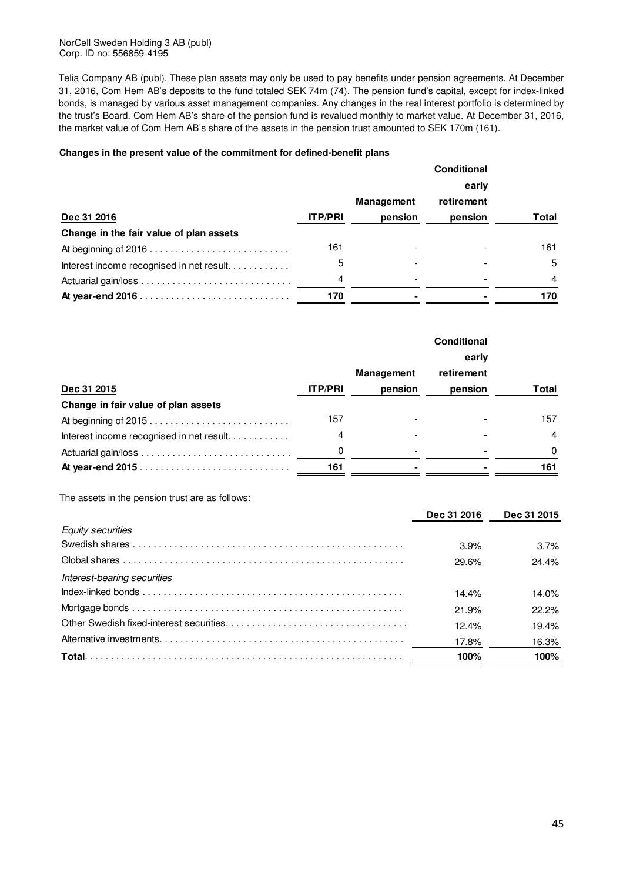NorCell Sweden Holding 3 AB (publ) Corp. ID no: 556859-4195

Telia Company AB (publ). These plan assets may only be used to pay benefits under pension agreements. At December 31, 2016, Com Hem AB's deposits to the fund totaled SEK 74m (74). The pension fund's capital, except for index-linked bonds, is managed by various asset management companies. Any changes in the real interest portfolio is determined by the trust's Board. Com Hem AB's share of the pension fund is revalued monthly to market value. At December 31, 2016, the market value of Com Hem AB's share of the assets in the pension trust amounted to SEK 170m (161).

### **Changes in the present value of the commitment for defined-benefit plans**

|                                          |                | early             |            |       |
|------------------------------------------|----------------|-------------------|------------|-------|
|                                          |                | <b>Management</b> | retirement |       |
| Dec 31 2016                              | <b>ITP/PRI</b> | pension           | pension    | Total |
| Change in the fair value of plan assets  |                |                   |            |       |
|                                          | 161            |                   |            | 161   |
| Interest income recognised in net result | 5              |                   |            | 5     |
|                                          | 4              |                   |            | 4     |
|                                          | 170            |                   |            | 170   |

|                                          |                | <b>Management</b> | retirement |          |
|------------------------------------------|----------------|-------------------|------------|----------|
| Dec 31 2015                              | <b>ITP/PRI</b> | pension           | pension    | Total    |
| Change in fair value of plan assets      |                |                   |            |          |
| At beginning of 2015                     | 157            |                   |            | 157      |
| Interest income recognised in net result | 4              |                   |            | 4        |
|                                          | 0              |                   |            | $\Omega$ |
|                                          | 161            |                   |            | 161      |

The assets in the pension trust are as follows:

|                             | Dec 31 2016 | Dec 31 2015 |
|-----------------------------|-------------|-------------|
| <b>Equity securities</b>    |             |             |
|                             | 3.9%        | 3.7%        |
|                             | 29.6%       | 24.4%       |
| Interest-bearing securities |             |             |
|                             | 14.4%       | 14.0%       |
|                             | 21.9%       | 22.2%       |
|                             | 12.4%       | 19.4%       |
|                             | 17.8%       | 16.3%       |
|                             | 100%        | 100%        |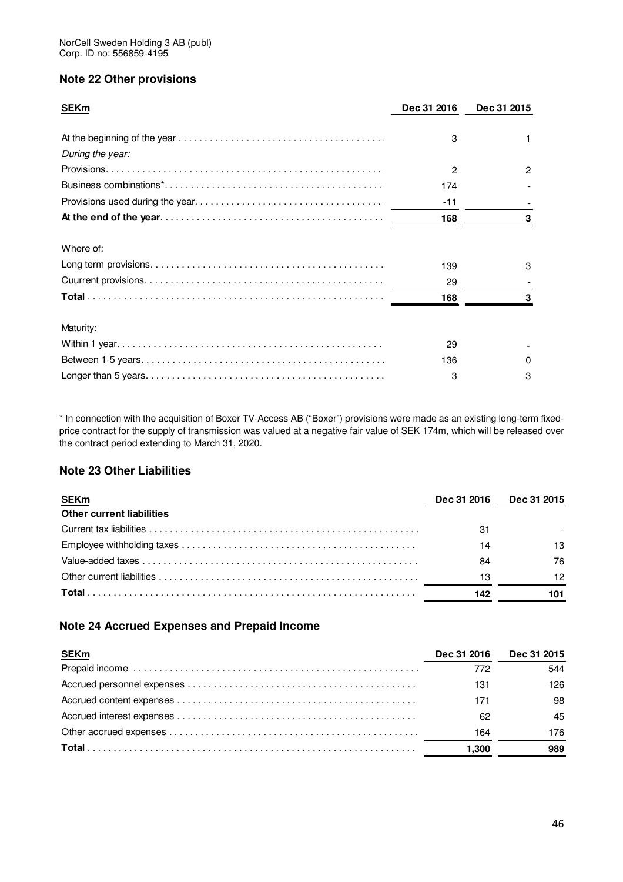# **Note 22 Other provisions**

| <b>SEKm</b>      | Dec 31 2016 | Dec 31 2015 |  |
|------------------|-------------|-------------|--|
|                  |             |             |  |
|                  | 3           |             |  |
| During the year: |             |             |  |
|                  | 2           | 2           |  |
|                  | 174         |             |  |
|                  | -11         |             |  |
|                  | 168         |             |  |
| Where of:        |             |             |  |
|                  | 139         | з           |  |
|                  | 29          |             |  |
|                  | 168         |             |  |
| Maturity:        |             |             |  |
|                  | 29          |             |  |
|                  | 136         |             |  |
|                  | 3           |             |  |

\* In connection with the acquisition of Boxer TV-Access AB ("Boxer") provisions were made as an existing long-term fixedprice contract for the supply of transmission was valued at a negative fair value of SEK 174m, which will be released over the contract period extending to March 31, 2020.

# **Note 23 Other Liabilities**

| <b>SEKm</b>                      | Dec 31 2016 | <b>Dec 31 2015</b> |
|----------------------------------|-------------|--------------------|
| <b>Other current liabilities</b> |             |                    |
|                                  | 31          |                    |
|                                  | 14          | 13                 |
|                                  | 84          | 76                 |
|                                  | 13          | 12                 |
|                                  | 142         | 101                |

# **Note 24 Accrued Expenses and Prepaid Income**

| <b>SEKm</b> | Dec 31 2016 | Dec 31 2015 |
|-------------|-------------|-------------|
|             | 772         | 544         |
|             | 131         | 126         |
|             | 171         | 98          |
|             | 62          | 45          |
|             | 164         | 176         |
|             | 1,300       | 989         |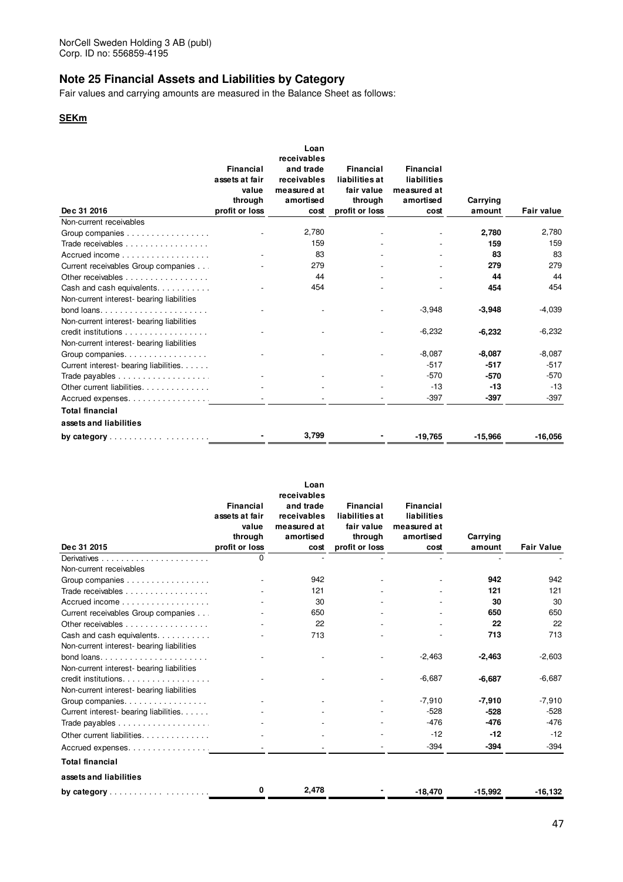# **Note 25 Financial Assets and Liabilities by Category**

Fair values and carrying amounts are measured in the Balance Sheet as follows:

### **SEKm**

|                                                  |                  | Loan        |                  |                  |           |                   |
|--------------------------------------------------|------------------|-------------|------------------|------------------|-----------|-------------------|
|                                                  |                  | receivables |                  |                  |           |                   |
|                                                  | <b>Financial</b> | and trade   | <b>Financial</b> | <b>Financial</b> |           |                   |
|                                                  | assets at fair   | receivables | liabilities at   | liabilities      |           |                   |
|                                                  | value            | measured at | fair value       | measured at      |           |                   |
|                                                  | through          | amortised   | through          | amortised        | Carrying  |                   |
| Dec 31 2016                                      | profit or loss   | cost        | profit or loss   | cost             | amount    | <b>Fair value</b> |
| Non-current receivables                          |                  |             |                  |                  |           |                   |
| Group companies                                  |                  | 2,780       |                  |                  | 2,780     | 2,780             |
| Trade receivables                                |                  | 159         |                  |                  | 159       | 159               |
| Accrued income                                   |                  | 83          |                  |                  | 83        | 83                |
| Current receivables Group companies              |                  | 279         |                  |                  | 279       | 279               |
| Other receivables                                |                  | 44          |                  |                  | 44        | 44                |
| Cash and cash equivalents.                       |                  | 454         |                  |                  | 454       | 454               |
| Non-current interest- bearing liabilities        |                  |             |                  |                  |           |                   |
|                                                  |                  |             |                  | $-3,948$         | $-3,948$  | -4,039            |
| Non-current interest- bearing liabilities        |                  |             |                  |                  |           |                   |
| credit institutions                              |                  |             |                  | $-6,232$         | $-6,232$  | $-6,232$          |
| Non-current interest- bearing liabilities        |                  |             |                  |                  |           |                   |
| Group companies.                                 |                  |             |                  | $-8,087$         | $-8,087$  | $-8,087$          |
| Current interest- bearing liabilities.           |                  |             |                  | $-517$           | $-517$    | $-517$            |
|                                                  |                  |             |                  | $-570$           | $-570$    | $-570$            |
| Other current liabilities                        |                  |             |                  | $-13$            | $-13$     | $-13$             |
| Accrued expenses.                                |                  |             |                  | $-397$           | $-397$    | $-397$            |
| <b>Total financial</b>                           |                  |             |                  |                  |           |                   |
|                                                  |                  |             |                  |                  |           |                   |
| assets and liabilities                           |                  |             |                  |                  |           |                   |
| by category $\ldots \ldots \ldots \ldots \ldots$ |                  | 3,799       |                  | $-19,765$        | $-15,966$ | $-16,056$         |

|                                           |                     | Loan        |                |             |           |                   |
|-------------------------------------------|---------------------|-------------|----------------|-------------|-----------|-------------------|
|                                           |                     | receivables |                |             |           |                   |
|                                           | Financial           | and trade   | Financial      | Financial   |           |                   |
|                                           | assets at fair      | receivables | liabilities at | liabilities |           |                   |
|                                           | value               | measured at | fair value     | measured at |           |                   |
| Dec 31 2015                               | through             | amortised   | through        | amortised   | Carrying  | <b>Fair Value</b> |
|                                           | profit or loss<br>0 | cost        | profit or loss | cost        | amount    |                   |
| Non-current receivables                   |                     |             |                |             |           |                   |
|                                           |                     | 942         |                |             | 942       | 942               |
| Group companies                           |                     | 121         |                |             | 121       | 121               |
| Trade receivables                         |                     | 30          |                |             | 30        | 30                |
| Accrued income                            |                     |             |                |             |           |                   |
| Current receivables Group companies       |                     | 650         |                |             | 650       | 650               |
| Other receivables                         |                     | 22          |                |             | 22        | 22                |
| Cash and cash equivalents                 |                     | 713         |                |             | 713       | 713               |
| Non-current interest- bearing liabilities |                     |             |                |             |           |                   |
|                                           |                     |             |                | $-2,463$    | $-2,463$  | $-2,603$          |
| Non-current interest- bearing liabilities |                     |             |                |             |           |                   |
| credit institutions.                      |                     |             |                | $-6,687$    | $-6,687$  | $-6,687$          |
| Non-current interest- bearing liabilities |                     |             |                |             |           |                   |
| Group companies.                          |                     |             |                | $-7,910$    | $-7,910$  | $-7,910$          |
| Current interest- bearing liabilities.    |                     |             |                | $-528$      | $-528$    | $-528$            |
|                                           |                     |             |                | $-476$      | $-476$    | -476              |
| Other current liabilities                 |                     |             |                | $-12$       | $-12$     | $-12$             |
| Accrued expenses                          |                     |             |                | $-394$      | $-394$    | $-394$            |
| <b>Total financial</b>                    |                     |             |                |             |           |                   |
| assets and liabilities                    |                     |             |                |             |           |                   |
|                                           | 0                   | 2,478       |                | $-18.470$   | $-15.992$ | $-16, 132$        |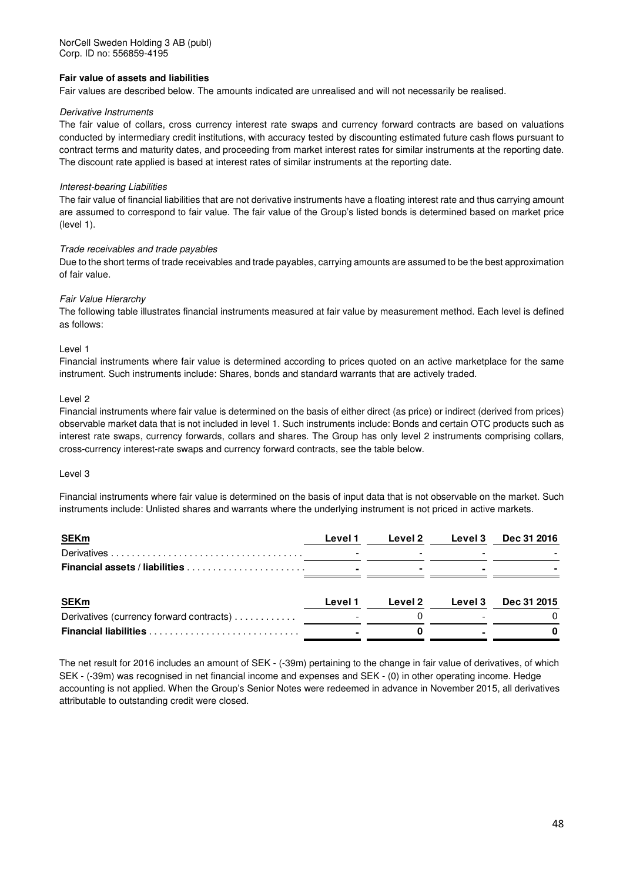### **Fair value of assets and liabilities**

Fair values are described below. The amounts indicated are unrealised and will not necessarily be realised.

### Derivative Instruments

The fair value of collars, cross currency interest rate swaps and currency forward contracts are based on valuations conducted by intermediary credit institutions, with accuracy tested by discounting estimated future cash flows pursuant to contract terms and maturity dates, and proceeding from market interest rates for similar instruments at the reporting date. The discount rate applied is based at interest rates of similar instruments at the reporting date.

### Interest-bearing Liabilities

The fair value of financial liabilities that are not derivative instruments have a floating interest rate and thus carrying amount are assumed to correspond to fair value. The fair value of the Group's listed bonds is determined based on market price (level 1).

### Trade receivables and trade payables

Due to the short terms of trade receivables and trade payables, carrying amounts are assumed to be the best approximation of fair value.

### Fair Value Hierarchy

The following table illustrates financial instruments measured at fair value by measurement method. Each level is defined as follows:

### Level 1

Financial instruments where fair value is determined according to prices quoted on an active marketplace for the same instrument. Such instruments include: Shares, bonds and standard warrants that are actively traded.

### Level 2

Financial instruments where fair value is determined on the basis of either direct (as price) or indirect (derived from prices) observable market data that is not included in level 1. Such instruments include: Bonds and certain OTC products such as interest rate swaps, currency forwards, collars and shares. The Group has only level 2 instruments comprising collars, cross-currency interest-rate swaps and currency forward contracts, see the table below.

### Level 3

Financial instruments where fair value is determined on the basis of input data that is not observable on the market. Such instruments include: Unlisted shares and warrants where the underlying instrument is not priced in active markets.

| <b>SEKm</b>                              | Level 1 | Level 2        | Level 3 | <b>Dec 31 2016</b> |  |
|------------------------------------------|---------|----------------|---------|--------------------|--|
|                                          |         |                |         |                    |  |
| <b>Financial assets / liabilities </b>   |         |                |         |                    |  |
|                                          |         |                |         |                    |  |
| <b>SEKm</b>                              | Level 1 | <b>Level 2</b> | Level 3 | Dec 31 2015        |  |
| Derivatives (currency forward contracts) |         |                |         |                    |  |
|                                          |         |                |         |                    |  |

The net result for 2016 includes an amount of SEK - (-39m) pertaining to the change in fair value of derivatives, of which SEK - (-39m) was recognised in net financial income and expenses and SEK - (0) in other operating income. Hedge accounting is not applied. When the Group's Senior Notes were redeemed in advance in November 2015, all derivatives attributable to outstanding credit were closed.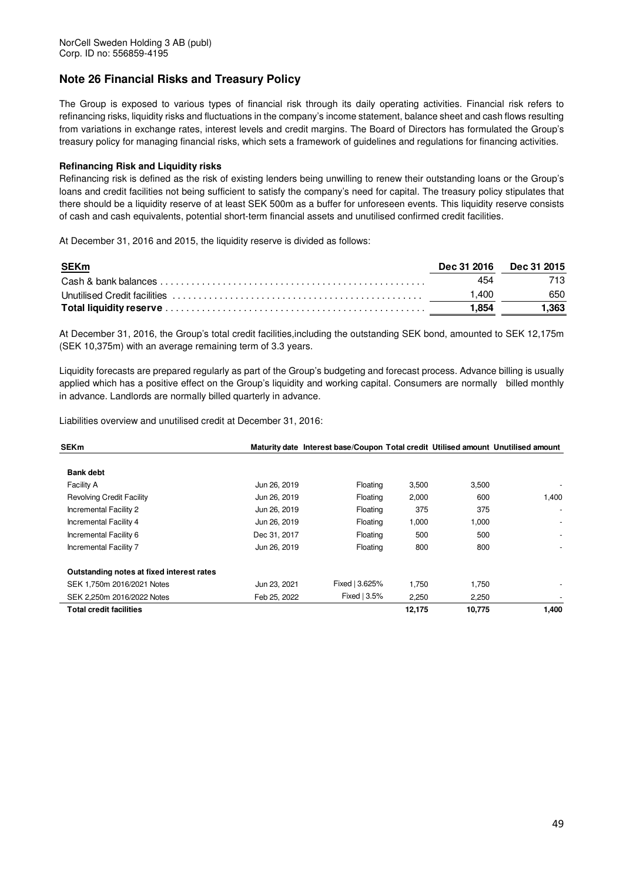# **Note 26 Financial Risks and Treasury Policy**

The Group is exposed to various types of financial risk through its daily operating activities. Financial risk refers to refinancing risks, liquidity risks and fluctuations in the company's income statement, balance sheet and cash flows resulting from variations in exchange rates, interest levels and credit margins. The Board of Directors has formulated the Group's treasury policy for managing financial risks, which sets a framework of guidelines and regulations for financing activities.

### **Refinancing Risk and Liquidity risks**

Refinancing risk is defined as the risk of existing lenders being unwilling to renew their outstanding loans or the Group's loans and credit facilities not being sufficient to satisfy the company's need for capital. The treasury policy stipulates that there should be a liquidity reserve of at least SEK 500m as a buffer for unforeseen events. This liquidity reserve consists of cash and cash equivalents, potential short-term financial assets and unutilised confirmed credit facilities.

At December 31, 2016 and 2015, the liquidity reserve is divided as follows:

| <u>SEKm</u> |       | Dec 31 2016 Dec 31 2015 |
|-------------|-------|-------------------------|
|             | 454   |                         |
|             | .400  | 650                     |
|             | ∣.854 | 1.363                   |

At December 31, 2016, the Group's total credit facilities,including the outstanding SEK bond, amounted to SEK 12,175m (SEK 10,375m) with an average remaining term of 3.3 years.

Liquidity forecasts are prepared regularly as part of the Group's budgeting and forecast process. Advance billing is usually applied which has a positive effect on the Group's liquidity and working capital. Consumers are normally billed monthly in advance. Landlords are normally billed quarterly in advance.

Liabilities overview and unutilised credit at December 31, 2016:

| <b>SEKm</b>                               |              | Maturity date Interest base/Coupon Total credit Utilised amount Unutilised amount |        |        |       |
|-------------------------------------------|--------------|-----------------------------------------------------------------------------------|--------|--------|-------|
| <b>Bank debt</b>                          |              |                                                                                   |        |        |       |
| <b>Facility A</b>                         | Jun 26, 2019 | Floating                                                                          | 3,500  | 3,500  |       |
| <b>Revolving Credit Facility</b>          | Jun 26, 2019 | Floating                                                                          | 2,000  | 600    | 1,400 |
| Incremental Facility 2                    | Jun 26, 2019 | Floating                                                                          | 375    | 375    |       |
| Incremental Facility 4                    | Jun 26, 2019 | Floating                                                                          | 1,000  | 1,000  |       |
| Incremental Facility 6                    | Dec 31, 2017 | Floating                                                                          | 500    | 500    |       |
| Incremental Facility 7                    | Jun 26, 2019 | Floating                                                                          | 800    | 800    |       |
| Outstanding notes at fixed interest rates |              |                                                                                   |        |        |       |
| SEK 1.750m 2016/2021 Notes                | Jun 23, 2021 | Fixed   3.625%                                                                    | 1.750  | 1,750  |       |
| SEK 2.250m 2016/2022 Notes                | Feb 25, 2022 | Fixed $ 3.5%$                                                                     | 2,250  | 2,250  |       |
| <b>Total credit facilities</b>            |              |                                                                                   | 12,175 | 10,775 | 1,400 |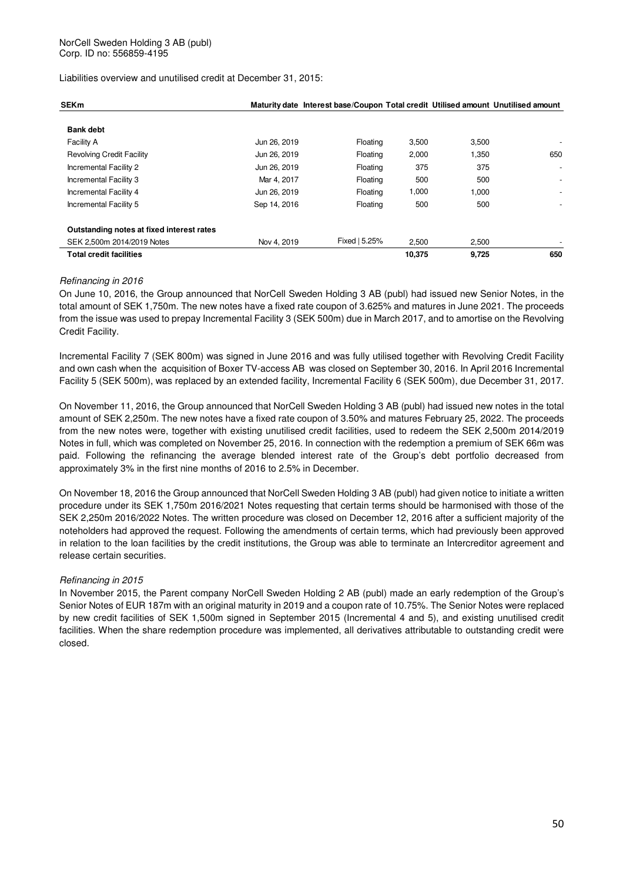Liabilities overview and unutilised credit at December 31, 2015:

| <b>SEKm</b>                               |              | Maturity date Interest base/Coupon Total credit Utilised amount Unutilised amount |        |       |                          |
|-------------------------------------------|--------------|-----------------------------------------------------------------------------------|--------|-------|--------------------------|
| <b>Bank debt</b>                          |              |                                                                                   |        |       |                          |
| Facility A                                | Jun 26, 2019 | Floating                                                                          | 3,500  | 3,500 |                          |
| <b>Revolving Credit Facility</b>          | Jun 26, 2019 | Floating                                                                          | 2,000  | 1,350 | 650                      |
| Incremental Facility 2                    | Jun 26, 2019 | Floating                                                                          | 375    | 375   | $\overline{\phantom{a}}$ |
| Incremental Facility 3                    | Mar 4, 2017  | Floating                                                                          | 500    | 500   | $\overline{\phantom{a}}$ |
| Incremental Facility 4                    | Jun 26, 2019 | Floating                                                                          | 1,000  | 1,000 |                          |
| Incremental Facility 5                    | Sep 14, 2016 | Floating                                                                          | 500    | 500   |                          |
| Outstanding notes at fixed interest rates |              |                                                                                   |        |       |                          |
| SEK 2.500m 2014/2019 Notes                | Nov 4, 2019  | Fixed   5.25%                                                                     | 2.500  | 2.500 |                          |
| <b>Total credit facilities</b>            |              |                                                                                   | 10,375 | 9,725 | 650                      |

### Refinancing in 2016

On June 10, 2016, the Group announced that NorCell Sweden Holding 3 AB (publ) had issued new Senior Notes, in the total amount of SEK 1,750m. The new notes have a fixed rate coupon of 3.625% and matures in June 2021. The proceeds from the issue was used to prepay Incremental Facility 3 (SEK 500m) due in March 2017, and to amortise on the Revolving Credit Facility.

Incremental Facility 7 (SEK 800m) was signed in June 2016 and was fully utilised together with Revolving Credit Facility and own cash when the acquisition of Boxer TV-access AB was closed on September 30, 2016. In April 2016 Incremental Facility 5 (SEK 500m), was replaced by an extended facility, Incremental Facility 6 (SEK 500m), due December 31, 2017.

On November 11, 2016, the Group announced that NorCell Sweden Holding 3 AB (publ) had issued new notes in the total amount of SEK 2,250m. The new notes have a fixed rate coupon of 3.50% and matures February 25, 2022. The proceeds from the new notes were, together with existing unutilised credit facilities, used to redeem the SEK 2,500m 2014/2019 Notes in full, which was completed on November 25, 2016. In connection with the redemption a premium of SEK 66m was paid. Following the refinancing the average blended interest rate of the Group's debt portfolio decreased from approximately 3% in the first nine months of 2016 to 2.5% in December.

On November 18, 2016 the Group announced that NorCell Sweden Holding 3 AB (publ) had given notice to initiate a written procedure under its SEK 1,750m 2016/2021 Notes requesting that certain terms should be harmonised with those of the SEK 2,250m 2016/2022 Notes. The written procedure was closed on December 12, 2016 after a sufficient majority of the noteholders had approved the request. Following the amendments of certain terms, which had previously been approved in relation to the loan facilities by the credit institutions, the Group was able to terminate an Intercreditor agreement and release certain securities.

### Refinancing in 2015

In November 2015, the Parent company NorCell Sweden Holding 2 AB (publ) made an early redemption of the Group's Senior Notes of EUR 187m with an original maturity in 2019 and a coupon rate of 10.75%. The Senior Notes were replaced by new credit facilities of SEK 1,500m signed in September 2015 (Incremental 4 and 5), and existing unutilised credit facilities. When the share redemption procedure was implemented, all derivatives attributable to outstanding credit were closed.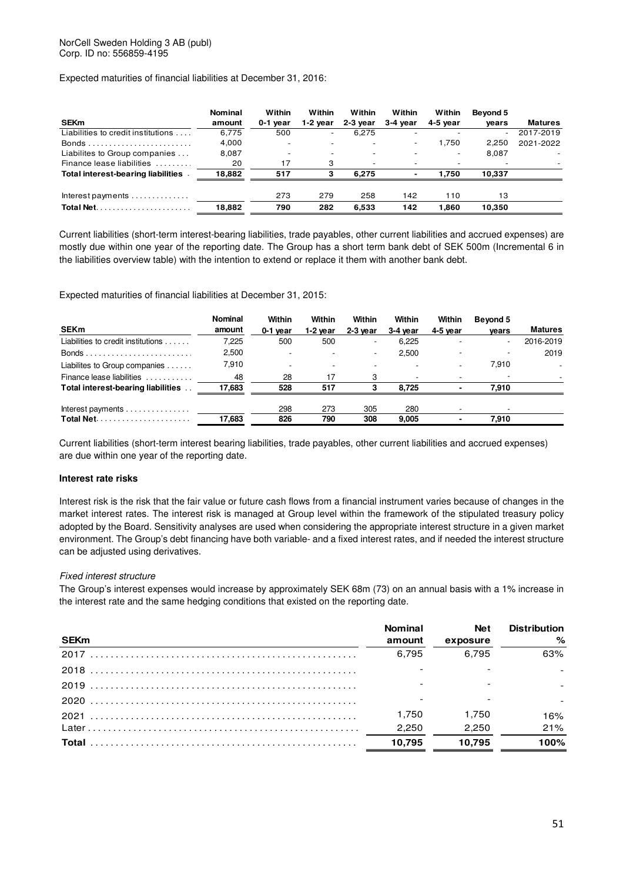Expected maturities of financial liabilities at December 31, 2016:

| <b>SEKm</b>                                 | <b>Nominal</b><br>amount | Within<br>0-1 year       | Within<br>1-2 year       | Within<br>2-3 year       | Within<br>3-4 year | Within<br>4-5 year | Beyond 5<br>vears        | <b>Matures</b> |
|---------------------------------------------|--------------------------|--------------------------|--------------------------|--------------------------|--------------------|--------------------|--------------------------|----------------|
| Liabilities to credit institutions          | 6.775                    | 500                      | $\overline{\phantom{a}}$ | 6,275                    |                    |                    | $\overline{\phantom{a}}$ | 2017-2019      |
|                                             | 4,000                    |                          |                          |                          | $\sim$             | 1.750              | 2.250                    | 2021-2022      |
| Liabilites to Group companies               | 8,087                    | $\overline{\phantom{0}}$ | $\overline{\phantom{0}}$ |                          |                    | ٠                  | 8,087                    |                |
| Finance lease liabilities                   | 20                       | 17                       | 3                        | $\overline{\phantom{a}}$ |                    |                    |                          |                |
| <b>Total interest-bearing liabilities</b>   | 18,882                   | 517                      | з                        | 6.275                    |                    | 1.750              | 10.337                   |                |
| $Interest payments \dots \dots \dots \dots$ |                          | 273                      | 279                      | 258                      | 142                | 110                | 13                       |                |
|                                             | 18,882                   | 790                      | 282                      | 6.533                    | 142                | 1.860              | 10.350                   |                |

Current liabilities (short-term interest-bearing liabilities, trade payables, other current liabilities and accrued expenses) are mostly due within one year of the reporting date. The Group has a short term bank debt of SEK 500m (Incremental 6 in the liabilities overview table) with the intention to extend or replace it them with another bank debt.

Expected maturities of financial liabilities at December 31, 2015:

| <b>SEKm</b>                        | <b>Nominal</b><br>amount | Within<br>0-1 year | Within<br>1-2 year       | Within<br>$2-3$ year     | Within<br>3-4 year | Within<br>4-5 year | Beyond 5<br>vears        | <b>Matures</b> |
|------------------------------------|--------------------------|--------------------|--------------------------|--------------------------|--------------------|--------------------|--------------------------|----------------|
| Liabilities to credit institutions | 7,225                    | 500                | 500                      | $\overline{\phantom{a}}$ | 6,225              |                    | $\overline{\phantom{a}}$ | 2016-2019      |
|                                    | 2,500                    |                    |                          | $\overline{\phantom{a}}$ | 2.500              |                    |                          | 2019           |
| Liabilites to Group companies      | 7.910                    |                    | $\overline{\phantom{a}}$ |                          |                    |                    | 7.910                    |                |
| Finance lease liabilities          | 48                       | 28                 | 17                       | з                        |                    |                    |                          |                |
| Total interest-bearing liabilities | 17.683                   | 528                | 517                      |                          | 8.725              |                    | 7.910                    |                |
| Interest payments                  |                          | 298                | 273                      | 305                      | 280                |                    |                          |                |
|                                    | 17,683                   | 826                | 790                      | 308                      | 9.005              |                    | 7.910                    |                |

Current liabilities (short-term interest bearing liabilities, trade payables, other current liabilities and accrued expenses) are due within one year of the reporting date.

### **Interest rate risks**

Interest risk is the risk that the fair value or future cash flows from a financial instrument varies because of changes in the market interest rates. The interest risk is managed at Group level within the framework of the stipulated treasury policy adopted by the Board. Sensitivity analyses are used when considering the appropriate interest structure in a given market environment. The Group's debt financing have both variable- and a fixed interest rates, and if needed the interest structure can be adjusted using derivatives.

### Fixed interest structure

The Group's interest expenses would increase by approximately SEK 68m (73) on an annual basis with a 1% increase in the interest rate and the same hedging conditions that existed on the reporting date.

| <b>SEKm</b> | <b>Nominal</b><br>amount | Net<br>exposure | <b>Distribution</b><br>% |
|-------------|--------------------------|-----------------|--------------------------|
|             | 6.795                    | 6.795           | 63%                      |
|             |                          |                 |                          |
|             |                          |                 |                          |
|             |                          |                 |                          |
|             | 1.750                    | 1.750           | 16%                      |
|             | 2.250                    | 2.250           | 21%                      |
|             | 10.795                   | 10.795          | 100%                     |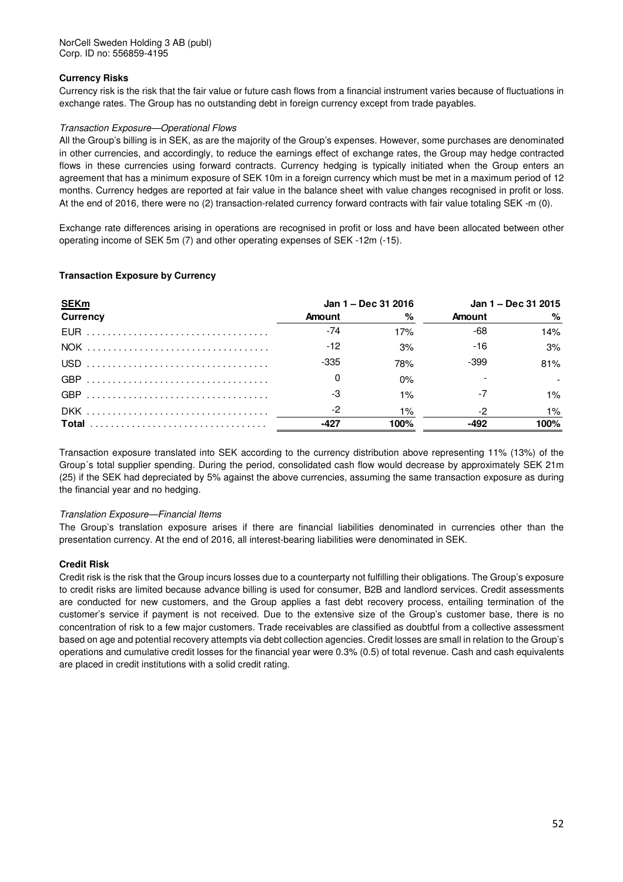### **Currency Risks**

Currency risk is the risk that the fair value or future cash flows from a financial instrument varies because of fluctuations in exchange rates. The Group has no outstanding debt in foreign currency except from trade payables.

### Transaction Exposure—Operational Flows

All the Group's billing is in SEK, as are the majority of the Group's expenses. However, some purchases are denominated in other currencies, and accordingly, to reduce the earnings effect of exchange rates, the Group may hedge contracted flows in these currencies using forward contracts. Currency hedging is typically initiated when the Group enters an agreement that has a minimum exposure of SEK 10m in a foreign currency which must be met in a maximum period of 12 months. Currency hedges are reported at fair value in the balance sheet with value changes recognised in profit or loss. At the end of 2016, there were no (2) transaction-related currency forward contracts with fair value totaling SEK -m (0).

Exchange rate differences arising in operations are recognised in profit or loss and have been allocated between other operating income of SEK 5m (7) and other operating expenses of SEK -12m (-15).

### **Transaction Exposure by Currency**

| <b>SEKm</b>     |               | Jan 1 – Dec 31 2016 | Jan 1 – Dec 31 2015 |       |  |
|-----------------|---------------|---------------------|---------------------|-------|--|
| <b>Currency</b> | <b>Amount</b> | %                   | <b>Amount</b>       | %     |  |
|                 | -74           | 17%                 | -68                 | 14%   |  |
|                 | $-12$         | 3%                  | $-16$               | 3%    |  |
|                 | $-335$        | 78%                 | -399                | 81%   |  |
|                 |               | 0%                  |                     |       |  |
|                 | -3            | $1\%$               | -7                  | $1\%$ |  |
|                 | -2            | $1\%$               | -2                  | $1\%$ |  |
|                 |               | 100%                | -492                | 100%  |  |

Transaction exposure translated into SEK according to the currency distribution above representing 11% (13%) of the Group´s total supplier spending. During the period, consolidated cash flow would decrease by approximately SEK 21m (25) if the SEK had depreciated by 5% against the above currencies, assuming the same transaction exposure as during the financial year and no hedging.

### Translation Exposure—Financial Items

The Group's translation exposure arises if there are financial liabilities denominated in currencies other than the presentation currency. At the end of 2016, all interest-bearing liabilities were denominated in SEK.

### **Credit Risk**

Credit risk is the risk that the Group incurs losses due to a counterparty not fulfilling their obligations. The Group's exposure to credit risks are limited because advance billing is used for consumer, B2B and landlord services. Credit assessments are conducted for new customers, and the Group applies a fast debt recovery process, entailing termination of the customer's service if payment is not received. Due to the extensive size of the Group's customer base, there is no concentration of risk to a few major customers. Trade receivables are classified as doubtful from a collective assessment based on age and potential recovery attempts via debt collection agencies. Credit losses are small in relation to the Group's operations and cumulative credit losses for the financial year were 0.3% (0.5) of total revenue. Cash and cash equivalents are placed in credit institutions with a solid credit rating.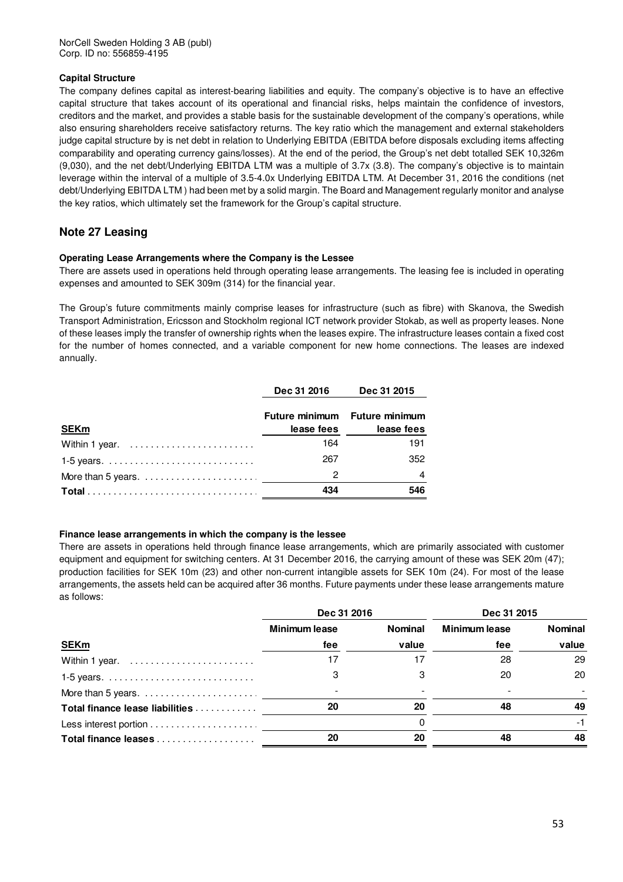### **Capital Structure**

The company defines capital as interest-bearing liabilities and equity. The company's objective is to have an effective capital structure that takes account of its operational and financial risks, helps maintain the confidence of investors, creditors and the market, and provides a stable basis for the sustainable development of the company's operations, while also ensuring shareholders receive satisfactory returns. The key ratio which the management and external stakeholders judge capital structure by is net debt in relation to Underlying EBITDA (EBITDA before disposals excluding items affecting comparability and operating currency gains/losses). At the end of the period, the Group's net debt totalled SEK 10,326m (9,030), and the net debt/Underlying EBITDA LTM was a multiple of 3.7x (3.8). The company's objective is to maintain leverage within the interval of a multiple of 3.5-4.0x Underlying EBITDA LTM. At December 31, 2016 the conditions (net debt/Underlying EBITDA LTM ) had been met by a solid margin. The Board and Management regularly monitor and analyse the key ratios, which ultimately set the framework for the Group's capital structure.

# **Note 27 Leasing**

### **Operating Lease Arrangements where the Company is the Lessee**

There are assets used in operations held through operating lease arrangements. The leasing fee is included in operating expenses and amounted to SEK 309m (314) for the financial year.

The Group's future commitments mainly comprise leases for infrastructure (such as fibre) with Skanova, the Swedish Transport Administration, Ericsson and Stockholm regional ICT network provider Stokab, as well as property leases. None of these leases imply the transfer of ownership rights when the leases expire. The infrastructure leases contain a fixed cost for the number of homes connected, and a variable component for new home connections. The leases are indexed annually.

|                | Dec 31 2016 | Dec 31 2015                   |
|----------------|-------------|-------------------------------|
|                |             | Future minimum Future minimum |
| <b>SEKm</b>    | lease fees  | lease fees                    |
| Within 1 year. | 164         | 191                           |
|                | 267         | 352                           |
|                | 2           | 4                             |
|                | 434         | 546                           |

### **Finance lease arrangements in which the company is the lessee**

There are assets in operations held through finance lease arrangements, which are primarily associated with customer equipment and equipment for switching centers. At 31 December 2016, the carrying amount of these was SEK 20m (47); production facilities for SEK 10m (23) and other non-current intangible assets for SEK 10m (24). For most of the lease arrangements, the assets held can be acquired after 36 months. Future payments under these lease arrangements mature as follows:

|                                 | Dec 31 2016   |                | Dec 31 2015          |                |
|---------------------------------|---------------|----------------|----------------------|----------------|
|                                 | Minimum lease | <b>Nominal</b> | <b>Minimum lease</b> | <b>Nominal</b> |
| <b>SEKm</b>                     | fee           | value          | fee                  | value          |
| Within 1 year.                  |               |                | 28                   | 29             |
|                                 |               |                | 20                   | 20             |
|                                 |               |                |                      |                |
| Total finance lease liabilities | 20            | 20             | 48                   | 49             |
|                                 |               |                |                      |                |
|                                 | 20            | 20             | 48                   | 48             |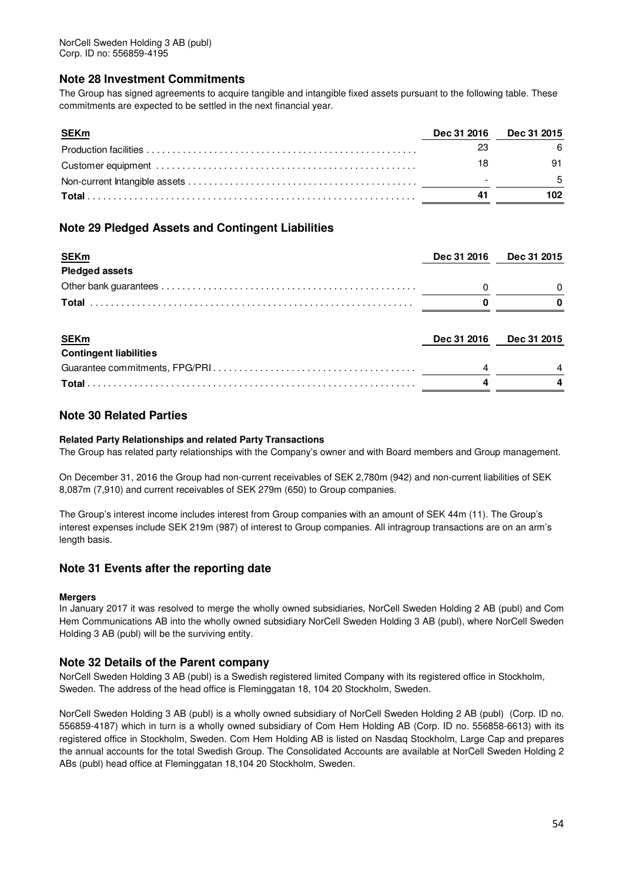# **Note 28 Investment Commitments**

The Group has signed agreements to acquire tangible and intangible fixed assets pursuant to the following table. These commitments are expected to be settled in the next financial year.

| <b>SEKm</b> | <b>Dec 31 2016</b> | <b>Dec 31 2015</b> |
|-------------|--------------------|--------------------|
|             |                    |                    |
|             |                    | 91                 |
|             |                    |                    |
|             | 41                 | 102                |

# **Note 29 Pledged Assets and Contingent Liabilities**

| <b>SEKm</b>                   | Dec 31 2016 | Dec 31 2015 |  |
|-------------------------------|-------------|-------------|--|
| <b>Pledged assets</b>         |             |             |  |
|                               |             |             |  |
|                               |             |             |  |
|                               |             |             |  |
| <b>SEKm</b>                   | Dec 31 2016 | Dec 31 2015 |  |
| <b>Contingent liabilities</b> |             |             |  |
|                               |             |             |  |
|                               |             |             |  |
|                               |             |             |  |

# **Note 30 Related Parties**

### **Related Party Relationships and related Party Transactions**

The Group has related party relationships with the Company's owner and with Board members and Group management.

On December 31, 2016 the Group had non-current receivables of SEK 2,780m (942) and non-current liabilities of SEK 8,087m (7,910) and current receivables of SEK 279m (650) to Group companies.

The Group's interest income includes interest from Group companies with an amount of SEK 44m (11). The Group's interest expenses include SEK 219m (987) of interest to Group companies. All intragroup transactions are on an arm's length basis.

## **Note 31 Events after the reporting date**

### **Mergers**

In January 2017 it was resolved to merge the wholly owned subsidiaries, NorCell Sweden Holding 2 AB (publ) and Com Hem Communications AB into the wholly owned subsidiary NorCell Sweden Holding 3 AB (publ), where NorCell Sweden Holding 3 AB (publ) will be the surviving entity.

### **Note 32 Details of the Parent company**

NorCell Sweden Holding 3 AB (publ) is a Swedish registered limited Company with its registered office in Stockholm, Sweden. The address of the head office is Fleminggatan 18, 104 20 Stockholm, Sweden.

NorCell Sweden Holding 3 AB (publ) is a wholly owned subsidiary of NorCell Sweden Holding 2 AB (publ) (Corp. ID no. 556859-4187) which in turn is a wholly owned subsidiary of Com Hem Holding AB (Corp. ID no. 556858-6613) with its registered office in Stockholm, Sweden. Com Hem Holding AB is listed on Nasdaq Stockholm, Large Cap and prepares the annual accounts for the total Swedish Group. The Consolidated Accounts are available at NorCell Sweden Holding 2 ABs (publ) head office at Fleminggatan 18,104 20 Stockholm, Sweden.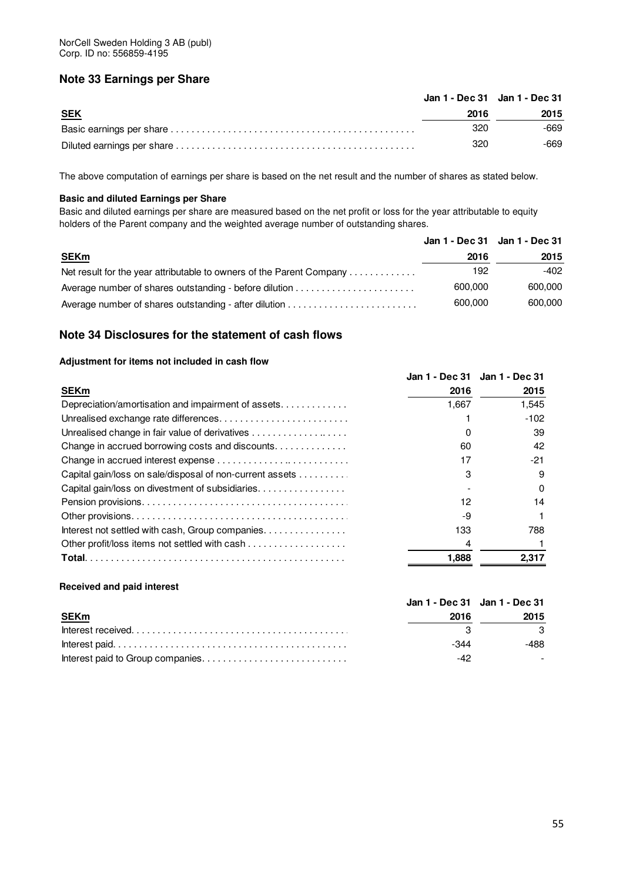# **Note 33 Earnings per Share**

|            |      | Jan 1 - Dec 31 Jan 1 - Dec 31 |
|------------|------|-------------------------------|
| <b>SEK</b> | 2016 | 2015                          |
|            | 320  | -669                          |
|            | 320  | -669                          |

The above computation of earnings per share is based on the net result and the number of shares as stated below.

### **Basic and diluted Earnings per Share**

Basic and diluted earnings per share are measured based on the net profit or loss for the year attributable to equity holders of the Parent company and the weighted average number of outstanding shares.

|                                                                      | Jan 1 - Dec 31 Jan 1 - Dec 31 |
|----------------------------------------------------------------------|-------------------------------|
| 2016                                                                 | 2015                          |
| 192                                                                  | -402                          |
| 600,000                                                              | 600,000                       |
| 600,000                                                              | 600,000                       |
| Net result for the year attributable to owners of the Parent Company |                               |

# **Note 34 Disclosures for the statement of cash flows**

### **Adjustment for items not included in cash flow**

|                                                          |        | Jan 1 - Dec 31 Jan 1 - Dec 31 |
|----------------------------------------------------------|--------|-------------------------------|
| <b>SEKm</b>                                              | 2016   | 2015                          |
| Depreciation/amortisation and impairment of assets       | 667. ا | 1,545                         |
| Unrealised exchange rate differences                     |        | $-102$                        |
| Unrealised change in fair value of derivatives           |        | 39                            |
| Change in accrued borrowing costs and discounts.         | 60     | 42                            |
|                                                          |        | -21                           |
| Capital gain/loss on sale/disposal of non-current assets |        |                               |
| Capital gain/loss on divestment of subsidiaries.         |        |                               |
|                                                          |        | 14                            |
|                                                          | -9     |                               |
| Interest not settled with cash, Group companies.         | 133    | 788                           |
|                                                          |        |                               |
|                                                          | 1,888  | 2,317                         |

### **Received and paid interest**

|             |      | Jan 1 - Dec 31 Jan 1 - Dec 31 |  |
|-------------|------|-------------------------------|--|
| <b>SEKm</b> | 2016 | 2015                          |  |
|             |      |                               |  |
|             | -344 | -488                          |  |
|             | -42  |                               |  |
|             |      |                               |  |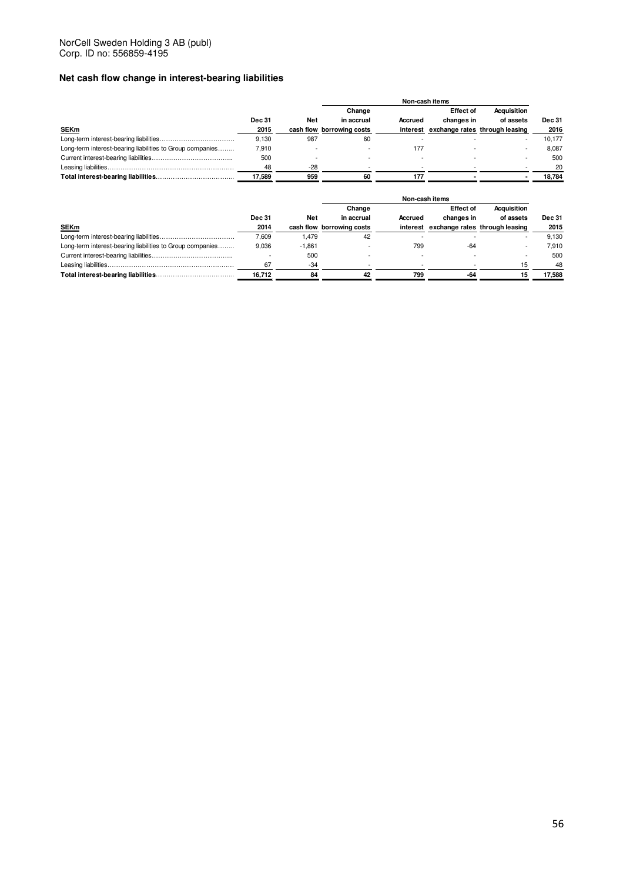# **Net cash flow change in interest-bearing liabilities**

|                                                           |               |       | Change                    |          | <b>Effect of</b> | <b>Acquisition</b>             |               |
|-----------------------------------------------------------|---------------|-------|---------------------------|----------|------------------|--------------------------------|---------------|
|                                                           | <b>Dec 31</b> | Net   | in accrual                | Accrued  | changes in       | of assets                      | <b>Dec 31</b> |
| <b>SEKm</b>                                               | 2015          |       | cash flow borrowing costs | interest |                  | exchange rates through leasing | 2016          |
|                                                           | 9.130         | 987   | 60                        |          |                  |                                | 10.177        |
| Long-term interest-bearing liabilities to Group companies | 7,910         |       |                           | 177      |                  |                                | 8.087         |
|                                                           | 500           |       |                           |          |                  |                                | 500           |
|                                                           | 48            | $-28$ |                           |          |                  |                                | 20            |
|                                                           | 17.589        | 959   | 60                        | 177      |                  |                                | 18.784        |

|                                                           |               |          | Change                    |         | <b>Effect of</b>                        | <b>Acquisition</b> |               |
|-----------------------------------------------------------|---------------|----------|---------------------------|---------|-----------------------------------------|--------------------|---------------|
|                                                           | <b>Dec 31</b> | Net      | in accrual                | Accrued | changes in                              | of assets          | <b>Dec 31</b> |
| <b>SEKm</b>                                               | 2014          |          | cash flow borrowing costs |         | interest exchange rates through leasing |                    | 2015          |
|                                                           | 7.609         | 1.479    | 42                        |         |                                         |                    | 9.130         |
| Long-term interest-bearing liabilities to Group companies | 9.036         | $-1.861$ |                           | 799     | -64                                     |                    | 7.910         |
|                                                           |               | 500      |                           |         |                                         |                    | 500           |
|                                                           | 67            | $-34$    |                           |         |                                         | 15                 | 48            |
|                                                           | 16.712        | 84       | 42                        | 799     | -64                                     |                    | 17.588        |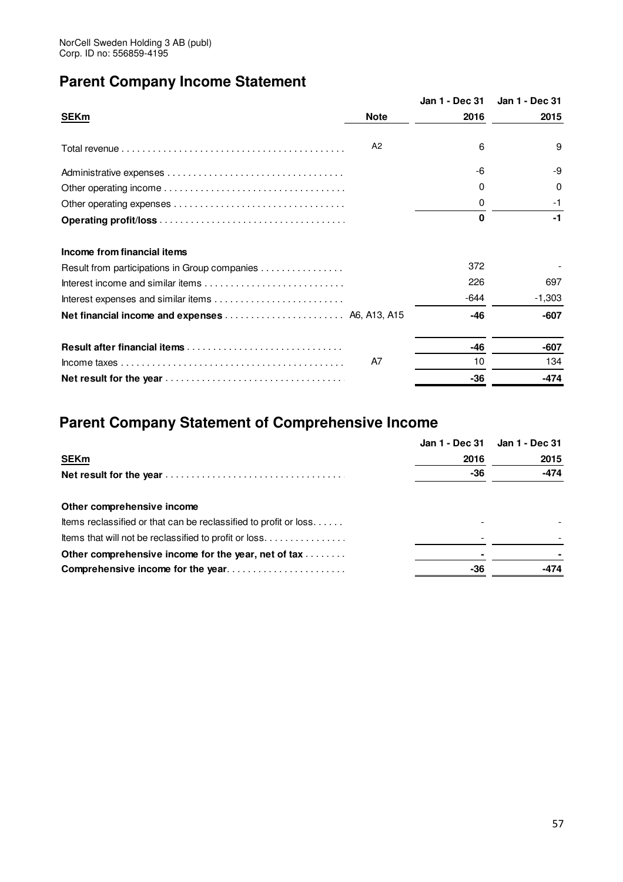# **Parent Company Income Statement**

|                                               |                | Jan 1 - Dec 31 | Jan 1 - Dec 31 |
|-----------------------------------------------|----------------|----------------|----------------|
| <b>SEKm</b>                                   | <b>Note</b>    | 2016           | 2015           |
|                                               | A <sub>2</sub> | 6              | 9              |
|                                               |                | -6             | -9             |
|                                               |                | 0              | 0              |
|                                               |                | 0              | -1             |
|                                               |                | O              | -1             |
| Income from financial items                   |                |                |                |
| Result from participations in Group companies |                | 372            |                |
|                                               |                | 226            | 697            |
|                                               |                | -644           | $-1,303$       |
|                                               |                | -46            | $-607$         |
|                                               |                | $-46$          | -607           |
|                                               | A7             | 10             | 134            |
|                                               |                | -36            | -474           |
|                                               |                |                |                |

# **Parent Company Statement of Comprehensive Income**

|                                                                  | Jan 1 - Dec 31 Jan 1 - Dec 31 |        |
|------------------------------------------------------------------|-------------------------------|--------|
| <b>SEKm</b>                                                      | 2016                          | 2015   |
|                                                                  | -36                           | $-474$ |
| Other comprehensive income                                       |                               |        |
| Items reclassified or that can be reclassified to profit or loss |                               |        |
| Items that will not be reclassified to profit or loss            |                               |        |
| Other comprehensive income for the year, net of tax              |                               |        |
| Comprehensive income for the year                                | -36                           | -474   |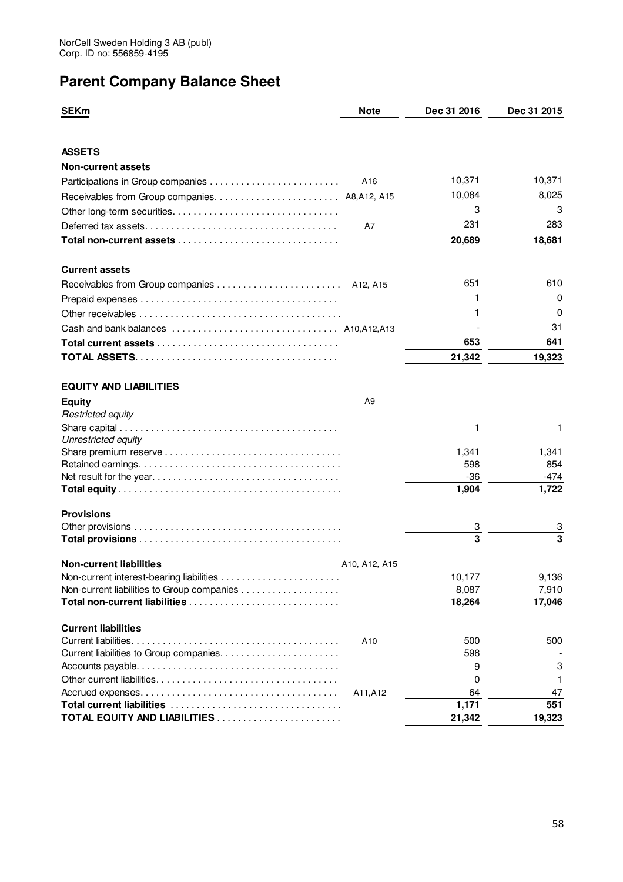# **Parent Company Balance Sheet**

| <b>SEKm</b>                                   | <b>Note</b>                       | Dec 31 2016  | Dec 31 2015  |
|-----------------------------------------------|-----------------------------------|--------------|--------------|
|                                               |                                   |              |              |
| <b>ASSETS</b>                                 |                                   |              |              |
| <b>Non-current assets</b>                     |                                   |              |              |
|                                               | A16                               | 10,371       | 10,371       |
| Receivables from Group companies A8, A12, A15 |                                   | 10,084       | 8,025        |
|                                               |                                   | 3            | 3            |
|                                               | A7                                | 231          | 283          |
|                                               |                                   | 20,689       | 18,681       |
| <b>Current assets</b>                         |                                   |              |              |
| Receivables from Group companies              | A <sub>12</sub> , A <sub>15</sub> | 651          | 610          |
|                                               |                                   | 1            | 0            |
|                                               |                                   | 1            | 0            |
|                                               |                                   |              | 31           |
|                                               |                                   | 653          | 641          |
|                                               |                                   | 21,342       | 19,323       |
| <b>EQUITY AND LIABILITIES</b>                 |                                   |              |              |
| <b>Equity</b>                                 | A9                                |              |              |
| <b>Restricted equity</b>                      |                                   |              |              |
|                                               |                                   | 1            | 1            |
| Unrestricted equity                           |                                   |              |              |
|                                               |                                   | 1,341<br>598 | 1,341<br>854 |
|                                               |                                   | $-36$        | $-474$       |
|                                               |                                   | 1,904        | 1,722        |
| <b>Provisions</b>                             |                                   |              |              |
|                                               |                                   | З            |              |
|                                               |                                   | 3            | 3            |
| <b>Non-current liabilities</b>                | A10, A12, A15                     |              |              |
| Non-current interest-bearing liabilities      |                                   | 10,177       | 9.136        |
|                                               |                                   | 8,087        | 7,910        |
|                                               |                                   | 18,264       | 17,046       |
| <b>Current liabilities</b>                    |                                   |              |              |
|                                               | A10                               | 500<br>598   | 500          |
|                                               |                                   | 9            | 3            |
|                                               |                                   | 0            | 1            |
|                                               | A11, A12                          | 64           | 47           |
|                                               |                                   | 1,171        | 551          |
|                                               |                                   | 21,342       | 19,323       |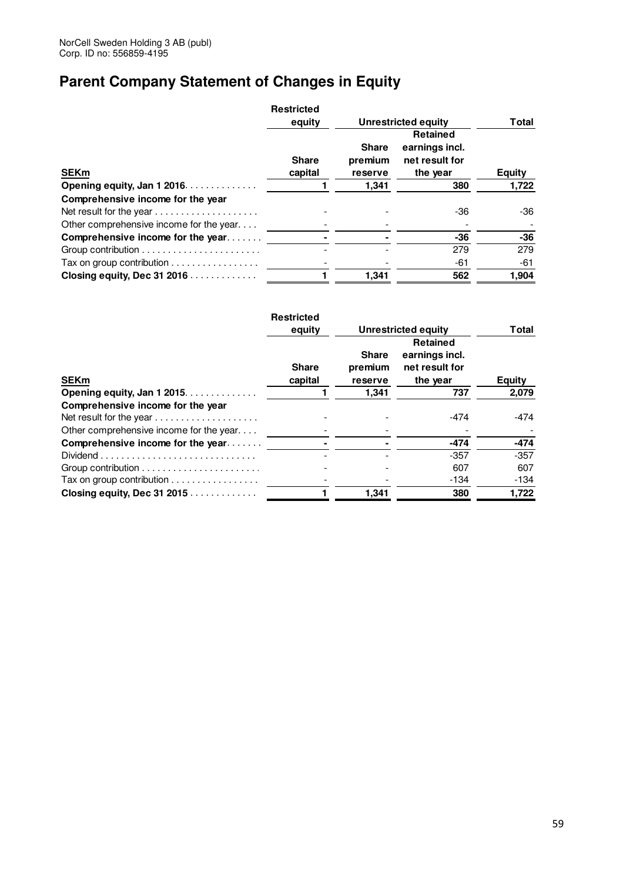# **Parent Company Statement of Changes in Equity**

|                                                               | <b>Restricted</b>       |                                    |                                                                 |               |  |  |  |       |
|---------------------------------------------------------------|-------------------------|------------------------------------|-----------------------------------------------------------------|---------------|--|--|--|-------|
|                                                               | equity                  | Unrestricted equity                |                                                                 |               |  |  |  | Total |
| <b>SEKm</b>                                                   | <b>Share</b><br>capital | <b>Share</b><br>premium<br>reserve | <b>Retained</b><br>earnings incl.<br>net result for<br>the year | <b>Equity</b> |  |  |  |       |
| Opening equity, Jan 1 2016.                                   |                         | 1,341                              | 380                                                             | 1,722         |  |  |  |       |
| Comprehensive income for the year                             |                         |                                    |                                                                 |               |  |  |  |       |
| Net result for the year $\dots\dots\dots\dots\dots\dots\dots$ |                         |                                    | -36                                                             | -36           |  |  |  |       |
| Other comprehensive income for the year                       |                         |                                    |                                                                 |               |  |  |  |       |
| Comprehensive income for the year                             |                         |                                    | -36                                                             | $-36$         |  |  |  |       |
|                                                               |                         |                                    | 279                                                             | 279           |  |  |  |       |
| Tax on group contribution                                     |                         |                                    | -61                                                             | -61           |  |  |  |       |
| Closing equity, Dec 31 2016                                   |                         | 1.341                              | 562                                                             | 1,904         |  |  |  |       |

|                                                                              | <b>Restricted</b> |                            |                                                     |               |
|------------------------------------------------------------------------------|-------------------|----------------------------|-----------------------------------------------------|---------------|
|                                                                              | equity            | <b>Unrestricted equity</b> | Total                                               |               |
|                                                                              | <b>Share</b>      | <b>Share</b><br>premium    | <b>Retained</b><br>earnings incl.<br>net result for |               |
| <b>SEKm</b>                                                                  | capital           | reserve                    | the year                                            | <b>Equity</b> |
| Opening equity, Jan 1 2015.                                                  |                   | 1,341                      | 737                                                 | 2,079         |
| Comprehensive income for the year                                            |                   |                            |                                                     |               |
| Net result for the year                                                      |                   |                            | -474                                                | -474          |
| Other comprehensive income for the year                                      |                   |                            |                                                     |               |
| Comprehensive income for the year                                            |                   |                            | $-474$                                              | $-474$        |
| $Dividend \dots \dots \dots \dots \dots \dots \dots \dots \dots \dots \dots$ |                   |                            | $-357$                                              | $-357$        |
|                                                                              |                   |                            | 607                                                 | 607           |
| Tax on group contribution                                                    |                   |                            | $-134$                                              | $-134$        |
| Closing equity, Dec 31 2015                                                  |                   | 1.341                      | 380                                                 | 1.722         |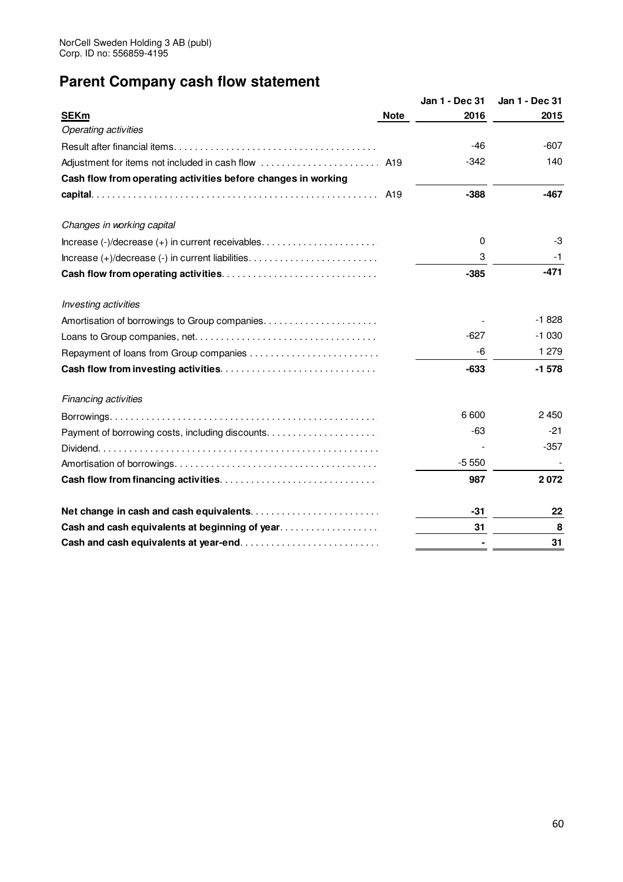# **Parent Company cash flow statement**

|                                                               |             | Jan 1 - Dec 31 | Jan 1 - Dec 31 |
|---------------------------------------------------------------|-------------|----------------|----------------|
| <b>SEKm</b>                                                   | <b>Note</b> | 2016           | 2015           |
| <b>Operating activities</b>                                   |             |                |                |
|                                                               |             | $-46$          | $-607$         |
| Adjustment for items not included in cash flow  A19           |             | $-342$         | 140            |
| Cash flow from operating activities before changes in working |             |                |                |
|                                                               |             | $-388$         | $-467$         |
| Changes in working capital                                    |             |                |                |
|                                                               |             | 0              | $-3$           |
|                                                               |             | 3              | -1             |
|                                                               |             | $-385$         | -471           |
| Investing activities                                          |             |                |                |
|                                                               |             |                | $-1828$        |
|                                                               |             | $-627$         | $-1030$        |
|                                                               |             | -6             | 1 2 7 9        |
|                                                               |             | $-633$         | $-1578$        |
| <b>Financing activities</b>                                   |             |                |                |
|                                                               |             | 6 600          | 2450           |
|                                                               |             | $-63$          | $-21$          |
|                                                               |             |                | $-357$         |
|                                                               |             | $-5550$        |                |
|                                                               |             | 987            | 2072           |
| Net change in cash and cash equivalents                       |             | -31            | 22             |
| Cash and cash equivalents at beginning of year                |             | 31             | 8              |
|                                                               |             |                | 31             |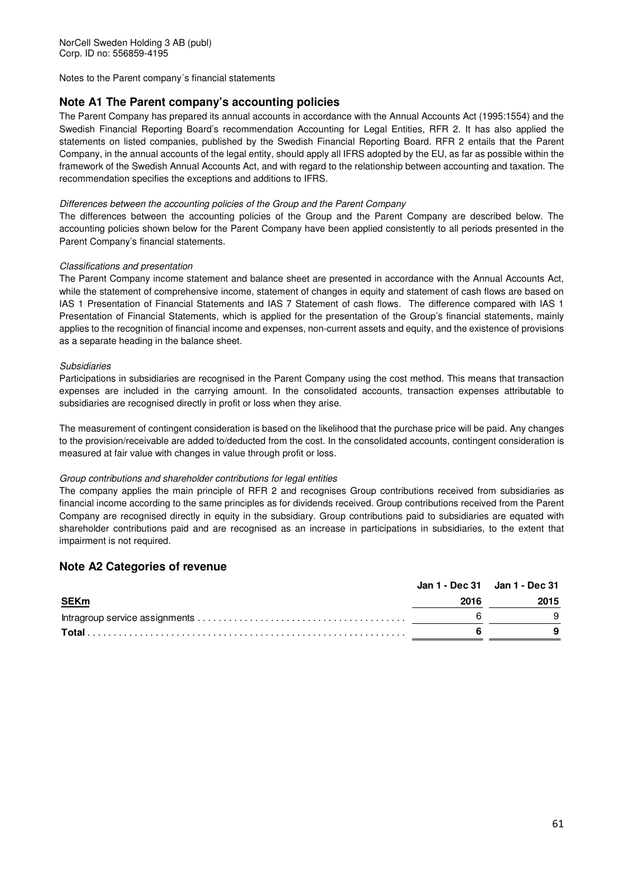Notes to the Parent company´s financial statements

# **Note A1 The Parent company's accounting policies**

The Parent Company has prepared its annual accounts in accordance with the Annual Accounts Act (1995:1554) and the Swedish Financial Reporting Board's recommendation Accounting for Legal Entities, RFR 2. It has also applied the statements on listed companies, published by the Swedish Financial Reporting Board. RFR 2 entails that the Parent Company, in the annual accounts of the legal entity, should apply all IFRS adopted by the EU, as far as possible within the framework of the Swedish Annual Accounts Act, and with regard to the relationship between accounting and taxation. The recommendation specifies the exceptions and additions to IFRS.

### Differences between the accounting policies of the Group and the Parent Company

The differences between the accounting policies of the Group and the Parent Company are described below. The accounting policies shown below for the Parent Company have been applied consistently to all periods presented in the Parent Company's financial statements.

### Classifications and presentation

The Parent Company income statement and balance sheet are presented in accordance with the Annual Accounts Act, while the statement of comprehensive income, statement of changes in equity and statement of cash flows are based on IAS 1 Presentation of Financial Statements and IAS 7 Statement of cash flows. The difference compared with IAS 1 Presentation of Financial Statements, which is applied for the presentation of the Group's financial statements, mainly applies to the recognition of financial income and expenses, non-current assets and equity, and the existence of provisions as a separate heading in the balance sheet.

### Subsidiaries

Participations in subsidiaries are recognised in the Parent Company using the cost method. This means that transaction expenses are included in the carrying amount. In the consolidated accounts, transaction expenses attributable to subsidiaries are recognised directly in profit or loss when they arise.

The measurement of contingent consideration is based on the likelihood that the purchase price will be paid. Any changes to the provision/receivable are added to/deducted from the cost. In the consolidated accounts, contingent consideration is measured at fair value with changes in value through profit or loss.

### Group contributions and shareholder contributions for legal entities

The company applies the main principle of RFR 2 and recognises Group contributions received from subsidiaries as financial income according to the same principles as for dividends received. Group contributions received from the Parent Company are recognised directly in equity in the subsidiary. Group contributions paid to subsidiaries are equated with shareholder contributions paid and are recognised as an increase in participations in subsidiaries, to the extent that impairment is not required.

### **Note A2 Categories of revenue**

|             | Jan 1 - Dec 31 Jan 1 - Dec 31 |      |  |
|-------------|-------------------------------|------|--|
| <b>SEKm</b> | 2016                          | 2015 |  |
|             |                               |      |  |
|             |                               |      |  |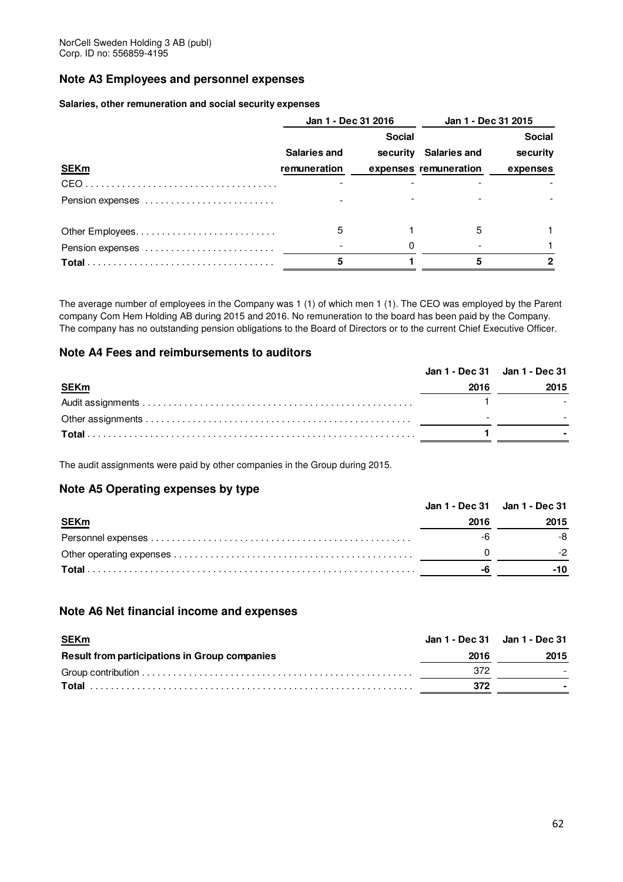# **Note A3 Employees and personnel expenses**

### **Salaries, other remuneration and social security expenses**

|                  | Jan 1 - Dec 31 2016 |               | Jan 1 - Dec 31 2015   |               |
|------------------|---------------------|---------------|-----------------------|---------------|
|                  |                     | <b>Social</b> |                       | <b>Social</b> |
|                  | <b>Salaries and</b> |               | security Salaries and | security      |
| <b>SEKm</b>      | remuneration        |               | expenses remuneration | expenses      |
|                  |                     |               |                       |               |
| Pension expenses |                     |               |                       |               |
|                  | 5                   |               | 5                     |               |
|                  |                     |               |                       |               |
|                  |                     |               |                       |               |

The average number of employees in the Company was 1 (1) of which men 1 (1). The CEO was employed by the Parent company Com Hem Holding AB during 2015 and 2016. No remuneration to the board has been paid by the Company. The company has no outstanding pension obligations to the Board of Directors or to the current Chief Executive Officer.

### **Note A4 Fees and reimbursements to auditors**

| Jan 1 - Dec 31 Jan 1 - Dec 31 |      |
|-------------------------------|------|
| 2016                          | 2015 |
|                               |      |
|                               |      |
|                               |      |
|                               |      |

The audit assignments were paid by other companies in the Group during 2015.

# **Note A5 Operating expenses by type**

|             | Jan 1 - Dec 31 Jan 1 - Dec 31 |      |  |
|-------------|-------------------------------|------|--|
| <b>SEKm</b> | 2016                          | 2015 |  |
|             |                               | -8   |  |
|             |                               |      |  |
|             |                               |      |  |

# **Note A6 Net financial income and expenses**

| <b>SEKm</b>                                          | Jan 1 - Dec 31 Jan 1 - Dec 31 |      |
|------------------------------------------------------|-------------------------------|------|
| <b>Result from participations in Group companies</b> | 2016                          | 2015 |
|                                                      | 372                           |      |
|                                                      | 372                           |      |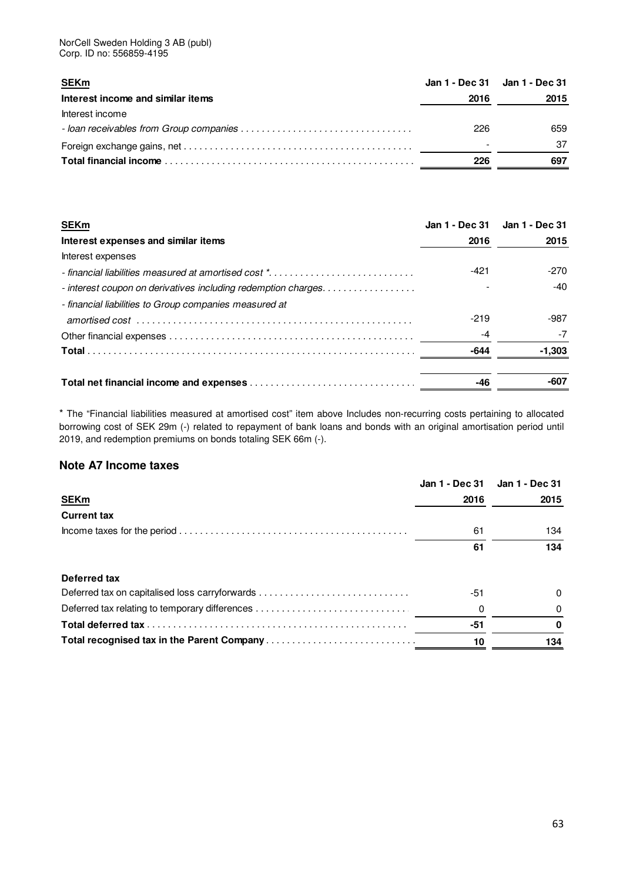NorCell Sweden Holding 3 AB (publ) Corp. ID no: 556859-4195

| <b>SEKm</b>                       | Jan 1 - Dec 31 Jan 1 - Dec 31 |      |
|-----------------------------------|-------------------------------|------|
| Interest income and similar items | 2016                          | 2015 |
| Interest income                   |                               |      |
|                                   | 226                           | 659  |
|                                   |                               | -37  |
|                                   | 226                           | 697  |

| <b>SEKm</b>                                                    |        | Jan 1 - Dec 31 Jan 1 - Dec 31 |
|----------------------------------------------------------------|--------|-------------------------------|
| Interest expenses and similar items                            | 2016   | 2015                          |
| Interest expenses                                              |        |                               |
|                                                                | $-421$ | $-270$                        |
| - interest coupon on derivatives including redemption charges. |        | $-40$                         |
| - financial liabilities to Group companies measured at         |        |                               |
|                                                                | $-219$ | $-987$                        |
|                                                                |        | -7                            |
|                                                                | -644   | $-1,303$                      |
|                                                                | -46    | -607                          |
|                                                                |        |                               |

\* The "Financial liabilities measured at amortised cost" item above Includes non-recurring costs pertaining to allocated borrowing cost of SEK 29m (-) related to repayment of bank loans and bonds with an original amortisation period until 2019, and redemption premiums on bonds totaling SEK 66m (-).

# **Note A7 Income taxes**

|                                                | Jan 1 - Dec 31 | Jan 1 - Dec 31 |
|------------------------------------------------|----------------|----------------|
| <b>SEKm</b>                                    | 2016           | 2015           |
| <b>Current tax</b>                             |                |                |
|                                                | 61             | 134            |
|                                                | 61             | 134            |
| Deferred tax                                   |                |                |
| Deferred tax on capitalised loss carryforwards | -51            | 0              |
|                                                | 0              | 0              |
|                                                | -51            |                |
|                                                | 10             | 134            |
|                                                |                |                |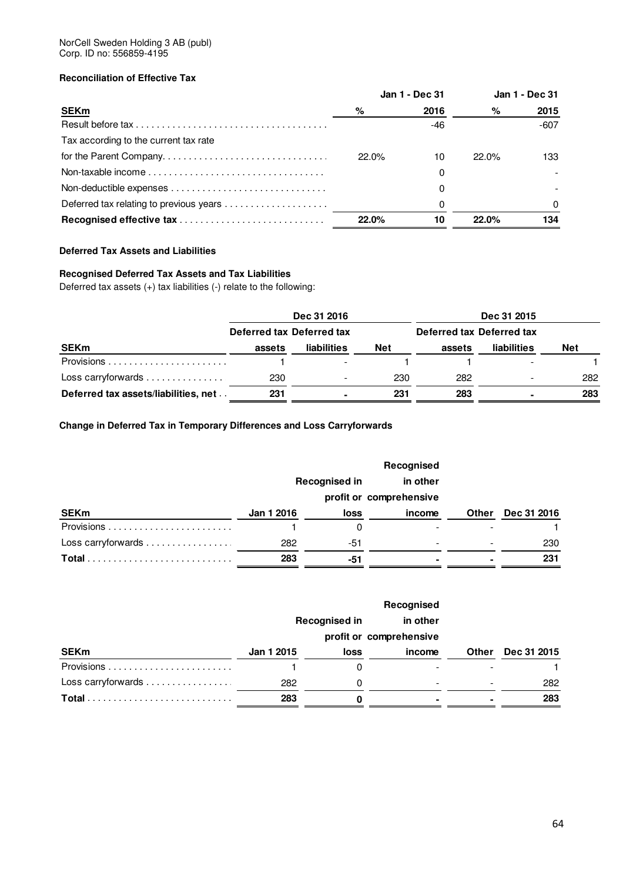### NorCell Sweden Holding 3 AB (publ) Corp. ID no: 556859-4195

# **Reconciliation of Effective Tax**

|                                       | Jan 1 - Dec 31 |      | Jan 1 - Dec 31 |          |
|---------------------------------------|----------------|------|----------------|----------|
| <b>SEKm</b>                           | %              | 2016 | %              | 2015     |
|                                       |                | -46  |                | $-607$   |
| Tax according to the current tax rate |                |      |                |          |
|                                       | 22.0%          | 10   | $22.0\%$       | 133      |
|                                       |                | 0    |                |          |
|                                       |                | 0    |                |          |
|                                       |                | O    |                | $\Omega$ |
| Recognised effective tax              | 22.0%          | 10   | 22.0%          | 134      |

### **Deferred Tax Assets and Liabilities**

# **Recognised Deferred Tax Assets and Tax Liabilities**

Deferred tax assets (+) tax liabilities (-) relate to the following:

|                                                | Dec 31 2016               |                          |            |                           | Dec 31 2015              |            |
|------------------------------------------------|---------------------------|--------------------------|------------|---------------------------|--------------------------|------------|
|                                                | Deferred tax Deferred tax |                          |            | Deferred tax Deferred tax |                          |            |
| <b>SEKm</b>                                    | assets                    | <b>liabilities</b>       | <b>Net</b> | assets                    | <b>liabilities</b>       | <b>Net</b> |
|                                                |                           |                          |            |                           |                          |            |
| Loss carryforwards $\dots\dots\dots\dots\dots$ | 230                       | $\overline{\phantom{a}}$ | 230        | 282                       | $\overline{\phantom{a}}$ | 282        |
| Deferred tax assets/liabilities, net           | 231                       | $\blacksquare$           | 231        | 283                       |                          | 283        |

# **Change in Deferred Tax in Temporary Differences and Loss Carryforwards**

|                    |            |                         | Recognised |                          |             |
|--------------------|------------|-------------------------|------------|--------------------------|-------------|
|                    |            | <b>Recognised in</b>    | in other   |                          |             |
|                    |            | profit or comprehensive |            |                          |             |
| <b>SEKm</b>        | Jan 1 2016 | loss                    | income     | Other                    | Dec 31 2016 |
|                    |            |                         |            |                          |             |
| Loss carryforwards | 282        | -51                     | ۰          | $\overline{\phantom{a}}$ | 230         |
| Total              | 283        | -51                     |            | $\blacksquare$           | 231         |

|                    | Recognised |                      |          |              |             |  |
|--------------------|------------|----------------------|----------|--------------|-------------|--|
|                    |            | <b>Recognised in</b> | in other |              |             |  |
|                    |            |                      |          |              |             |  |
| <b>SEKm</b>        | Jan 1 2015 | loss                 | income   | <b>Other</b> | Dec 31 2015 |  |
|                    |            | 0                    |          |              |             |  |
| Loss carryforwards | 282        | 0                    |          |              | 282         |  |
| Total              | 283        | 0                    |          |              | 283         |  |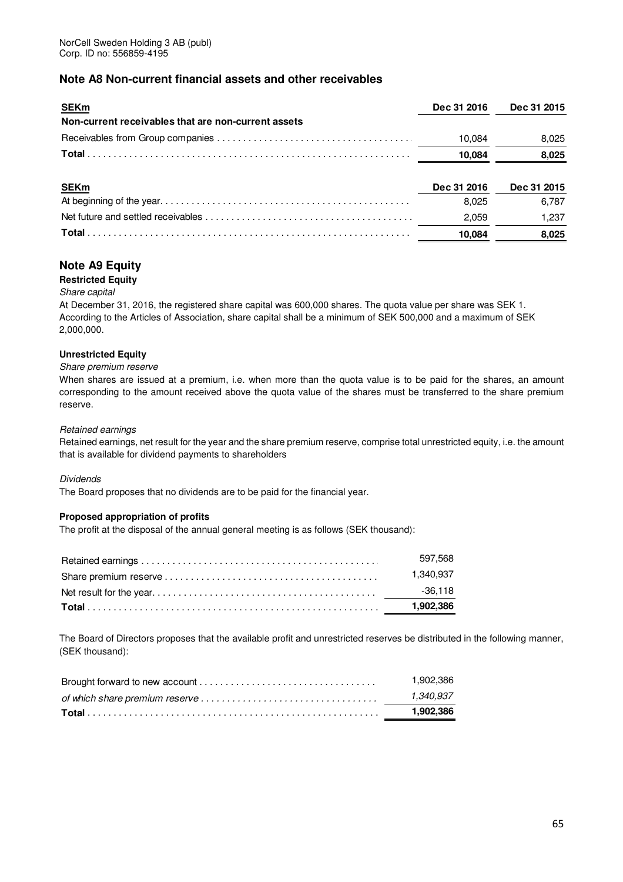# **Note A8 Non-current financial assets and other receivables**

| <b>SEKm</b>                                                                                                                                    | Dec 31 2016 | Dec 31 2015 |
|------------------------------------------------------------------------------------------------------------------------------------------------|-------------|-------------|
| Non-current receivables that are non-current assets                                                                                            |             |             |
|                                                                                                                                                | 10.084      | 8,025       |
|                                                                                                                                                | 10.084      | 8,025       |
|                                                                                                                                                |             |             |
| <b>SEKm</b>                                                                                                                                    | Dec 31 2016 | Dec 31 2015 |
|                                                                                                                                                | 8.025       | 6,787       |
| Net future and settled receivables $\ldots$ , $\ldots$ , $\ldots$ , $\ldots$ , $\ldots$ , $\ldots$ , $\ldots$ , $\ldots$ , $\ldots$ , $\ldots$ | 2,059       | 1,237       |
|                                                                                                                                                | 10.084      | 8,025       |

# **Note A9 Equity**

### **Restricted Equity**

### Share capital

At December 31, 2016, the registered share capital was 600,000 shares. The quota value per share was SEK 1. According to the Articles of Association, share capital shall be a minimum of SEK 500,000 and a maximum of SEK 2,000,000.

### **Unrestricted Equity**

### Share premium reserve

When shares are issued at a premium, i.e. when more than the quota value is to be paid for the shares, an amount corresponding to the amount received above the quota value of the shares must be transferred to the share premium reserve.

### Retained earnings

Retained earnings, net result for the year and the share premium reserve, comprise total unrestricted equity, i.e. the amount that is available for dividend payments to shareholders

### Dividends

The Board proposes that no dividends are to be paid for the financial year.

### **Proposed appropriation of profits**

The profit at the disposal of the annual general meeting is as follows (SEK thousand):

| 597.568   |
|-----------|
| 1.340.937 |
| -36.118   |
| 1.902.386 |

The Board of Directors proposes that the available profit and unrestricted reserves be distributed in the following manner, (SEK thousand):

|                                                                                                               | .902.386 |
|---------------------------------------------------------------------------------------------------------------|----------|
| of which share premium reserve $\ldots \ldots \ldots \ldots \ldots \ldots \ldots \ldots \ldots \ldots \ldots$ | .340.937 |
|                                                                                                               | .902.386 |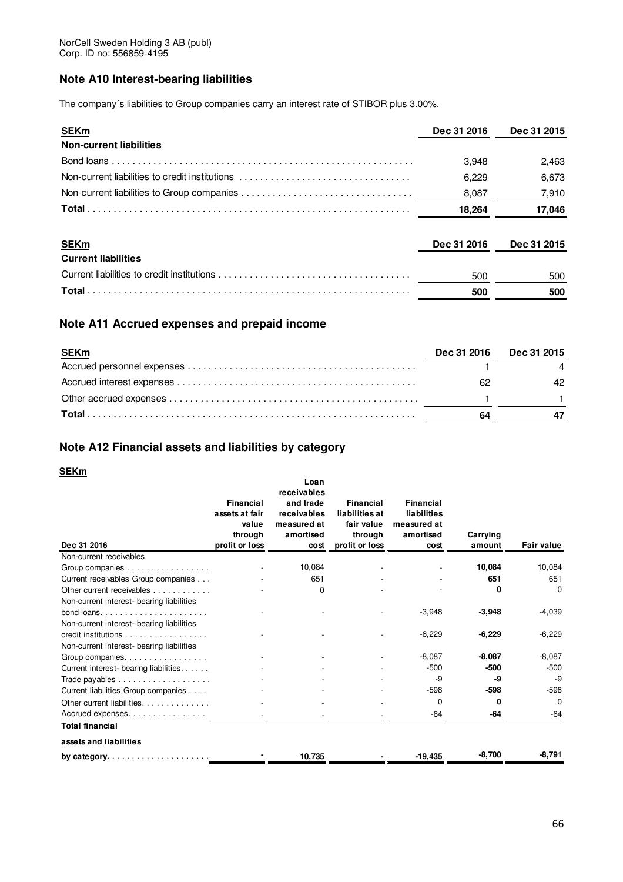# **Note A10 Interest-bearing liabilities**

The company´s liabilities to Group companies carry an interest rate of STIBOR plus 3.00%.

| <b>SEKm</b>                                    | Dec 31 2016 | Dec 31 2015 |
|------------------------------------------------|-------------|-------------|
| <b>Non-current liabilities</b>                 |             |             |
|                                                | 3.948       | 2,463       |
| Non-current liabilities to credit institutions | 6.229       | 6,673       |
|                                                | 8,087       | 7,910       |
|                                                | 18.264      | 17,046      |
| <b>SEKm</b>                                    | Dec 31 2016 | Dec 31 2015 |
| <b>Current liabilities</b>                     |             |             |
|                                                | 500         | 500         |
|                                                | 500         | 500         |

# **Note A11 Accrued expenses and prepaid income**

| <b>SEKm</b> | Dec 31 2016 | <b>Dec 31 2015</b> |
|-------------|-------------|--------------------|
|             |             |                    |
|             | -62         | 42                 |
|             |             |                    |
|             | 64          |                    |

# **Note A12 Financial assets and liabilities by category**

# **SEKm**

|                                           |                         | Loan                     |                              |                          |          |                   |
|-------------------------------------------|-------------------------|--------------------------|------------------------------|--------------------------|----------|-------------------|
|                                           |                         | receivables              |                              |                          |          |                   |
|                                           | <b>Financial</b>        | and trade                | Financial                    | Financial                |          |                   |
|                                           | assets at fair<br>value | receivables              | liabilities at<br>fair value | liabilities              |          |                   |
|                                           | through                 | measured at<br>amortised | through                      | measured at<br>amortised | Carrying |                   |
| Dec 31 2016                               | profit or loss          | cost                     | profit or loss               | cost                     | amount   | <b>Fair value</b> |
| Non-current receivables                   |                         |                          |                              |                          |          |                   |
| Group companies                           |                         | 10,084                   |                              |                          | 10,084   | 10,084            |
| Current receivables Group companies       |                         | 651                      |                              |                          | 651      | 651               |
| Other current receivables                 |                         | 0                        |                              |                          | 0        | $\Omega$          |
| Non-current interest- bearing liabilities |                         |                          |                              |                          |          |                   |
|                                           |                         |                          |                              | $-3,948$                 | $-3,948$ | $-4,039$          |
| Non-current interest- bearing liabilities |                         |                          |                              |                          |          |                   |
| credit institutions                       |                         |                          |                              | $-6,229$                 | $-6,229$ | $-6,229$          |
| Non-current interest- bearing liabilities |                         |                          |                              |                          |          |                   |
| Group companies.                          |                         |                          |                              | $-8,087$                 | $-8,087$ | $-8,087$          |
| Current interest- bearing liabilities.    |                         |                          |                              | $-500$                   | $-500$   | $-500$            |
|                                           |                         |                          |                              | -9                       | -9       | -9                |
| Current liabilities Group companies       |                         |                          |                              | $-598$                   | $-598$   | $-598$            |
| Other current liabilities.                |                         |                          |                              | $\mathbf 0$              | 0        | $\Omega$          |
| Accrued expenses                          |                         |                          |                              | -64                      | -64      | $-64$             |
| <b>Total financial</b>                    |                         |                          |                              |                          |          |                   |
| assets and liabilities                    |                         |                          |                              |                          |          |                   |
| by category. $\ldots$ .                   |                         | 10,735                   |                              | $-19,435$                | $-8,700$ | $-8,791$          |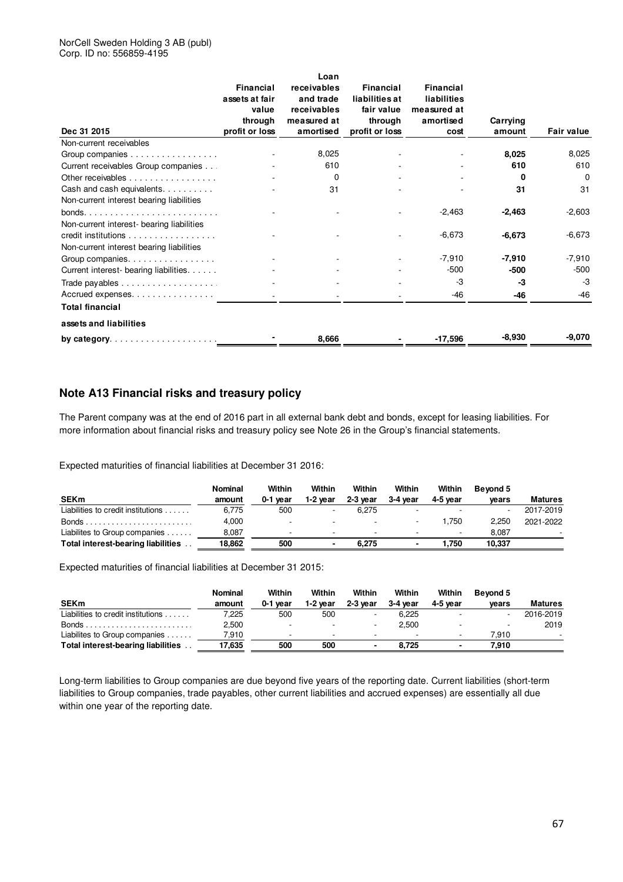### NorCell Sweden Holding 3 AB (publ) Corp. ID no: 556859-4195

|                                           | <b>Financial</b><br>assets at fair<br>value | Loan<br>receivables<br>and trade<br>receivables | <b>Financial</b><br>liabilities at<br>fair value | <b>Financial</b><br>liabilities<br>measured at |          |                   |
|-------------------------------------------|---------------------------------------------|-------------------------------------------------|--------------------------------------------------|------------------------------------------------|----------|-------------------|
|                                           | through                                     | measured at                                     | through                                          | amortised                                      | Carrying |                   |
| Dec 31 2015                               | profit or loss                              | amortised                                       | profit or loss                                   | cost                                           | amount   | <b>Fair value</b> |
| Non-current receivables                   |                                             |                                                 |                                                  |                                                |          |                   |
| Group companies                           |                                             | 8,025                                           |                                                  |                                                | 8,025    | 8,025             |
| Current receivables Group companies       |                                             | 610                                             |                                                  |                                                | 610      | 610               |
| Other receivables                         |                                             | 0                                               |                                                  |                                                | 0        | 0                 |
| Cash and cash equivalents.                |                                             | 31                                              |                                                  |                                                | 31       | 31                |
| Non-current interest bearing liabilities  |                                             |                                                 |                                                  |                                                |          |                   |
|                                           |                                             |                                                 |                                                  | $-2,463$                                       | $-2,463$ | $-2,603$          |
| Non-current interest- bearing liabilities |                                             |                                                 |                                                  |                                                |          |                   |
| credit institutions                       |                                             |                                                 |                                                  | $-6,673$                                       | $-6,673$ | $-6,673$          |
| Non-current interest bearing liabilities  |                                             |                                                 |                                                  |                                                |          |                   |
| Group companies.                          |                                             |                                                 |                                                  | $-7,910$                                       | $-7,910$ | $-7,910$          |
| Current interest- bearing liabilities.    |                                             |                                                 |                                                  | $-500$                                         | -500     | $-500$            |
|                                           |                                             |                                                 |                                                  | -3                                             | -3       | $-3$              |
| Accrued expenses                          |                                             |                                                 |                                                  | -46                                            | $-46$    | $-46$             |
| <b>Total financial</b>                    |                                             |                                                 |                                                  |                                                |          |                   |
| assets and liabilities                    |                                             |                                                 |                                                  |                                                |          |                   |
| by category. $\ldots$ .                   |                                             | 8,666                                           |                                                  | $-17,596$                                      | $-8,930$ | -9,070            |

# **Note A13 Financial risks and treasury policy**

The Parent company was at the end of 2016 part in all external bank debt and bonds, except for leasing liabilities. For more information about financial risks and treasury policy see Note 26 in the Group's financial statements.

Expected maturities of financial liabilities at December 31 2016:

|                                     | Nominal | Within                   | Within                   | Within                   | Within                   | Within   | Bevond 5                 |                |
|-------------------------------------|---------|--------------------------|--------------------------|--------------------------|--------------------------|----------|--------------------------|----------------|
| <b>SEKm</b>                         | amount  | 0-1 vear                 | 1-2 vear                 | $2-3$ vear               | 3-4 year                 | 4-5 vear | vears                    | <b>Matures</b> |
| Liabilities to credit institutions  | 6.775   | 500                      | $\overline{\phantom{a}}$ | 6.275                    |                          |          | $\overline{\phantom{a}}$ | 2017-2019      |
|                                     | 4.000   | $\overline{\phantom{a}}$ | $\sim$                   | $\sim$                   |                          | .750     | 2.250                    | 2021-2022      |
| Liabilites to Group companies       | 8,087   | $\overline{\phantom{0}}$ | $\sim$                   | $\overline{\phantom{0}}$ | $\overline{\phantom{a}}$ | $\sim$   | 8.087                    |                |
| Total interest-bearing liabilities. | 18,862  | 500                      |                          | 6.275                    |                          | 1.750    | 10.337                   |                |

Expected maturities of financial liabilities at December 31 2015:

|                                           | Nominal | Within   | Within                   | Within   | Within   | Within   | Bevond 5                 |                |
|-------------------------------------------|---------|----------|--------------------------|----------|----------|----------|--------------------------|----------------|
| <b>SEKm</b>                               | amount  | 0-1 vear | 1-2 vear                 | 2-3 year | 3-4 year | 4-5 vear | vears                    | <b>Matures</b> |
| Liabilities to credit institutions        | 225.'   | 500      | 500                      |          | 6.225    | $\sim$   | $\overline{\phantom{a}}$ | 2016-2019      |
|                                           | 2,500   |          | $\overline{\phantom{a}}$ |          | 2.500    |          | $\overline{\phantom{a}}$ | 2019           |
| Liabilites to Group companies             | 7.910   |          | -                        |          |          | $\sim$   | 7.910                    |                |
| <b>Total interest-bearing liabilities</b> | 17.635  | 500      | 500                      |          | 8.725    | $\sim$   | 7.910                    |                |

Long-term liabilities to Group companies are due beyond five years of the reporting date. Current liabilities (short-term liabilities to Group companies, trade payables, other current liabilities and accrued expenses) are essentially all due within one year of the reporting date.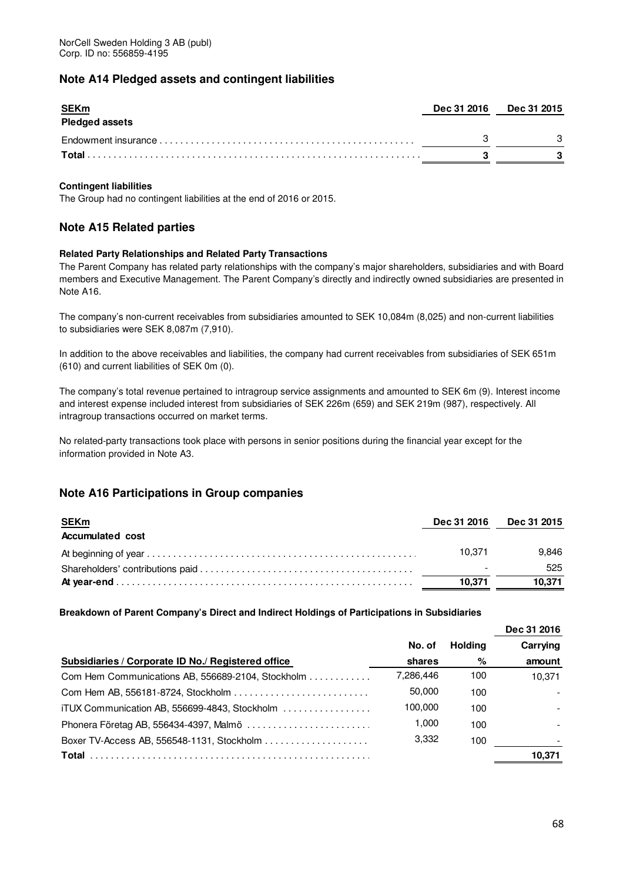# **Note A14 Pledged assets and contingent liabilities**

| <b>SEKm</b><br><b>Pledged assets</b> | Dec 31 2016 Dec 31 2015 |  |
|--------------------------------------|-------------------------|--|
|                                      |                         |  |
| Total                                |                         |  |

### **Contingent liabilities**

The Group had no contingent liabilities at the end of 2016 or 2015.

# **Note A15 Related parties**

### **Related Party Relationships and Related Party Transactions**

The Parent Company has related party relationships with the company's major shareholders, subsidiaries and with Board members and Executive Management. The Parent Company's directly and indirectly owned subsidiaries are presented in Note A16.

The company's non-current receivables from subsidiaries amounted to SEK 10,084m (8,025) and non-current liabilities to subsidiaries were SEK 8,087m (7,910).

In addition to the above receivables and liabilities, the company had current receivables from subsidiaries of SEK 651m (610) and current liabilities of SEK 0m (0).

The company's total revenue pertained to intragroup service assignments and amounted to SEK 6m (9). Interest income and interest expense included interest from subsidiaries of SEK 226m (659) and SEK 219m (987), respectively. All intragroup transactions occurred on market terms.

No related-party transactions took place with persons in senior positions during the financial year except for the information provided in Note A3.

# **Note A16 Participations in Group companies**

| <b>SEKm</b><br><b>Accumulated cost</b> | Dec 31 2016 | <b>Dec 31 2015</b> |
|----------------------------------------|-------------|--------------------|
|                                        | 10.371      | 9.846              |
|                                        |             | 525                |
|                                        | 10.371      | 10.371             |

**Breakdown of Parent Company's Direct and Indirect Holdings of Participations in Subsidiaries** 

|                                                    |           |                | Dec 31 2016 |
|----------------------------------------------------|-----------|----------------|-------------|
|                                                    | No. of    | <b>Holding</b> | Carrying    |
| Subsidiaries / Corporate ID No./ Registered office | shares    | %              | amount      |
| Com Hem Communications AB, 556689-2104, Stockholm  | 7,286,446 | 100            | 10.371      |
|                                                    | 50,000    | 100            |             |
| iTUX Communication AB, 556699-4843, Stockholm      | 100,000   | 100            |             |
|                                                    | 1,000     | 100            |             |
|                                                    | 3,332     | 100            |             |
|                                                    |           |                | 10.371      |
|                                                    |           |                |             |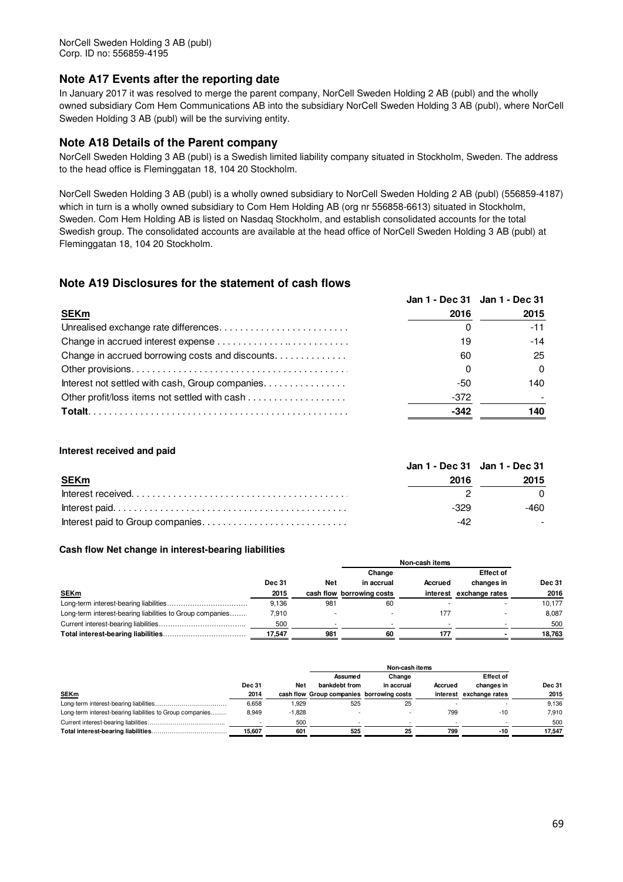# **Note A17 Events after the reporting date**

In January 2017 it was resolved to merge the parent company, NorCell Sweden Holding 2 AB (publ) and the wholly owned subsidiary Com Hem Communications AB into the subsidiary NorCell Sweden Holding 3 AB (publ), where NorCell Sweden Holding 3 AB (publ) will be the surviving entity.

# **Note A18 Details of the Parent company**

NorCell Sweden Holding 3 AB (publ) is a Swedish limited liability company situated in Stockholm, Sweden. The address to the head office is Fleminggatan 18, 104 20 Stockholm.

NorCell Sweden Holding 3 AB (publ) is a wholly owned subsidiary to NorCell Sweden Holding 2 AB (publ) (556859-4187) which in turn is a wholly owned subsidiary to Com Hem Holding AB (org nr 556858-6613) situated in Stockholm, Sweden. Com Hem Holding AB is listed on Nasdaq Stockholm, and establish consolidated accounts for the total Swedish group. The consolidated accounts are available at the head office of NorCell Sweden Holding 3 AB (publ) at Fleminggatan 18, 104 20 Stockholm.

# **Note A19 Disclosures for the statement of cash flows**

|      | Jan 1 - Dec 31 Jan 1 - Dec 31 |
|------|-------------------------------|
| 2016 | 2015                          |
|      | -11                           |
|      | $-14$                         |
| 60   | 25                            |
|      |                               |
| -50  | 140                           |
| -372 |                               |
| -342 | 140                           |
|      |                               |

### **Interest received and paid**

|             |      | Jan 1 - Dec 31 Jan 1 - Dec 31 |  |
|-------------|------|-------------------------------|--|
| <b>SEKm</b> | 2016 | 2015                          |  |
|             |      |                               |  |
|             | -329 | -460                          |  |
|             |      |                               |  |

### **Cash flow Net change in interest-bearing liabilities**

|                                                           |               |     | Change                    |          | <b>Effect of</b> |               |
|-----------------------------------------------------------|---------------|-----|---------------------------|----------|------------------|---------------|
|                                                           | <b>Dec 31</b> | Net | in accrual                | Accrued  | changes in       | <b>Dec 31</b> |
| <b>SEKm</b>                                               | 2015          |     | cash flow borrowing costs | interest | exchange rates   | 2016          |
|                                                           | 9.136         | 981 | 60                        |          |                  | 10.177        |
| Long-term interest-bearing liabilities to Group companies | 7.910         |     |                           | 177      |                  | 8.087         |
|                                                           | 500           |     |                           |          |                  | 500           |
|                                                           | 17.547        | 981 | 60                        | 177      |                  | 18.763        |

|                                                           |               |            | Assumed                                   | Change     |         | <b>Effect of</b>        |               |
|-----------------------------------------------------------|---------------|------------|-------------------------------------------|------------|---------|-------------------------|---------------|
|                                                           | <b>Dec 31</b> | <b>Net</b> | bankdebt from                             | in accrual | Accrued | changes in              | <b>Dec 31</b> |
| <b>SEKm</b>                                               | 2014          |            | cash flow Group companies borrowing costs |            |         | interest exchange rates | 2015          |
|                                                           | 6,658         | .929       | 525                                       | 25         |         |                         | 9,136         |
| Long-term interest-bearing liabilities to Group companies | 8.949         | $-1.828$   |                                           |            | 799     | $-10$                   | 7.910         |
|                                                           |               | 500        |                                           |            |         |                         | 500           |
|                                                           | 15.607        | 601        | 525                                       | 25         | 799     | -10                     | 17.547        |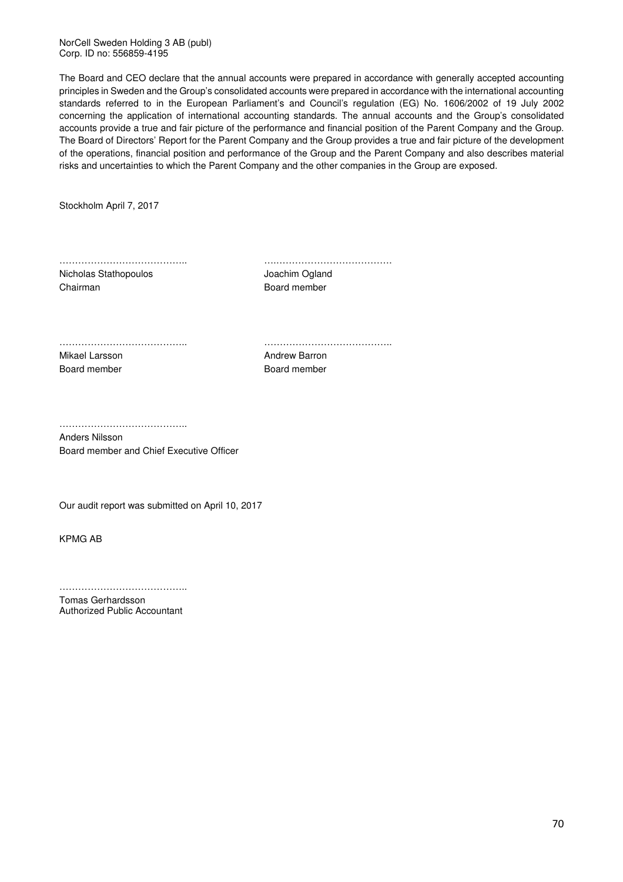NorCell Sweden Holding 3 AB (publ) Corp. ID no: 556859-4195

The Board and CEO declare that the annual accounts were prepared in accordance with generally accepted accounting principles in Sweden and the Group's consolidated accounts were prepared in accordance with the international accounting standards referred to in the European Parliament's and Council's regulation (EG) No. 1606/2002 of 19 July 2002 concerning the application of international accounting standards. The annual accounts and the Group's consolidated accounts provide a true and fair picture of the performance and financial position of the Parent Company and the Group. The Board of Directors' Report for the Parent Company and the Group provides a true and fair picture of the development of the operations, financial position and performance of the Group and the Parent Company and also describes material risks and uncertainties to which the Parent Company and the other companies in the Group are exposed.

Stockholm April 7, 2017

………………………………….. ….………………………………. Nicholas Stathopoulos **Vocalistic Stationary Stationary According Stationary According Stationary According Toma** 

Chairman **Board member** 

………………………………….. …………………………………..

Mikael Larsson **Andrew Barron** Andrew Barron Board member Board member

…………………………………..

Anders Nilsson Board member and Chief Executive Officer

Our audit report was submitted on April 10, 2017

KPMG AB

……………………………………… Tomas Gerhardsson

Authorized Public Accountant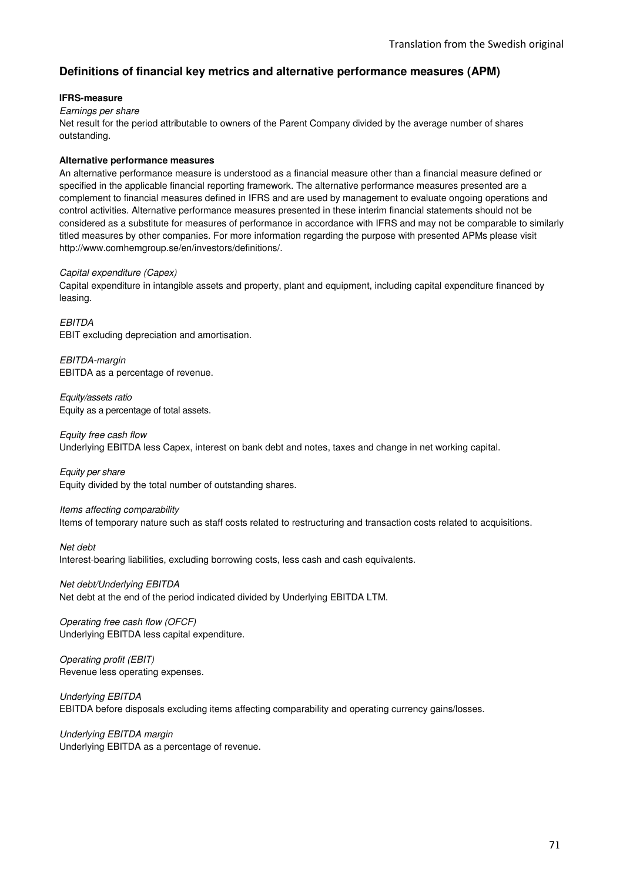# **Definitions of financial key metrics and alternative performance measures (APM)**

### **IFRS-measure**

Earnings per share

Net result for the period attributable to owners of the Parent Company divided by the average number of shares outstanding.

### **Alternative performance measures**

An alternative performance measure is understood as a financial measure other than a financial measure defined or specified in the applicable financial reporting framework. The alternative performance measures presented are a complement to financial measures defined in IFRS and are used by management to evaluate ongoing operations and control activities. Alternative performance measures presented in these interim financial statements should not be considered as a substitute for measures of performance in accordance with IFRS and may not be comparable to similarly titled measures by other companies. For more information regarding the purpose with presented APMs please visit http://www.comhemgroup.se/en/investors/definitions/.

### Capital expenditure (Capex)

Capital expenditure in intangible assets and property, plant and equipment, including capital expenditure financed by leasing.

**EBITDA** EBIT excluding depreciation and amortisation.

EBITDA-margin EBITDA as a percentage of revenue.

Equity/assets ratio Equity as a percentage of total assets.

Equity free cash flow Underlying EBITDA less Capex, interest on bank debt and notes, taxes and change in net working capital.

Equity per share Equity divided by the total number of outstanding shares.

Items affecting comparability Items of temporary nature such as staff costs related to restructuring and transaction costs related to acquisitions.

Net debt Interest-bearing liabilities, excluding borrowing costs, less cash and cash equivalents.

Net debt/Underlying EBITDA Net debt at the end of the period indicated divided by Underlying EBITDA LTM.

Operating free cash flow (OFCF) Underlying EBITDA less capital expenditure.

Operating profit (EBIT) Revenue less operating expenses.

Underlying EBITDA EBITDA before disposals excluding items affecting comparability and operating currency gains/losses.

Underlying EBITDA margin Underlying EBITDA as a percentage of revenue.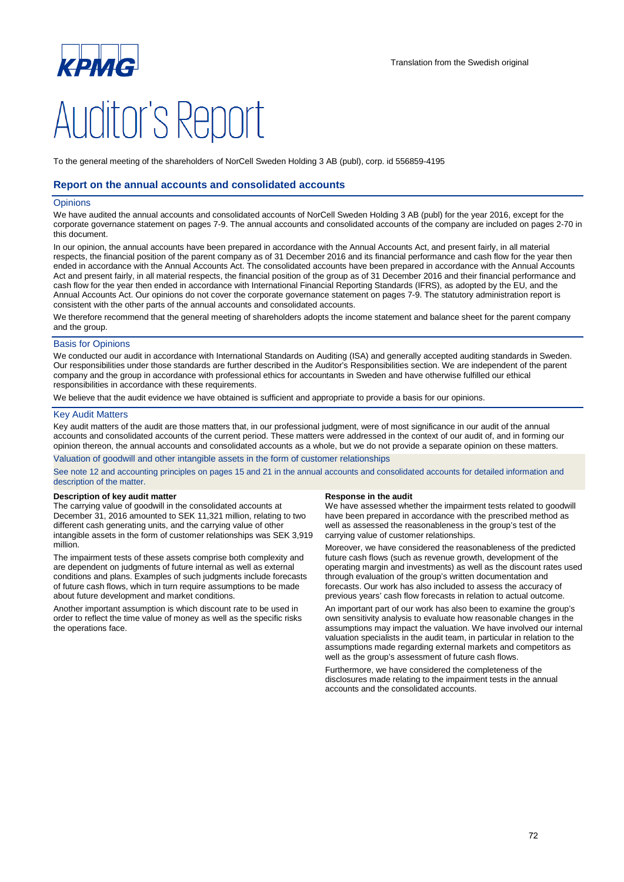

To the general meeting of the shareholders of NorCell Sweden Holding 3 AB (publ), corp. id 556859-4195

### **Report on the annual accounts and consolidated accounts**

#### **Opinions**

We have audited the annual accounts and consolidated accounts of NorCell Sweden Holding 3 AB (publ) for the year 2016, except for the corporate governance statement on pages 7-9. The annual accounts and consolidated accounts of the company are included on pages 2-70 in this document.

In our opinion, the annual accounts have been prepared in accordance with the Annual Accounts Act, and present fairly, in all material respects, the financial position of the parent company as of 31 December 2016 and its financial performance and cash flow for the year then ended in accordance with the Annual Accounts Act. The consolidated accounts have been prepared in accordance with the Annual Accounts Act and present fairly, in all material respects, the financial position of the group as of 31 December 2016 and their financial performance and cash flow for the year then ended in accordance with International Financial Reporting Standards (IFRS), as adopted by the EU, and the Annual Accounts Act. Our opinions do not cover the corporate governance statement on pages 7-9. The statutory administration report is consistent with the other parts of the annual accounts and consolidated accounts.

We therefore recommend that the general meeting of shareholders adopts the income statement and balance sheet for the parent company and the group.

#### Basis for Opinions

We conducted our audit in accordance with International Standards on Auditing (ISA) and generally accepted auditing standards in Sweden. Our responsibilities under those standards are further described in the Auditor's Responsibilities section. We are independent of the parent company and the group in accordance with professional ethics for accountants in Sweden and have otherwise fulfilled our ethical responsibilities in accordance with these requirements.

We believe that the audit evidence we have obtained is sufficient and appropriate to provide a basis for our opinions.

#### Key Audit Matters

Key audit matters of the audit are those matters that, in our professional judgment, were of most significance in our audit of the annual accounts and consolidated accounts of the current period. These matters were addressed in the context of our audit of, and in forming our opinion thereon, the annual accounts and consolidated accounts as a whole, but we do not provide a separate opinion on these matters.

Valuation of goodwill and other intangible assets in the form of customer relationships

See note 12 and accounting principles on pages 15 and 21 in the annual accounts and consolidated accounts for detailed information and description of the matter.

#### **Description of key audit matter Response in the audit Response in the audit**

The carrying value of goodwill in the consolidated accounts at December 31, 2016 amounted to SEK 11,321 million, relating to two different cash generating units, and the carrying value of other intangible assets in the form of customer relationships was SEK 3,919 million.

The impairment tests of these assets comprise both complexity and are dependent on judgments of future internal as well as external conditions and plans. Examples of such judgments include forecasts of future cash flows, which in turn require assumptions to be made about future development and market conditions.

Another important assumption is which discount rate to be used in order to reflect the time value of money as well as the specific risks the operations face.

We have assessed whether the impairment tests related to goodwill have been prepared in accordance with the prescribed method as well as assessed the reasonableness in the group's test of the carrying value of customer relationships.

Moreover, we have considered the reasonableness of the predicted future cash flows (such as revenue growth, development of the operating margin and investments) as well as the discount rates used through evaluation of the group's written documentation and forecasts. Our work has also included to assess the accuracy of previous years' cash flow forecasts in relation to actual outcome.

An important part of our work has also been to examine the group's own sensitivity analysis to evaluate how reasonable changes in the assumptions may impact the valuation. We have involved our internal valuation specialists in the audit team, in particular in relation to the assumptions made regarding external markets and competitors as well as the group's assessment of future cash flows.

Furthermore, we have considered the completeness of the disclosures made relating to the impairment tests in the annual accounts and the consolidated accounts.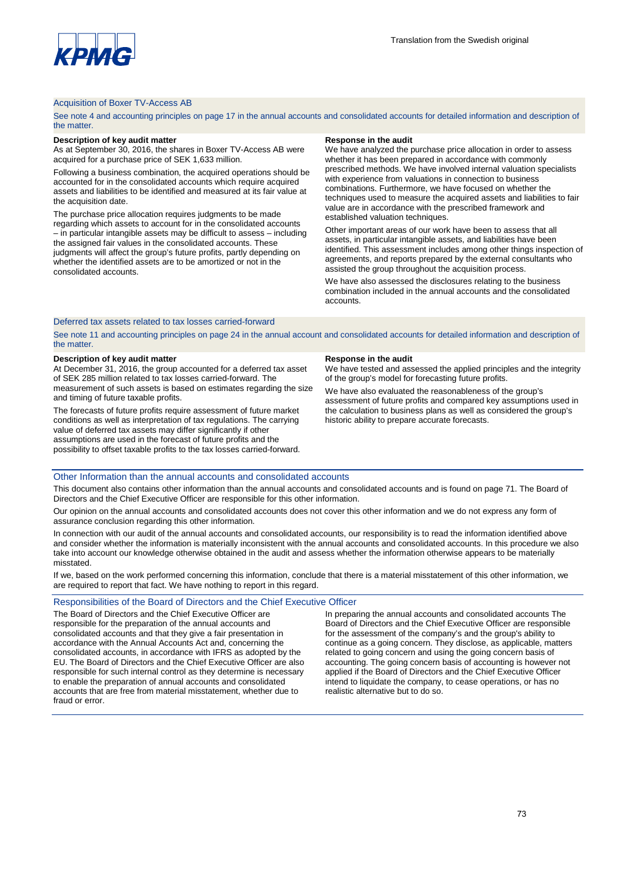

# Acquisition of Boxer TV-Access AB

See note 4 and accounting principles on page 17 in the annual accounts and consolidated accounts for detailed information and description of the matter.

### **Description of key audit matter Response in the audit Response in the audit**

As at September 30, 2016, the shares in Boxer TV-Access AB were acquired for a purchase price of SEK 1,633 million.

Following a business combination, the acquired operations should be accounted for in the consolidated accounts which require acquired assets and liabilities to be identified and measured at its fair value at the acquisition date.

The purchase price allocation requires judgments to be made regarding which assets to account for in the consolidated accounts – in particular intangible assets may be difficult to assess – including the assigned fair values in the consolidated accounts. These judgments will affect the group's future profits, partly depending on whether the identified assets are to be amortized or not in the consolidated accounts.

We have analyzed the purchase price allocation in order to assess whether it has been prepared in accordance with commonly prescribed methods. We have involved internal valuation specialists with experience from valuations in connection to business combinations. Furthermore, we have focused on whether the techniques used to measure the acquired assets and liabilities to fair value are in accordance with the prescribed framework and established valuation techniques.

Other important areas of our work have been to assess that all assets, in particular intangible assets, and liabilities have been identified. This assessment includes among other things inspection of agreements, and reports prepared by the external consultants who assisted the group throughout the acquisition process.

We have also assessed the disclosures relating to the business combination included in the annual accounts and the consolidated accounts.

# Deferred tax assets related to tax losses carried-forward

See note 11 and accounting principles on page 24 in the annual account and consolidated accounts for detailed information and description of the matter.

## **Description of key audit matter Response in the audit Response in the audit**

At December 31, 2016, the group accounted for a deferred tax asset of SEK 285 million related to tax losses carried-forward. The measurement of such assets is based on estimates regarding the size and timing of future taxable profits.

The forecasts of future profits require assessment of future market conditions as well as interpretation of tax regulations. The carrying value of deferred tax assets may differ significantly if other assumptions are used in the forecast of future profits and the possibility to offset taxable profits to the tax losses carried-forward.

We have tested and assessed the applied principles and the integrity of the group's model for forecasting future profits.

We have also evaluated the reasonableness of the group's assessment of future profits and compared key assumptions used in the calculation to business plans as well as considered the group's historic ability to prepare accurate forecasts.

## Other Information than the annual accounts and consolidated accounts

This document also contains other information than the annual accounts and consolidated accounts and is found on page 71. The Board of Directors and the Chief Executive Officer are responsible for this other information.

Our opinion on the annual accounts and consolidated accounts does not cover this other information and we do not express any form of assurance conclusion regarding this other information.

In connection with our audit of the annual accounts and consolidated accounts, our responsibility is to read the information identified above and consider whether the information is materially inconsistent with the annual accounts and consolidated accounts. In this procedure we also take into account our knowledge otherwise obtained in the audit and assess whether the information otherwise appears to be materially misstated.

If we, based on the work performed concerning this information, conclude that there is a material misstatement of this other information, we are required to report that fact. We have nothing to report in this regard.

## Responsibilities of the Board of Directors and the Chief Executive Officer

The Board of Directors and the Chief Executive Officer are responsible for the preparation of the annual accounts and consolidated accounts and that they give a fair presentation in accordance with the Annual Accounts Act and, concerning the consolidated accounts, in accordance with IFRS as adopted by the EU. The Board of Directors and the Chief Executive Officer are also responsible for such internal control as they determine is necessary to enable the preparation of annual accounts and consolidated accounts that are free from material misstatement, whether due to fraud or error.

In preparing the annual accounts and consolidated accounts The Board of Directors and the Chief Executive Officer are responsible for the assessment of the company's and the group's ability to continue as a going concern. They disclose, as applicable, matters related to going concern and using the going concern basis of accounting. The going concern basis of accounting is however not applied if the Board of Directors and the Chief Executive Officer intend to liquidate the company, to cease operations, or has no realistic alternative but to do so.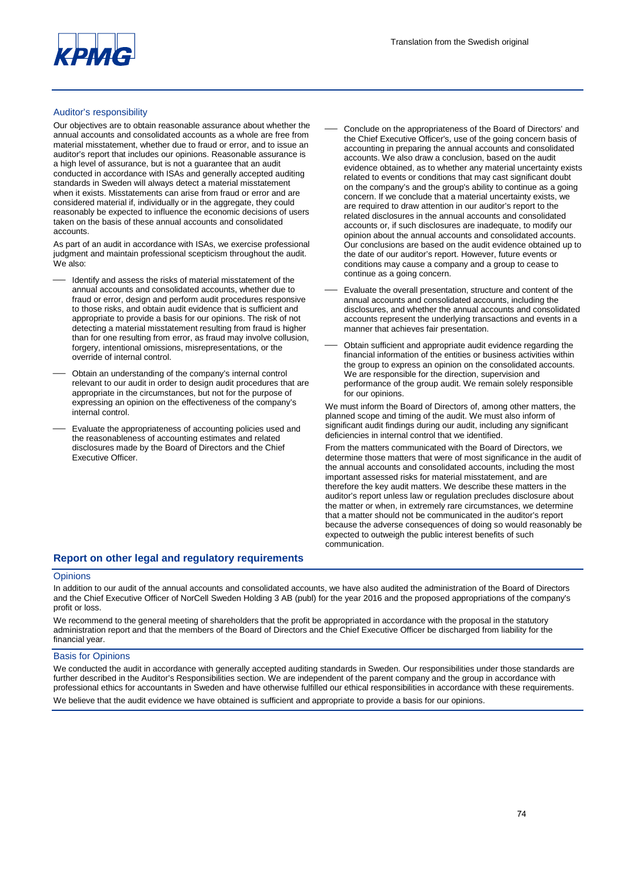

# Auditor's responsibility

Our objectives are to obtain reasonable assurance about whether the annual accounts and consolidated accounts as a whole are free from material misstatement, whether due to fraud or error, and to issue an auditor's report that includes our opinions. Reasonable assurance is a high level of assurance, but is not a guarantee that an audit conducted in accordance with ISAs and generally accepted auditing standards in Sweden will always detect a material misstatement when it exists. Misstatements can arise from fraud or error and are considered material if, individually or in the aggregate, they could reasonably be expected to influence the economic decisions of users taken on the basis of these annual accounts and consolidated accounts.

As part of an audit in accordance with ISAs, we exercise professional judgment and maintain professional scepticism throughout the audit. We also:

- Identify and assess the risks of material misstatement of the annual accounts and consolidated accounts, whether due to fraud or error, design and perform audit procedures responsive to those risks, and obtain audit evidence that is sufficient and appropriate to provide a basis for our opinions. The risk of not detecting a material misstatement resulting from fraud is higher than for one resulting from error, as fraud may involve collusion, forgery, intentional omissions, misrepresentations, or the override of internal control.
- Obtain an understanding of the company's internal control relevant to our audit in order to design audit procedures that are appropriate in the circumstances, but not for the purpose of expressing an opinion on the effectiveness of the company's internal control.
- Evaluate the appropriateness of accounting policies used and the reasonableness of accounting estimates and related disclosures made by the Board of Directors and the Chief Executive Officer.
- Conclude on the appropriateness of the Board of Directors' and the Chief Executive Officer's, use of the going concern basis of accounting in preparing the annual accounts and consolidated accounts. We also draw a conclusion, based on the audit evidence obtained, as to whether any material uncertainty exists related to events or conditions that may cast significant doubt on the company's and the group's ability to continue as a going concern. If we conclude that a material uncertainty exists, we are required to draw attention in our auditor's report to the related disclosures in the annual accounts and consolidated accounts or, if such disclosures are inadequate, to modify our opinion about the annual accounts and consolidated accounts. Our conclusions are based on the audit evidence obtained up to the date of our auditor's report. However, future events or conditions may cause a company and a group to cease to continue as a going concern.
- Evaluate the overall presentation, structure and content of the annual accounts and consolidated accounts, including the disclosures, and whether the annual accounts and consolidated accounts represent the underlying transactions and events in a manner that achieves fair presentation.
- Obtain sufficient and appropriate audit evidence regarding the financial information of the entities or business activities within the group to express an opinion on the consolidated accounts. We are responsible for the direction, supervision and performance of the group audit. We remain solely responsible for our opinions.

We must inform the Board of Directors of, among other matters, the planned scope and timing of the audit. We must also inform of significant audit findings during our audit, including any significant deficiencies in internal control that we identified.

From the matters communicated with the Board of Directors, we determine those matters that were of most significance in the audit of the annual accounts and consolidated accounts, including the most important assessed risks for material misstatement, and are therefore the key audit matters. We describe these matters in the auditor's report unless law or regulation precludes disclosure about the matter or when, in extremely rare circumstances, we determine that a matter should not be communicated in the auditor's report because the adverse consequences of doing so would reasonably be expected to outweigh the public interest benefits of such communication.

# **Report on other legal and regulatory requirements**

## **Opinions**

In addition to our audit of the annual accounts and consolidated accounts, we have also audited the administration of the Board of Directors and the Chief Executive Officer of NorCell Sweden Holding 3 AB (publ) for the year 2016 and the proposed appropriations of the company's profit or loss.

We recommend to the general meeting of shareholders that the profit be appropriated in accordance with the proposal in the statutory administration report and that the members of the Board of Directors and the Chief Executive Officer be discharged from liability for the financial year.

## Basis for Opinions

We conducted the audit in accordance with generally accepted auditing standards in Sweden. Our responsibilities under those standards are further described in the Auditor's Responsibilities section. We are independent of the parent company and the group in accordance with professional ethics for accountants in Sweden and have otherwise fulfilled our ethical responsibilities in accordance with these requirements. We believe that the audit evidence we have obtained is sufficient and appropriate to provide a basis for our opinions.